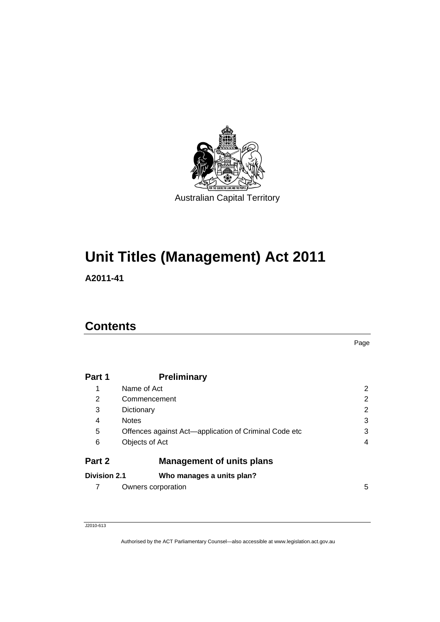

# **Unit Titles (Management) Act 2011**

**A2011-41** 

### **Contents**

Page

| Part 1              | <b>Preliminary</b>                                    |   |
|---------------------|-------------------------------------------------------|---|
| 1                   | Name of Act                                           | 2 |
| 2                   | Commencement                                          | 2 |
| 3                   | Dictionary                                            | 2 |
| 4                   | <b>Notes</b>                                          | 3 |
| 5                   | Offences against Act-application of Criminal Code etc | 3 |
| 6                   | Objects of Act                                        | 4 |
| Part 2              | <b>Management of units plans</b>                      |   |
| <b>Division 2.1</b> | Who manages a units plan?                             |   |
| 7                   | Owners corporation                                    | 5 |

J2010-613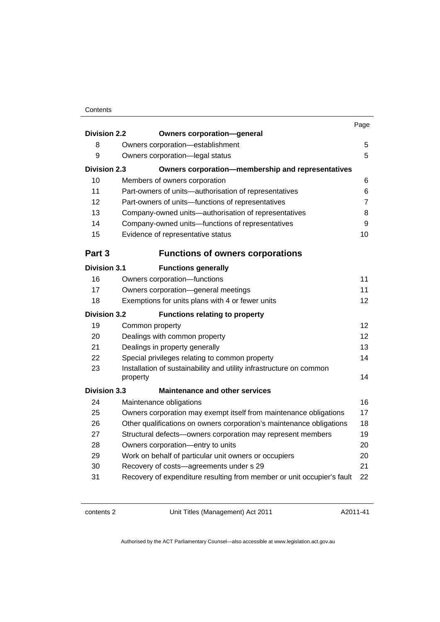|                     |                                                                                 | Page           |
|---------------------|---------------------------------------------------------------------------------|----------------|
| <b>Division 2.2</b> | <b>Owners corporation-general</b>                                               |                |
| 8                   | Owners corporation-establishment                                                | 5              |
| 9                   | Owners corporation-legal status                                                 | 5              |
| <b>Division 2.3</b> | Owners corporation-membership and representatives                               |                |
| 10                  | Members of owners corporation                                                   | 6              |
| 11                  | Part-owners of units-authorisation of representatives                           | 6              |
| 12                  | Part-owners of units-functions of representatives                               | $\overline{7}$ |
| 13                  | Company-owned units-authorisation of representatives                            | 8              |
| 14                  | Company-owned units-functions of representatives                                | 9              |
| 15                  | Evidence of representative status                                               | 10             |
| Part 3              | <b>Functions of owners corporations</b>                                         |                |
| <b>Division 3.1</b> | <b>Functions generally</b>                                                      |                |
| 16                  | Owners corporation-functions                                                    | 11             |
| 17                  | Owners corporation-general meetings                                             | 11             |
| 18                  | Exemptions for units plans with 4 or fewer units                                | 12             |
| <b>Division 3.2</b> | <b>Functions relating to property</b>                                           |                |
| 19                  | Common property                                                                 | 12             |
| 20                  | Dealings with common property                                                   | 12             |
| 21                  | Dealings in property generally                                                  | 13             |
| 22                  | Special privileges relating to common property                                  | 14             |
| 23                  | Installation of sustainability and utility infrastructure on common<br>property | 14             |
| <b>Division 3.3</b> | <b>Maintenance and other services</b>                                           |                |
| 24                  | Maintenance obligations                                                         | 16             |
| 25                  | Owners corporation may exempt itself from maintenance obligations               | 17             |
| 26                  | Other qualifications on owners corporation's maintenance obligations            | 18             |
| 27                  | Structural defects-owners corporation may represent members                     | 19             |
| 28                  | Owners corporation-entry to units                                               | 20             |
| 29                  | Work on behalf of particular unit owners or occupiers                           | 20             |
| 30                  | Recovery of costs-agreements under s 29                                         | 21             |
| 31                  | Recovery of expenditure resulting from member or unit occupier's fault          | 22             |
|                     |                                                                                 |                |

contents 2 Unit Titles (Management) Act 2011

A2011-41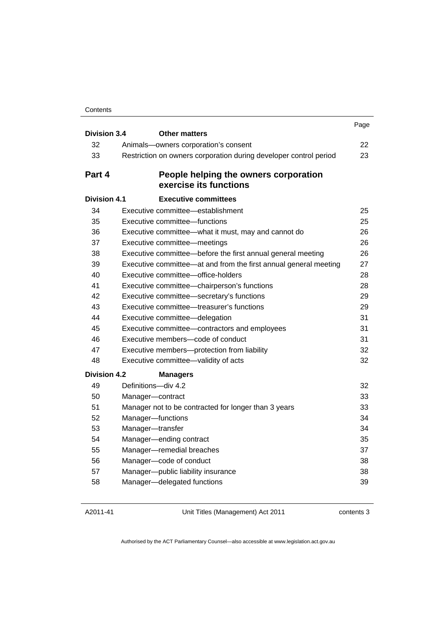|                     |                                                                   | Page |
|---------------------|-------------------------------------------------------------------|------|
| <b>Division 3.4</b> | <b>Other matters</b>                                              |      |
| 32                  | Animals-owners corporation's consent                              | 22   |
| 33                  | Restriction on owners corporation during developer control period | 23   |
| Part 4              | People helping the owners corporation<br>exercise its functions   |      |
| Division 4.1        | <b>Executive committees</b>                                       |      |
| 34                  | Executive committee—establishment                                 | 25   |
| 35                  | Executive committee-functions                                     | 25   |
| 36                  | Executive committee-what it must, may and cannot do               | 26   |
| 37                  | Executive committee-meetings                                      | 26   |
| 38                  | Executive committee—before the first annual general meeting       | 26   |
| 39                  | Executive committee—at and from the first annual general meeting  | 27   |
| 40                  | Executive committee-office-holders                                | 28   |
| 41                  | Executive committee-chairperson's functions                       | 28   |
| 42                  | Executive committee-secretary's functions                         | 29   |
| 43                  | Executive committee—treasurer's functions                         | 29   |
| 44                  | Executive committee-delegation                                    | 31   |
| 45                  | Executive committee-contractors and employees                     | 31   |
| 46                  | Executive members-code of conduct                                 | 31   |
| 47                  | Executive members-protection from liability                       | 32   |
| 48                  | Executive committee-validity of acts                              | 32   |
| <b>Division 4.2</b> | <b>Managers</b>                                                   |      |
| 49                  | Definitions-div 4.2                                               | 32   |
| 50                  | Manager-contract                                                  | 33   |
| 51                  | Manager not to be contracted for longer than 3 years              | 33   |
| 52                  | Manager-functions                                                 | 34   |
| 53                  | Manager-transfer                                                  | 34   |
| 54                  | Manager-ending contract                                           | 35   |
| 55                  | Manager-remedial breaches                                         | 37   |
| 56                  | Manager-code of conduct                                           | 38   |
| 57                  | Manager-public liability insurance                                | 38   |
| 58                  | Manager-delegated functions                                       | 39   |

A2011-41

Unit Titles (Management) Act 2011

contents 3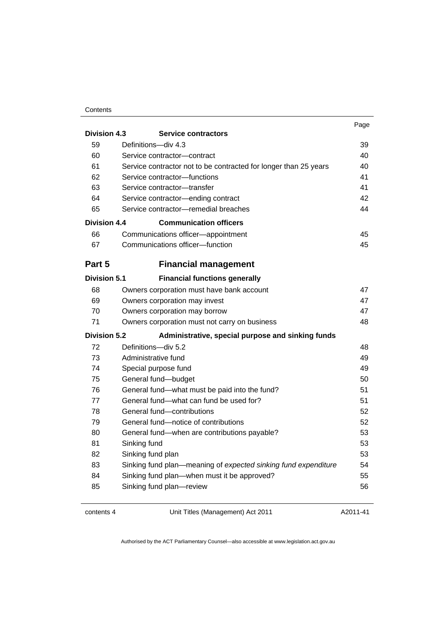| ۰,<br>w<br>۰. |
|---------------|
|---------------|

| <b>Division 4.3</b> | <b>Service contractors</b>                                       |    |
|---------------------|------------------------------------------------------------------|----|
| 59                  | Definitions-div 4.3                                              | 39 |
| 60                  | Service contractor-contract                                      | 40 |
| 61                  | Service contractor not to be contracted for longer than 25 years | 40 |
| 62                  | Service contractor-functions                                     | 41 |
| 63                  | Service contractor-transfer                                      | 41 |
| 64                  | Service contractor-ending contract                               | 42 |
| 65                  | Service contractor-remedial breaches                             | 44 |
| <b>Division 4.4</b> | <b>Communication officers</b>                                    |    |
| 66                  | Communications officer-appointment                               | 45 |
| 67                  | Communications officer-function                                  | 45 |
| Part 5              | <b>Financial management</b>                                      |    |
| <b>Division 5.1</b> | <b>Financial functions generally</b>                             |    |
| 68                  | Owners corporation must have bank account                        | 47 |
| 69                  | Owners corporation may invest                                    | 47 |
| 70                  | Owners corporation may borrow                                    | 47 |
| 71                  | Owners corporation must not carry on business                    | 48 |
| <b>Division 5.2</b> | Administrative, special purpose and sinking funds                |    |
| 72                  | Definitions-div 5.2                                              | 48 |
| 73                  | Administrative fund                                              | 49 |
| 74                  | Special purpose fund                                             | 49 |
| 75                  | General fund-budget                                              | 50 |
| 76                  | General fund-what must be paid into the fund?                    | 51 |
| 77                  | General fund-what can fund be used for?                          | 51 |
| 78                  | General fund-contributions                                       | 52 |
| 79                  | General fund-notice of contributions                             | 52 |
| 80                  | General fund-when are contributions payable?                     | 53 |
| 81                  | Sinking fund                                                     | 53 |
| 82                  | Sinking fund plan                                                | 53 |
| 83                  | Sinking fund plan—meaning of expected sinking fund expenditure   | 54 |
| 84                  | Sinking fund plan-when must it be approved?                      | 55 |
| 85                  | Sinking fund plan-review                                         | 56 |

contents 4 Unit Titles (Management) Act 2011

A2011-41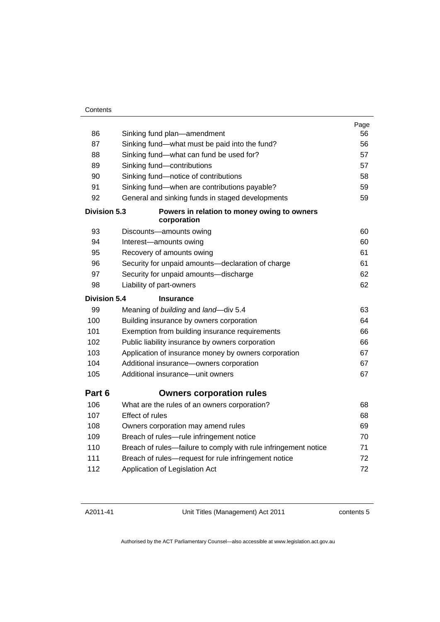| 86                  | Sinking fund plan—amendment                                     | Page<br>56 |
|---------------------|-----------------------------------------------------------------|------------|
| 87                  | Sinking fund—what must be paid into the fund?                   | 56         |
| 88                  | Sinking fund-what can fund be used for?                         | 57         |
| 89                  | Sinking fund-contributions                                      | 57         |
| 90                  | Sinking fund-notice of contributions                            | 58         |
| 91                  | Sinking fund-when are contributions payable?                    | 59         |
| 92                  | General and sinking funds in staged developments                | 59         |
| <b>Division 5.3</b> | Powers in relation to money owing to owners<br>corporation      |            |
| 93                  | Discounts-amounts owing                                         | 60         |
| 94                  | Interest-amounts owing                                          | 60         |
| 95                  | Recovery of amounts owing                                       | 61         |
| 96                  | Security for unpaid amounts-declaration of charge               | 61         |
| 97                  | Security for unpaid amounts-discharge                           | 62         |
| 98                  | Liability of part-owners                                        | 62         |
| <b>Division 5.4</b> | <b>Insurance</b>                                                |            |
| 99                  | Meaning of building and land-div 5.4                            | 63         |
| 100                 | Building insurance by owners corporation                        | 64         |
| 101                 | Exemption from building insurance requirements                  | 66         |
| 102                 | Public liability insurance by owners corporation                | 66         |
| 103                 | Application of insurance money by owners corporation            | 67         |
| 104                 | Additional insurance-owners corporation                         | 67         |
| 105                 | Additional insurance—unit owners                                | 67         |
| Part 6              | <b>Owners corporation rules</b>                                 |            |
| 106                 | What are the rules of an owners corporation?                    | 68         |
| 107                 | Effect of rules                                                 | 68         |
| 108                 | Owners corporation may amend rules                              | 69         |
| 109                 | Breach of rules-rule infringement notice                        | 70         |
| 110                 | Breach of rules-failure to comply with rule infringement notice | 71         |
| 111                 | Breach of rules-request for rule infringement notice            | 72         |
| 112                 | Application of Legislation Act                                  | 72         |
|                     |                                                                 |            |

A2011-41

Unit Titles (Management) Act 2011

contents 5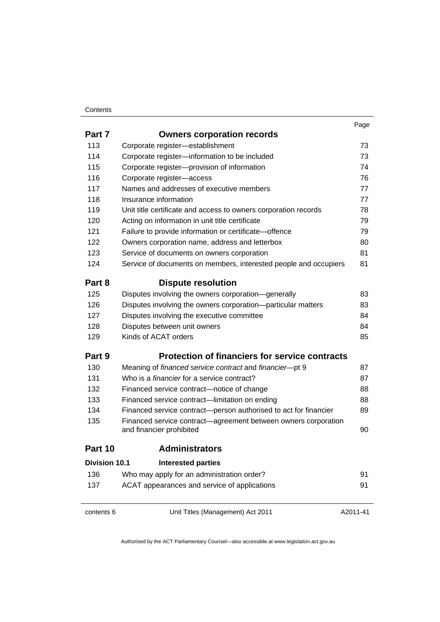| × |  |
|---|--|

| 113<br>114<br>115<br>116<br>117<br>118 | Corporate register-establishment<br>Corporate register-information to be included<br>Corporate register-provision of information<br>Corporate register-access<br>Names and addresses of executive members<br>Insurance information<br>Unit title certificate and access to owners corporation records<br>Acting on information in unit title certificate<br>Failure to provide information or certificate-offence<br>Owners corporation name, address and letterbox | 73<br>73<br>74<br>76<br>77<br>77<br>78<br>79<br>79 |
|----------------------------------------|---------------------------------------------------------------------------------------------------------------------------------------------------------------------------------------------------------------------------------------------------------------------------------------------------------------------------------------------------------------------------------------------------------------------------------------------------------------------|----------------------------------------------------|
|                                        |                                                                                                                                                                                                                                                                                                                                                                                                                                                                     |                                                    |
|                                        |                                                                                                                                                                                                                                                                                                                                                                                                                                                                     |                                                    |
|                                        |                                                                                                                                                                                                                                                                                                                                                                                                                                                                     |                                                    |
|                                        |                                                                                                                                                                                                                                                                                                                                                                                                                                                                     |                                                    |
|                                        |                                                                                                                                                                                                                                                                                                                                                                                                                                                                     |                                                    |
|                                        |                                                                                                                                                                                                                                                                                                                                                                                                                                                                     |                                                    |
| 119                                    |                                                                                                                                                                                                                                                                                                                                                                                                                                                                     |                                                    |
| 120                                    |                                                                                                                                                                                                                                                                                                                                                                                                                                                                     |                                                    |
| 121                                    |                                                                                                                                                                                                                                                                                                                                                                                                                                                                     |                                                    |
| 122                                    |                                                                                                                                                                                                                                                                                                                                                                                                                                                                     | 80                                                 |
| 123                                    | Service of documents on owners corporation                                                                                                                                                                                                                                                                                                                                                                                                                          | 81                                                 |
| 124                                    | Service of documents on members, interested people and occupiers                                                                                                                                                                                                                                                                                                                                                                                                    | 81                                                 |
| Part 8                                 | <b>Dispute resolution</b>                                                                                                                                                                                                                                                                                                                                                                                                                                           |                                                    |
| 125                                    | Disputes involving the owners corporation-generally                                                                                                                                                                                                                                                                                                                                                                                                                 | 83                                                 |
| 126                                    | Disputes involving the owners corporation-particular matters                                                                                                                                                                                                                                                                                                                                                                                                        | 83                                                 |
| 127                                    | Disputes involving the executive committee                                                                                                                                                                                                                                                                                                                                                                                                                          | 84                                                 |
| 128                                    | Disputes between unit owners                                                                                                                                                                                                                                                                                                                                                                                                                                        | 84                                                 |
| 129                                    | Kinds of ACAT orders                                                                                                                                                                                                                                                                                                                                                                                                                                                | 85                                                 |
| Part 9                                 | <b>Protection of financiers for service contracts</b>                                                                                                                                                                                                                                                                                                                                                                                                               |                                                    |
| 130                                    | Meaning of financed service contract and financier-pt 9                                                                                                                                                                                                                                                                                                                                                                                                             | 87                                                 |
| 131                                    | Who is a <i>financier</i> for a service contract?                                                                                                                                                                                                                                                                                                                                                                                                                   | 87                                                 |
| 132                                    | Financed service contract—notice of change                                                                                                                                                                                                                                                                                                                                                                                                                          | 88                                                 |
| 133                                    | Financed service contract-limitation on ending                                                                                                                                                                                                                                                                                                                                                                                                                      | 88                                                 |
| 134                                    | Financed service contract-person authorised to act for financier                                                                                                                                                                                                                                                                                                                                                                                                    | 89                                                 |
| 135                                    | Financed service contract—agreement between owners corporation<br>and financier prohibited                                                                                                                                                                                                                                                                                                                                                                          | 90                                                 |
| Part 10                                | <b>Administrators</b>                                                                                                                                                                                                                                                                                                                                                                                                                                               |                                                    |
| <b>Division 10.1</b>                   | <b>Interested parties</b>                                                                                                                                                                                                                                                                                                                                                                                                                                           |                                                    |
| 136                                    | Who may apply for an administration order?                                                                                                                                                                                                                                                                                                                                                                                                                          | 91                                                 |
| 137                                    | ACAT appearances and service of applications                                                                                                                                                                                                                                                                                                                                                                                                                        | 91                                                 |
| contents 6                             | Unit Titles (Management) Act 2011                                                                                                                                                                                                                                                                                                                                                                                                                                   | A2011-41                                           |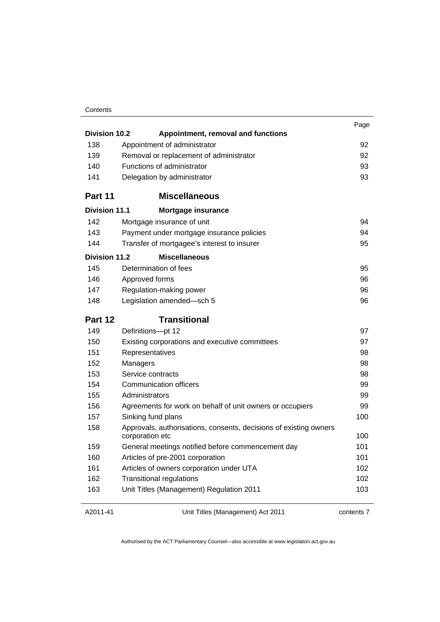| <b>Division 10.2</b> | Appointment, removal and functions                                                   | Page |
|----------------------|--------------------------------------------------------------------------------------|------|
| 138                  | Appointment of administrator                                                         | 92   |
| 139                  | Removal or replacement of administrator                                              | 92   |
| 140                  | Functions of administrator                                                           | 93   |
| 141                  | Delegation by administrator                                                          | 93   |
|                      |                                                                                      |      |
| Part 11              | <b>Miscellaneous</b>                                                                 |      |
| Division 11.1        | <b>Mortgage insurance</b>                                                            |      |
| 142                  | Mortgage insurance of unit                                                           | 94   |
| 143                  | Payment under mortgage insurance policies                                            | 94   |
| 144                  | Transfer of mortgagee's interest to insurer                                          | 95   |
| <b>Division 11.2</b> | <b>Miscellaneous</b>                                                                 |      |
| 145                  | Determination of fees                                                                | 95   |
| 146                  | Approved forms                                                                       | 96   |
| 147                  | Regulation-making power                                                              | 96   |
| 148                  | Legislation amended-sch 5                                                            | 96   |
| Part 12              | <b>Transitional</b>                                                                  |      |
| 149                  | Definitions-pt 12                                                                    | 97   |
| 150                  | Existing corporations and executive committees                                       | 97   |
| 151                  | Representatives                                                                      | 98   |
| 152                  | Managers                                                                             | 98   |
| 153                  | Service contracts                                                                    | 98   |
| 154                  | Communication officers                                                               | 99   |
| 155                  | Administrators                                                                       | 99   |
| 156                  | Agreements for work on behalf of unit owners or occupiers                            | 99   |
| 157                  | Sinking fund plans                                                                   | 100  |
| 158                  | Approvals, authorisations, consents, decisions of existing owners<br>corporation etc | 100  |
| 159                  | General meetings notified before commencement day                                    | 101  |
| 160                  | Articles of pre-2001 corporation                                                     | 101  |
| 161                  | Articles of owners corporation under UTA                                             | 102  |
| 162                  | <b>Transitional regulations</b>                                                      | 102  |
| 163                  | Unit Titles (Management) Regulation 2011                                             | 103  |
|                      |                                                                                      |      |

#### A2011-41

Unit Titles (Management) Act 2011

contents 7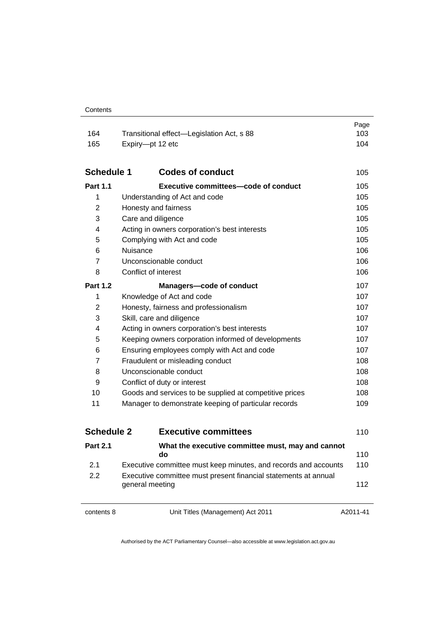| 164               | Transitional effect-Legislation Act, s 88               | Page<br>103 |
|-------------------|---------------------------------------------------------|-------------|
| 165               | Expiry-pt 12 etc                                        | 104         |
|                   |                                                         |             |
| <b>Schedule 1</b> | <b>Codes of conduct</b>                                 | 105         |
| <b>Part 1.1</b>   | <b>Executive committees-code of conduct</b>             | 105         |
| 1                 | Understanding of Act and code                           | 105         |
| $\overline{2}$    | Honesty and fairness                                    | 105         |
| 3                 | Care and diligence                                      | 105         |
| 4                 | Acting in owners corporation's best interests           | 105         |
| 5                 | Complying with Act and code                             | 105         |
| 6                 | <b>Nuisance</b>                                         | 106         |
| 7                 | Unconscionable conduct                                  | 106         |
| 8                 | Conflict of interest                                    | 106         |
| <b>Part 1.2</b>   | <b>Managers-code of conduct</b>                         | 107         |
| 1                 | Knowledge of Act and code                               | 107         |
| $\overline{2}$    | Honesty, fairness and professionalism                   | 107         |
| 3                 | Skill, care and diligence                               | 107         |
| 4                 | Acting in owners corporation's best interests           | 107         |
| 5                 | Keeping owners corporation informed of developments     | 107         |
| 6                 | Ensuring employees comply with Act and code             | 107         |
| 7                 | Fraudulent or misleading conduct                        | 108         |
| 8                 | Unconscionable conduct                                  | 108         |
| 9                 | Conflict of duty or interest                            | 108         |
| 10                | Goods and services to be supplied at competitive prices | 108         |
| 11                | Manager to demonstrate keeping of particular records    | 109         |
|                   |                                                         |             |
| <b>Schedule 2</b> | <b>Executive committees</b>                             | 110         |
| <b>Part 2.1</b>   | What the executive committee must, may and cannot<br>do | 110         |
|                   |                                                         |             |

| 2.1 | Executive committee must keep minutes, and records and accounts                    | 110 |
|-----|------------------------------------------------------------------------------------|-----|
| 2.2 | Executive committee must present financial statements at annual<br>general meeting | 112 |
|     |                                                                                    |     |

contents 8 Unit Titles (Management) Act 2011

A2011-41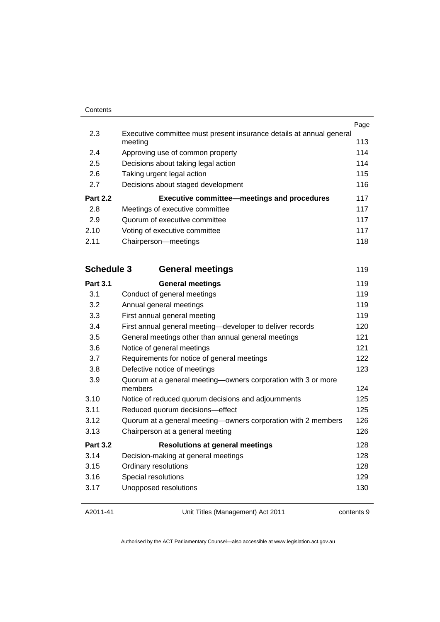| Contents |
|----------|
|          |

|                 |                                                                      | Page |
|-----------------|----------------------------------------------------------------------|------|
| 2.3             | Executive committee must present insurance details at annual general |      |
|                 | meeting                                                              | 113  |
| 2.4             | Approving use of common property                                     | 114  |
| 2.5             | Decisions about taking legal action                                  | 114  |
| 2.6             | Taking urgent legal action                                           | 115  |
| 2.7             | Decisions about staged development                                   | 116  |
| <b>Part 2.2</b> | <b>Executive committee–meetings and procedures</b>                   | 117  |
| 2.8             | Meetings of executive committee                                      | 117  |
|                 |                                                                      |      |
| 2.9             | Quorum of executive committee                                        | 117  |
| 2.10            | Voting of executive committee                                        | 117  |
| 2.11            | Chairperson-meetings                                                 | 118  |

| <b>Schedule 3</b><br><b>General meetings</b> |                                                                          | 119 |
|----------------------------------------------|--------------------------------------------------------------------------|-----|
| <b>Part 3.1</b>                              | <b>General meetings</b>                                                  | 119 |
| 3.1                                          | Conduct of general meetings                                              | 119 |
| 3.2                                          | Annual general meetings                                                  | 119 |
| 3.3                                          | First annual general meeting                                             | 119 |
| 3.4                                          | First annual general meeting-developer to deliver records                | 120 |
| 3.5                                          | General meetings other than annual general meetings                      | 121 |
| 3.6                                          | Notice of general meetings                                               | 121 |
| 3.7                                          | Requirements for notice of general meetings                              | 122 |
| 3.8                                          | Defective notice of meetings                                             | 123 |
| 3.9                                          | Quorum at a general meeting—owners corporation with 3 or more<br>members | 124 |
| 3.10                                         | Notice of reduced quorum decisions and adjournments                      | 125 |
| 3.11                                         | Reduced quorum decisions-effect                                          | 125 |
| 3.12                                         | Quorum at a general meeting-owners corporation with 2 members            | 126 |
| 3.13                                         | Chairperson at a general meeting                                         | 126 |
| <b>Part 3.2</b>                              | <b>Resolutions at general meetings</b>                                   | 128 |
| 3.14                                         | Decision-making at general meetings                                      | 128 |
| 3.15                                         | Ordinary resolutions                                                     | 128 |
| 3.16                                         | Special resolutions                                                      | 129 |
| 3.17                                         | Unopposed resolutions                                                    | 130 |
|                                              |                                                                          |     |

Unit Titles (Management) Act 2011

contents 9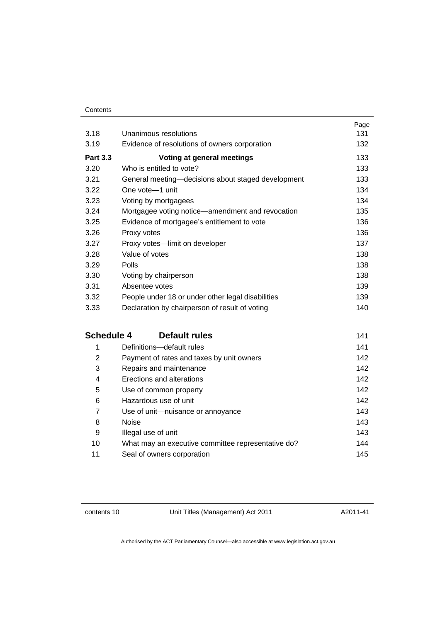| Contents |
|----------|
|----------|

|                                                    | Page                  |
|----------------------------------------------------|-----------------------|
|                                                    | 131                   |
| Evidence of resolutions of owners corporation      | 132                   |
| Voting at general meetings                         | 133                   |
| Who is entitled to vote?                           | 133                   |
| General meeting—decisions about staged development | 133                   |
| One vote-1 unit                                    | 134                   |
| Voting by mortgagees                               | 134                   |
| Mortgagee voting notice—amendment and revocation   | 135                   |
| Evidence of mortgagee's entitlement to vote        | 136                   |
| Proxy votes                                        | 136                   |
| Proxy votes-limit on developer                     | 137                   |
| Value of votes                                     | 138                   |
| Polls                                              | 138                   |
| Voting by chairperson                              | 138                   |
| Absentee votes                                     | 139                   |
| People under 18 or under other legal disabilities  | 139                   |
| Declaration by chairperson of result of voting     | 140                   |
|                                                    | Unanimous resolutions |

### **Schedule 4 Default rules 141**

| 1  | Definitions-default rules                          | 141 |
|----|----------------------------------------------------|-----|
| 2  | Payment of rates and taxes by unit owners          | 142 |
| 3  | Repairs and maintenance                            | 142 |
| 4  | Erections and alterations                          | 142 |
| 5  | Use of common property                             | 142 |
| 6  | Hazardous use of unit                              | 142 |
| 7  | Use of unit-nuisance or annoyance                  | 143 |
| 8  | <b>Noise</b>                                       | 143 |
| 9  | Illegal use of unit                                | 143 |
| 10 | What may an executive committee representative do? | 144 |
| 11 | Seal of owners corporation                         | 145 |
|    |                                                    |     |

contents 10 Unit Titles (Management) Act 2011

A2011-41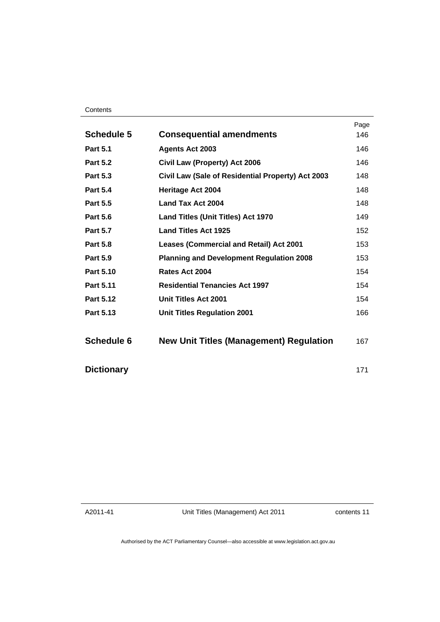| <b>Schedule 5</b> |                                                   | Page<br>146 |
|-------------------|---------------------------------------------------|-------------|
|                   | <b>Consequential amendments</b>                   |             |
| <b>Part 5.1</b>   | <b>Agents Act 2003</b>                            | 146         |
| <b>Part 5.2</b>   | Civil Law (Property) Act 2006                     | 146         |
| <b>Part 5.3</b>   | Civil Law (Sale of Residential Property) Act 2003 | 148         |
| <b>Part 5.4</b>   | <b>Heritage Act 2004</b>                          | 148         |
| <b>Part 5.5</b>   | Land Tax Act 2004                                 | 148         |
| <b>Part 5.6</b>   | <b>Land Titles (Unit Titles) Act 1970</b>         | 149         |
| <b>Part 5.7</b>   | <b>Land Titles Act 1925</b>                       | 152         |
| <b>Part 5.8</b>   | <b>Leases (Commercial and Retail) Act 2001</b>    | 153         |
| <b>Part 5.9</b>   | <b>Planning and Development Regulation 2008</b>   | 153         |
| <b>Part 5.10</b>  | Rates Act 2004                                    | 154         |
| Part 5.11         | <b>Residential Tenancies Act 1997</b>             | 154         |
| Part 5.12         | <b>Unit Titles Act 2001</b>                       | 154         |
| Part 5.13         | <b>Unit Titles Regulation 2001</b>                | 166         |
| <b>Schedule 6</b> | <b>New Unit Titles (Management) Regulation</b>    | 167         |
| <b>Dictionary</b> |                                                   | 171         |

A2011-41

Unit Titles (Management) Act 2011

contents 11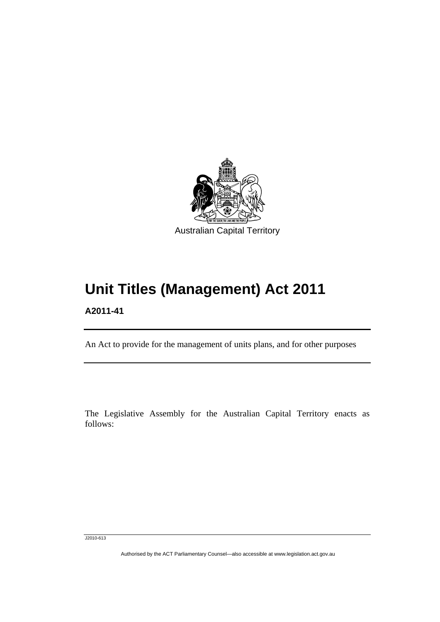

# **Unit Titles (Management) Act 2011**

**A2011-41** 

l

An Act to provide for the management of units plans, and for other purposes

The Legislative Assembly for the Australian Capital Territory enacts as follows:

J2010-613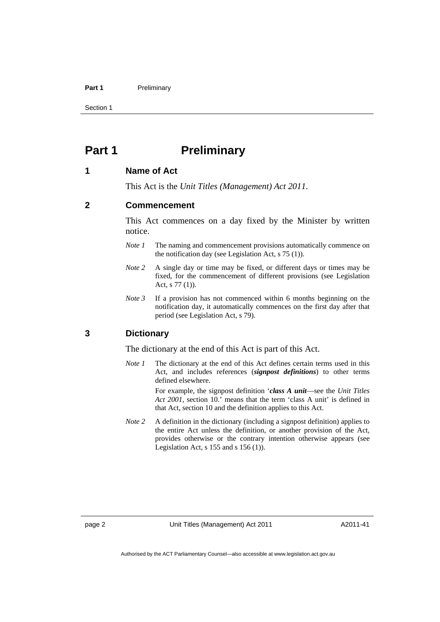#### Part 1 **Preliminary**

Section 1

### **Part 1** Preliminary

#### **1 Name of Act**

This Act is the *Unit Titles (Management) Act 2011*.

#### **2 Commencement**

This Act commences on a day fixed by the Minister by written notice.

- *Note 1* The naming and commencement provisions automatically commence on the notification day (see Legislation Act, s 75 (1)).
- *Note 2* A single day or time may be fixed, or different days or times may be fixed, for the commencement of different provisions (see Legislation Act, s 77 (1)).
- *Note 3* If a provision has not commenced within 6 months beginning on the notification day, it automatically commences on the first day after that period (see Legislation Act, s 79).

### **3 Dictionary**

The dictionary at the end of this Act is part of this Act.

*Note 1* The dictionary at the end of this Act defines certain terms used in this Act, and includes references (*signpost definitions*) to other terms defined elsewhere.

> For example, the signpost definition '*class A unit*—see the *Unit Titles Act 2001*, section 10.' means that the term 'class A unit' is defined in that Act, section 10 and the definition applies to this Act.

*Note 2* A definition in the dictionary (including a signpost definition) applies to the entire Act unless the definition, or another provision of the Act, provides otherwise or the contrary intention otherwise appears (see Legislation Act,  $s$  155 and  $s$  156 (1)).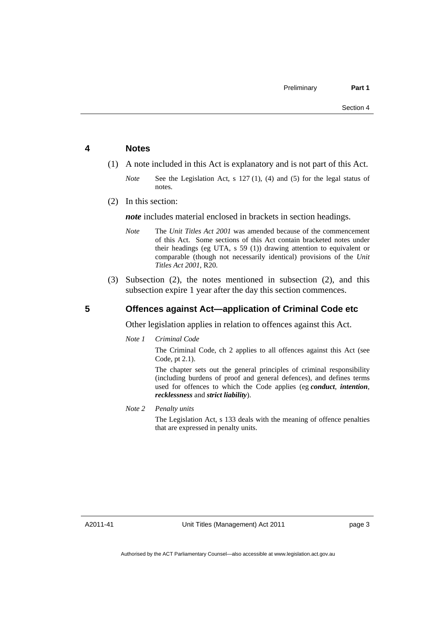#### **4 Notes**

- (1) A note included in this Act is explanatory and is not part of this Act.
	- *Note* See the Legislation Act, s 127 (1), (4) and (5) for the legal status of notes.
- (2) In this section:

*note* includes material enclosed in brackets in section headings.

- *Note* The *Unit Titles Act 2001* was amended because of the commencement of this Act. Some sections of this Act contain bracketed notes under their headings (eg UTA, s 59 (1)) drawing attention to equivalent or comparable (though not necessarily identical) provisions of the *Unit Titles Act 2001*, R20.
- (3) Subsection (2), the notes mentioned in subsection (2), and this subsection expire 1 year after the day this section commences.

### **5 Offences against Act—application of Criminal Code etc**

Other legislation applies in relation to offences against this Act.

*Note 1 Criminal Code*

The Criminal Code, ch 2 applies to all offences against this Act (see Code, pt 2.1).

The chapter sets out the general principles of criminal responsibility (including burdens of proof and general defences), and defines terms used for offences to which the Code applies (eg *conduct*, *intention*, *recklessness* and *strict liability*).

*Note 2 Penalty units* 

The Legislation Act, s 133 deals with the meaning of offence penalties that are expressed in penalty units.

A2011-41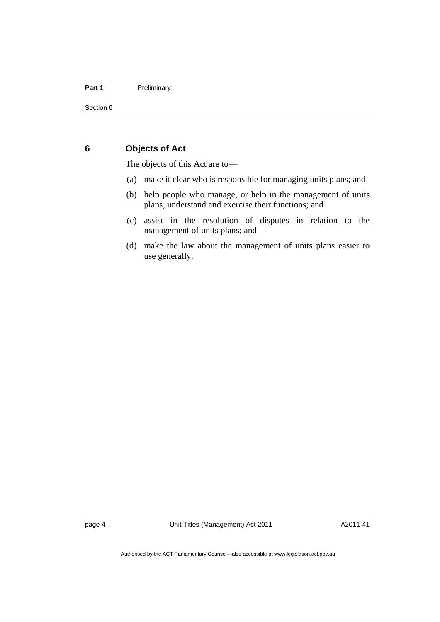### **6 Objects of Act**

The objects of this Act are to—

- (a) make it clear who is responsible for managing units plans; and
- (b) help people who manage, or help in the management of units plans, understand and exercise their functions; and
- (c) assist in the resolution of disputes in relation to the management of units plans; and
- (d) make the law about the management of units plans easier to use generally.

page 4 Unit Titles (Management) Act 2011

A2011-41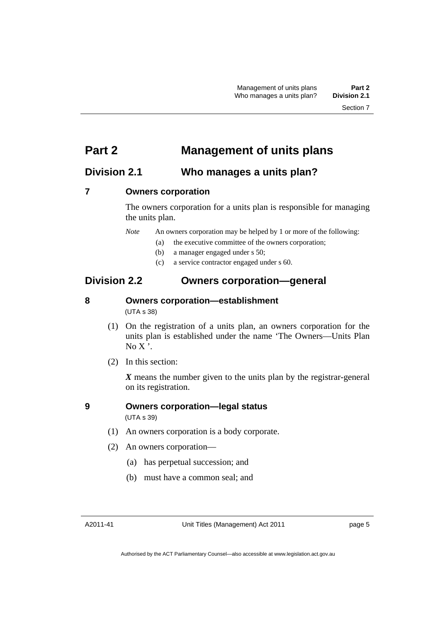### **Part 2 Management of units plans**

### **Division 2.1 Who manages a units plan?**

### **7 Owners corporation**

The owners corporation for a units plan is responsible for managing the units plan.

*Note* An owners corporation may be helped by 1 or more of the following:

- (a) the executive committee of the owners corporation;
- (b) a manager engaged under s 50;
- (c) a service contractor engaged under s 60.

### **Division 2.2 Owners corporation—general**

### **8 Owners corporation—establishment**

(UTA s 38)

- (1) On the registration of a units plan, an owners corporation for the units plan is established under the name 'The Owners—Units Plan  $No X'.$
- (2) In this section:

*X* means the number given to the units plan by the registrar-general on its registration.

### **9 Owners corporation—legal status**  (UTA s 39)

- (1) An owners corporation is a body corporate.
- (2) An owners corporation—
	- (a) has perpetual succession; and
	- (b) must have a common seal; and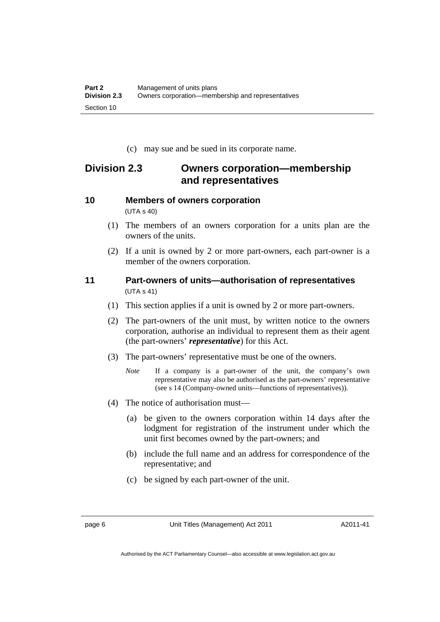(c) may sue and be sued in its corporate name.

### **Division 2.3 Owners corporation—membership and representatives**

# **10 Members of owners corporation**

(UTA s 40)

- (1) The members of an owners corporation for a units plan are the owners of the units.
- (2) If a unit is owned by 2 or more part-owners, each part-owner is a member of the owners corporation.

### **11 Part-owners of units—authorisation of representatives**  (UTA s 41)

- (1) This section applies if a unit is owned by 2 or more part-owners.
- (2) The part-owners of the unit must, by written notice to the owners corporation, authorise an individual to represent them as their agent (the part-owners' *representative*) for this Act.
- (3) The part-owners' representative must be one of the owners.
	- *Note* If a company is a part-owner of the unit, the company's own representative may also be authorised as the part-owners' representative (see s 14 (Company-owned units—functions of representatives)).
- (4) The notice of authorisation must—
	- (a) be given to the owners corporation within 14 days after the lodgment for registration of the instrument under which the unit first becomes owned by the part-owners; and
	- (b) include the full name and an address for correspondence of the representative; and
	- (c) be signed by each part-owner of the unit.

A2011-41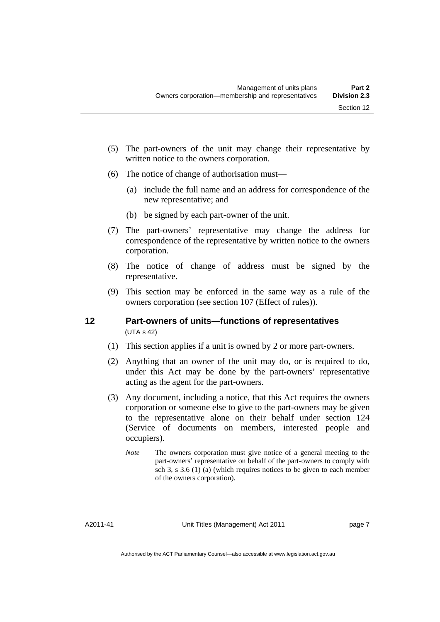- (5) The part-owners of the unit may change their representative by written notice to the owners corporation.
- (6) The notice of change of authorisation must—
	- (a) include the full name and an address for correspondence of the new representative; and
	- (b) be signed by each part-owner of the unit.
- (7) The part-owners' representative may change the address for correspondence of the representative by written notice to the owners corporation.
- (8) The notice of change of address must be signed by the representative.
- (9) This section may be enforced in the same way as a rule of the owners corporation (see section 107 (Effect of rules)).

### **12 Part-owners of units—functions of representatives**  (UTA s 42)

- (1) This section applies if a unit is owned by 2 or more part-owners.
- (2) Anything that an owner of the unit may do, or is required to do, under this Act may be done by the part-owners' representative acting as the agent for the part-owners.
- (3) Any document, including a notice, that this Act requires the owners corporation or someone else to give to the part-owners may be given to the representative alone on their behalf under section 124 (Service of documents on members, interested people and occupiers).
	- *Note* The owners corporation must give notice of a general meeting to the part-owners' representative on behalf of the part-owners to comply with sch 3, s  $3.6$  (1) (a) (which requires notices to be given to each member of the owners corporation).

A2011-41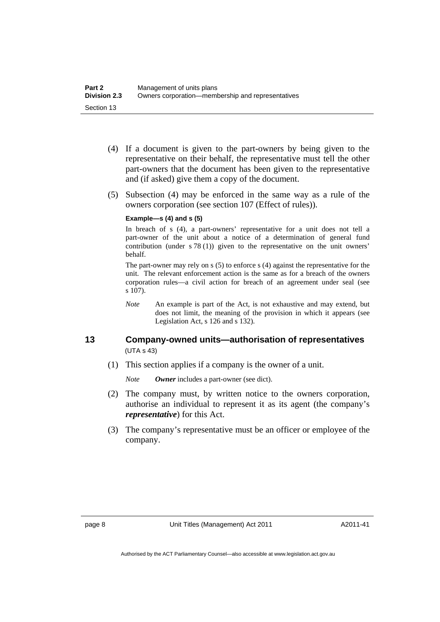- (4) If a document is given to the part-owners by being given to the representative on their behalf, the representative must tell the other part-owners that the document has been given to the representative and (if asked) give them a copy of the document.
- (5) Subsection (4) may be enforced in the same way as a rule of the owners corporation (see section 107 (Effect of rules)).

#### **Example—s (4) and s (5)**

In breach of s (4), a part-owners' representative for a unit does not tell a part-owner of the unit about a notice of a determination of general fund contribution (under s 78 (1)) given to the representative on the unit owners' behalf.

The part-owner may rely on s (5) to enforce s (4) against the representative for the unit. The relevant enforcement action is the same as for a breach of the owners corporation rules—a civil action for breach of an agreement under seal (see  $\overline{s}$  107).

*Note* An example is part of the Act, is not exhaustive and may extend, but does not limit, the meaning of the provision in which it appears (see Legislation Act, s 126 and s 132).

### **13 Company-owned units—authorisation of representatives**  (UTA s 43)

(1) This section applies if a company is the owner of a unit.

*Note Owner* includes a part-owner (see dict).

- (2) The company must, by written notice to the owners corporation, authorise an individual to represent it as its agent (the company's *representative*) for this Act.
- (3) The company's representative must be an officer or employee of the company.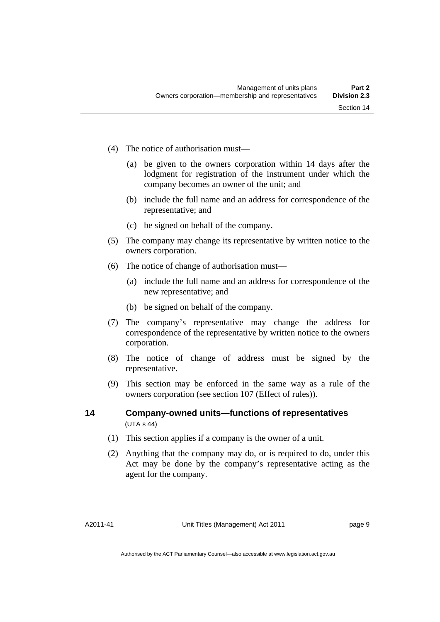- (4) The notice of authorisation must—
	- (a) be given to the owners corporation within 14 days after the lodgment for registration of the instrument under which the company becomes an owner of the unit; and
	- (b) include the full name and an address for correspondence of the representative; and
	- (c) be signed on behalf of the company.
- (5) The company may change its representative by written notice to the owners corporation.
- (6) The notice of change of authorisation must—
	- (a) include the full name and an address for correspondence of the new representative; and
	- (b) be signed on behalf of the company.
- (7) The company's representative may change the address for correspondence of the representative by written notice to the owners corporation.
- (8) The notice of change of address must be signed by the representative.
- (9) This section may be enforced in the same way as a rule of the owners corporation (see section 107 (Effect of rules)).

### **14 Company-owned units—functions of representatives**  (UTA s 44)

- (1) This section applies if a company is the owner of a unit.
- (2) Anything that the company may do, or is required to do, under this Act may be done by the company's representative acting as the agent for the company.

A2011-41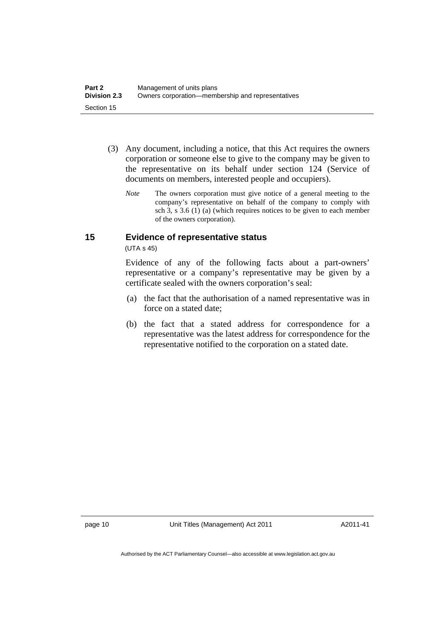- (3) Any document, including a notice, that this Act requires the owners corporation or someone else to give to the company may be given to the representative on its behalf under section 124 (Service of documents on members, interested people and occupiers).
	- *Note* The owners corporation must give notice of a general meeting to the company's representative on behalf of the company to comply with sch 3, s 3.6 (1) (a) (which requires notices to be given to each member of the owners corporation).

### **15 Evidence of representative status**

(UTA s 45)

Evidence of any of the following facts about a part-owners' representative or a company's representative may be given by a certificate sealed with the owners corporation's seal:

- (a) the fact that the authorisation of a named representative was in force on a stated date;
- (b) the fact that a stated address for correspondence for a representative was the latest address for correspondence for the representative notified to the corporation on a stated date.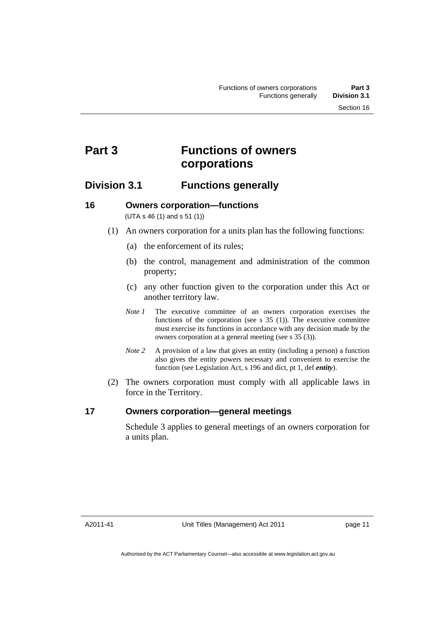### **Part 3 Functions of owners corporations**

### **Division 3.1 Functions generally**

### **16 Owners corporation—functions**

(UTA s 46 (1) and s 51 (1))

- (1) An owners corporation for a units plan has the following functions:
	- (a) the enforcement of its rules;
	- (b) the control, management and administration of the common property;
	- (c) any other function given to the corporation under this Act or another territory law.
	- *Note 1* The executive committee of an owners corporation exercises the functions of the corporation (see s  $35$  (1)). The executive committee must exercise its functions in accordance with any decision made by the owners corporation at a general meeting (see s 35 (3)).
	- *Note 2* A provision of a law that gives an entity (including a person) a function also gives the entity powers necessary and convenient to exercise the function (see Legislation Act, s 196 and dict, pt 1, def *entity*).
- (2) The owners corporation must comply with all applicable laws in force in the Territory.

### **17 Owners corporation—general meetings**

Schedule 3 applies to general meetings of an owners corporation for a units plan.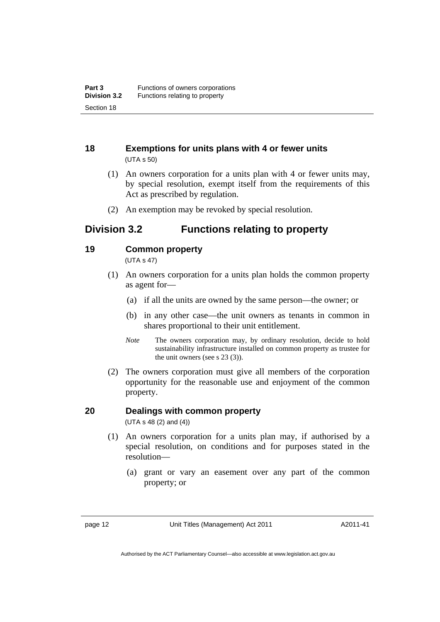### **18 Exemptions for units plans with 4 or fewer units**  (UTA s 50)

- (1) An owners corporation for a units plan with 4 or fewer units may, by special resolution, exempt itself from the requirements of this Act as prescribed by regulation.
- (2) An exemption may be revoked by special resolution.

### **Division 3.2 Functions relating to property**

### **19 Common property**

(UTA s 47)

- (1) An owners corporation for a units plan holds the common property as agent for—
	- (a) if all the units are owned by the same person—the owner; or
	- (b) in any other case—the unit owners as tenants in common in shares proportional to their unit entitlement.
	- *Note* The owners corporation may, by ordinary resolution, decide to hold sustainability infrastructure installed on common property as trustee for the unit owners (see s 23 (3)).
- (2) The owners corporation must give all members of the corporation opportunity for the reasonable use and enjoyment of the common property.

### **20 Dealings with common property**

(UTA s 48 (2) and (4))

- (1) An owners corporation for a units plan may, if authorised by a special resolution, on conditions and for purposes stated in the resolution—
	- (a) grant or vary an easement over any part of the common property; or

page 12 Unit Titles (Management) Act 2011

A2011-41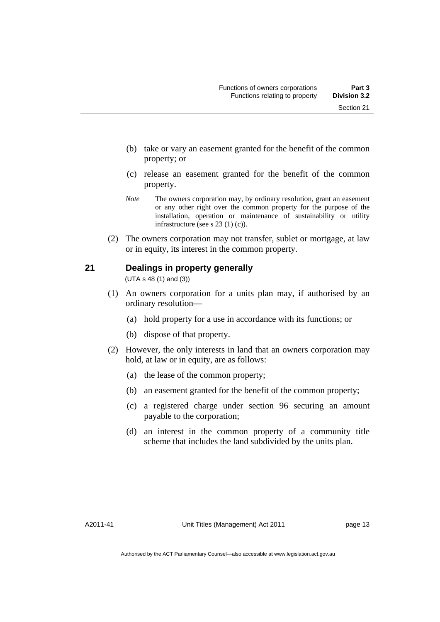- (b) take or vary an easement granted for the benefit of the common property; or
- (c) release an easement granted for the benefit of the common property.
- *Note* The owners corporation may, by ordinary resolution, grant an easement or any other right over the common property for the purpose of the installation, operation or maintenance of sustainability or utility infrastructure (see s 23 (1) (c)).
- (2) The owners corporation may not transfer, sublet or mortgage, at law or in equity, its interest in the common property.

### **21 Dealings in property generally**

(UTA s 48 (1) and (3))

- (1) An owners corporation for a units plan may, if authorised by an ordinary resolution—
	- (a) hold property for a use in accordance with its functions; or
	- (b) dispose of that property.
- (2) However, the only interests in land that an owners corporation may hold, at law or in equity, are as follows:
	- (a) the lease of the common property;
	- (b) an easement granted for the benefit of the common property;
	- (c) a registered charge under section 96 securing an amount payable to the corporation;
	- (d) an interest in the common property of a community title scheme that includes the land subdivided by the units plan.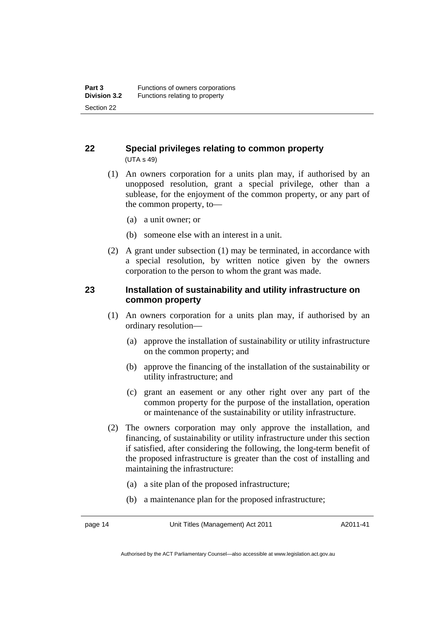### **22 Special privileges relating to common property**  (UTA s 49)

- (1) An owners corporation for a units plan may, if authorised by an unopposed resolution, grant a special privilege, other than a sublease, for the enjoyment of the common property, or any part of the common property, to—
	- (a) a unit owner; or
	- (b) someone else with an interest in a unit.
- (2) A grant under subsection (1) may be terminated, in accordance with a special resolution, by written notice given by the owners corporation to the person to whom the grant was made.

### **23 Installation of sustainability and utility infrastructure on common property**

- (1) An owners corporation for a units plan may, if authorised by an ordinary resolution—
	- (a) approve the installation of sustainability or utility infrastructure on the common property; and
	- (b) approve the financing of the installation of the sustainability or utility infrastructure; and
	- (c) grant an easement or any other right over any part of the common property for the purpose of the installation, operation or maintenance of the sustainability or utility infrastructure.
- (2) The owners corporation may only approve the installation, and financing, of sustainability or utility infrastructure under this section if satisfied, after considering the following, the long-term benefit of the proposed infrastructure is greater than the cost of installing and maintaining the infrastructure:
	- (a) a site plan of the proposed infrastructure;
	- (b) a maintenance plan for the proposed infrastructure;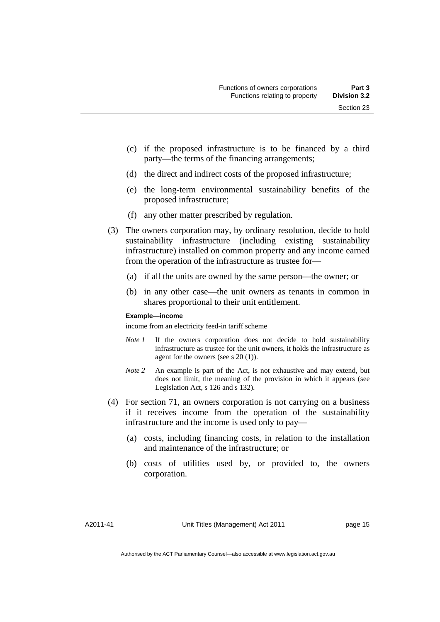- (c) if the proposed infrastructure is to be financed by a third party—the terms of the financing arrangements;
- (d) the direct and indirect costs of the proposed infrastructure;
- (e) the long-term environmental sustainability benefits of the proposed infrastructure;
- (f) any other matter prescribed by regulation.
- (3) The owners corporation may, by ordinary resolution, decide to hold sustainability infrastructure (including existing sustainability infrastructure) installed on common property and any income earned from the operation of the infrastructure as trustee for—
	- (a) if all the units are owned by the same person—the owner; or
	- (b) in any other case—the unit owners as tenants in common in shares proportional to their unit entitlement.

### **Example—income**

income from an electricity feed-in tariff scheme

- *Note 1* If the owners corporation does not decide to hold sustainability infrastructure as trustee for the unit owners, it holds the infrastructure as agent for the owners (see s 20 (1)).
- *Note 2* An example is part of the Act, is not exhaustive and may extend, but does not limit, the meaning of the provision in which it appears (see Legislation Act, s 126 and s 132).
- (4) For section 71, an owners corporation is not carrying on a business if it receives income from the operation of the sustainability infrastructure and the income is used only to pay—
	- (a) costs, including financing costs, in relation to the installation and maintenance of the infrastructure; or
	- (b) costs of utilities used by, or provided to, the owners corporation.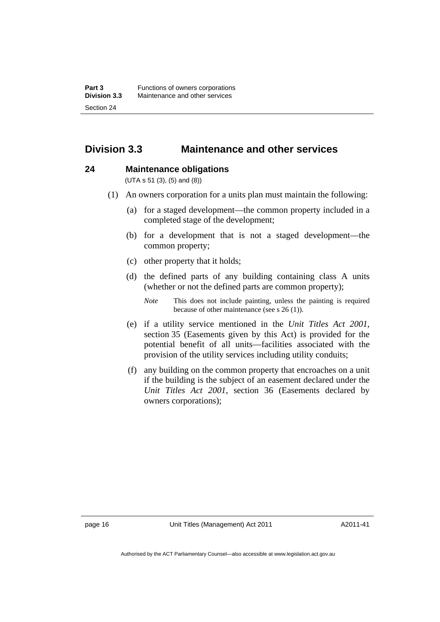### **Division 3.3 Maintenance and other services**

### **24 Maintenance obligations**

(UTA s 51 (3), (5) and (8))

- (1) An owners corporation for a units plan must maintain the following:
	- (a) for a staged development—the common property included in a completed stage of the development;
	- (b) for a development that is not a staged development—the common property;
	- (c) other property that it holds;
	- (d) the defined parts of any building containing class A units (whether or not the defined parts are common property);
		- *Note* This does not include painting, unless the painting is required because of other maintenance (see s 26 (1)).
	- (e) if a utility service mentioned in the *Unit Titles Act 2001*, section 35 (Easements given by this Act) is provided for the potential benefit of all units—facilities associated with the provision of the utility services including utility conduits;
	- (f) any building on the common property that encroaches on a unit if the building is the subject of an easement declared under the *Unit Titles Act 2001*, section 36 (Easements declared by owners corporations);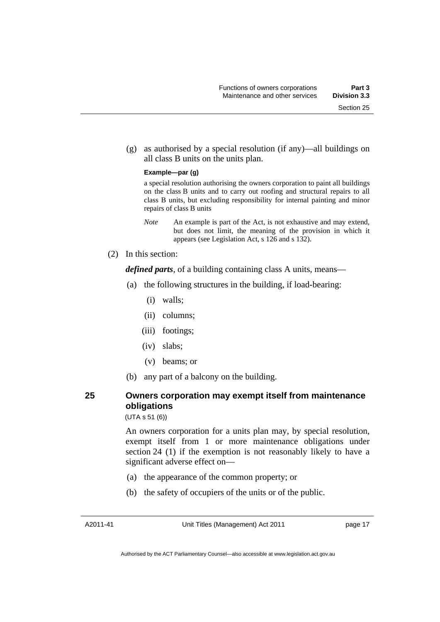(g) as authorised by a special resolution (if any)—all buildings on all class B units on the units plan.

#### **Example—par (g)**

a special resolution authorising the owners corporation to paint all buildings on the class B units and to carry out roofing and structural repairs to all class B units, but excluding responsibility for internal painting and minor repairs of class B units

*Note* An example is part of the Act, is not exhaustive and may extend, but does not limit, the meaning of the provision in which it appears (see Legislation Act, s 126 and s 132).

(2) In this section:

*defined parts*, of a building containing class A units, means—

- (a) the following structures in the building, if load-bearing:
	- (i) walls;
	- (ii) columns;
	- (iii) footings;
	- (iv) slabs;
	- (v) beams; or
- (b) any part of a balcony on the building.

### **25 Owners corporation may exempt itself from maintenance obligations**

(UTA s 51 (6))

An owners corporation for a units plan may, by special resolution, exempt itself from 1 or more maintenance obligations under section 24 (1) if the exemption is not reasonably likely to have a significant adverse effect on—

- (a) the appearance of the common property; or
- (b) the safety of occupiers of the units or of the public.

Unit Titles (Management) Act 2011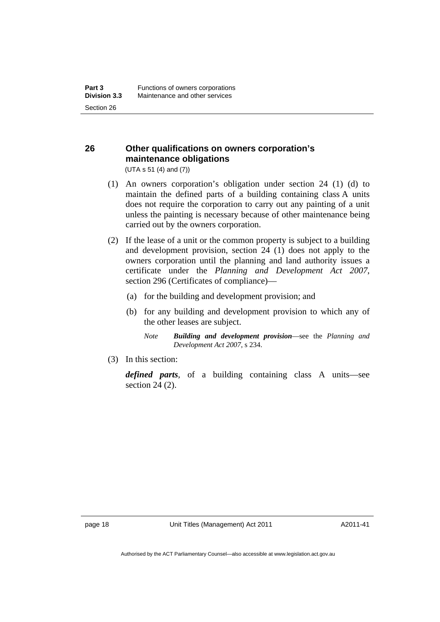### **26 Other qualifications on owners corporation's maintenance obligations**

(UTA s 51 (4) and (7))

- (1) An owners corporation's obligation under section 24 (1) (d) to maintain the defined parts of a building containing class A units does not require the corporation to carry out any painting of a unit unless the painting is necessary because of other maintenance being carried out by the owners corporation.
- (2) If the lease of a unit or the common property is subject to a building and development provision, section 24 (1) does not apply to the owners corporation until the planning and land authority issues a certificate under the *Planning and Development Act 2007*, section 296 (Certificates of compliance)—
	- (a) for the building and development provision; and
	- (b) for any building and development provision to which any of the other leases are subject.
		- *Note Building and development provision*—see the *Planning and Development Act 2007*, s 234.
- (3) In this section:

*defined parts*, of a building containing class A units—see section 24 (2).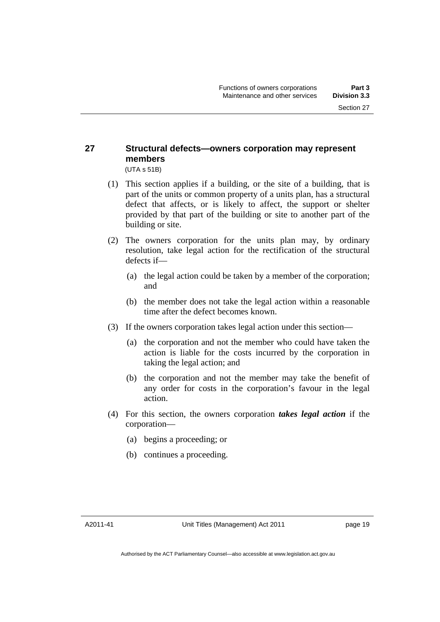### **27 Structural defects—owners corporation may represent members**

(UTA s 51B)

- (1) This section applies if a building, or the site of a building, that is part of the units or common property of a units plan, has a structural defect that affects, or is likely to affect, the support or shelter provided by that part of the building or site to another part of the building or site.
- (2) The owners corporation for the units plan may, by ordinary resolution, take legal action for the rectification of the structural defects if—
	- (a) the legal action could be taken by a member of the corporation; and
	- (b) the member does not take the legal action within a reasonable time after the defect becomes known.
- (3) If the owners corporation takes legal action under this section—
	- (a) the corporation and not the member who could have taken the action is liable for the costs incurred by the corporation in taking the legal action; and
	- (b) the corporation and not the member may take the benefit of any order for costs in the corporation's favour in the legal action.
- (4) For this section, the owners corporation *takes legal action* if the corporation—
	- (a) begins a proceeding; or
	- (b) continues a proceeding.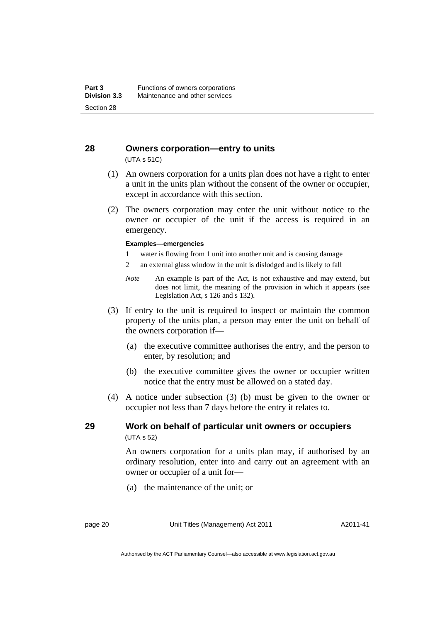#### **28 Owners corporation—entry to units**  (UTA s 51C)

- (1) An owners corporation for a units plan does not have a right to enter a unit in the units plan without the consent of the owner or occupier, except in accordance with this section.
- (2) The owners corporation may enter the unit without notice to the owner or occupier of the unit if the access is required in an emergency.

#### **Examples—emergencies**

- 1 water is flowing from 1 unit into another unit and is causing damage
- 2 an external glass window in the unit is dislodged and is likely to fall
- *Note* An example is part of the Act, is not exhaustive and may extend, but does not limit, the meaning of the provision in which it appears (see Legislation Act, s 126 and s 132).
- (3) If entry to the unit is required to inspect or maintain the common property of the units plan, a person may enter the unit on behalf of the owners corporation if—
	- (a) the executive committee authorises the entry, and the person to enter, by resolution; and
	- (b) the executive committee gives the owner or occupier written notice that the entry must be allowed on a stated day.
- (4) A notice under subsection (3) (b) must be given to the owner or occupier not less than 7 days before the entry it relates to.

### **29 Work on behalf of particular unit owners or occupiers**  (UTA s 52)

An owners corporation for a units plan may, if authorised by an ordinary resolution, enter into and carry out an agreement with an owner or occupier of a unit for—

(a) the maintenance of the unit; or

page 20 Unit Titles (Management) Act 2011

A2011-41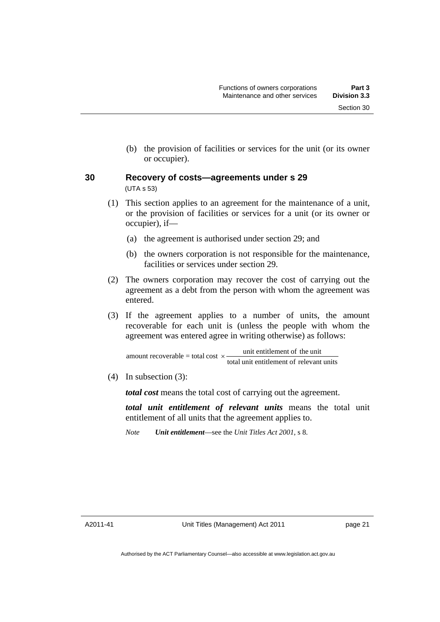(b) the provision of facilities or services for the unit (or its owner or occupier).

### **30 Recovery of costs—agreements under s 29**  (UTA s 53)

- (1) This section applies to an agreement for the maintenance of a unit, or the provision of facilities or services for a unit (or its owner or occupier), if—
	- (a) the agreement is authorised under section 29; and
	- (b) the owners corporation is not responsible for the maintenance, facilities or services under section 29.
- (2) The owners corporation may recover the cost of carrying out the agreement as a debt from the person with whom the agreement was entered.
- (3) If the agreement applies to a number of units, the amount recoverable for each unit is (unless the people with whom the agreement was entered agree in writing otherwise) as follows:

total unit entitlement of relevant units amount recoverable = total cost  $\times$  unit entitlement of the unit

(4) In subsection (3):

*total cost* means the total cost of carrying out the agreement.

*total unit entitlement of relevant units* means the total unit entitlement of all units that the agreement applies to.

*Note Unit entitlement*—see the *Unit Titles Act 2001*, s 8.

A2011-41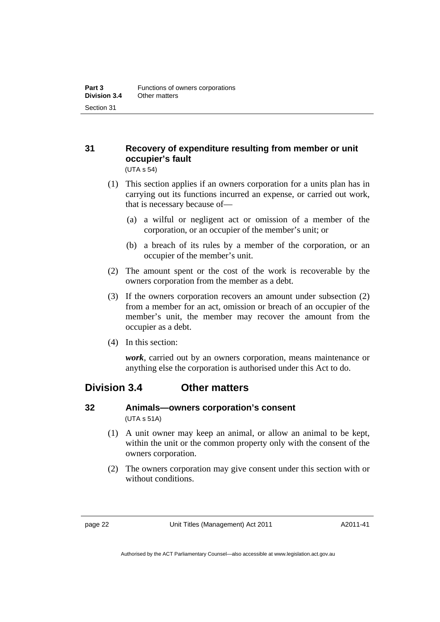### **31 Recovery of expenditure resulting from member or unit occupier's fault**

(UTA s 54)

- (1) This section applies if an owners corporation for a units plan has in carrying out its functions incurred an expense, or carried out work, that is necessary because of—
	- (a) a wilful or negligent act or omission of a member of the corporation, or an occupier of the member's unit; or
	- (b) a breach of its rules by a member of the corporation, or an occupier of the member's unit.
- (2) The amount spent or the cost of the work is recoverable by the owners corporation from the member as a debt.
- (3) If the owners corporation recovers an amount under subsection (2) from a member for an act, omission or breach of an occupier of the member's unit, the member may recover the amount from the occupier as a debt.
- (4) In this section:

*work*, carried out by an owners corporation, means maintenance or anything else the corporation is authorised under this Act to do.

### **Division 3.4 Other matters**

### **32 Animals—owners corporation's consent**  (UTA s 51A)

- (1) A unit owner may keep an animal, or allow an animal to be kept, within the unit or the common property only with the consent of the owners corporation.
- (2) The owners corporation may give consent under this section with or without conditions.

A2011-41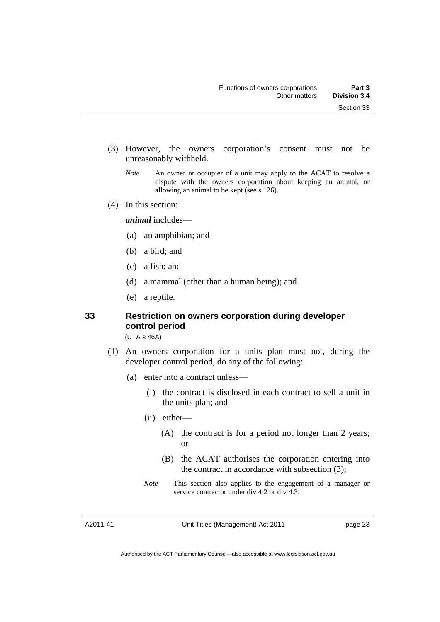- (3) However, the owners corporation's consent must not be unreasonably withheld.
	- *Note* An owner or occupier of a unit may apply to the ACAT to resolve a dispute with the owners corporation about keeping an animal, or allowing an animal to be kept (see s 126).
- (4) In this section:

*animal* includes—

- (a) an amphibian; and
- (b) a bird; and
- (c) a fish; and
- (d) a mammal (other than a human being); and
- (e) a reptile.

### **33 Restriction on owners corporation during developer control period**

(UTA s 46A)

- (1) An owners corporation for a units plan must not, during the developer control period, do any of the following:
	- (a) enter into a contract unless—
		- (i) the contract is disclosed in each contract to sell a unit in the units plan; and
		- (ii) either—
			- (A) the contract is for a period not longer than 2 years; or
			- (B) the ACAT authorises the corporation entering into the contract in accordance with subsection (3);
		- *Note* This section also applies to the engagement of a manager or service contractor under div 4.2 or div 4.3.

A2011-41

Unit Titles (Management) Act 2011

page 23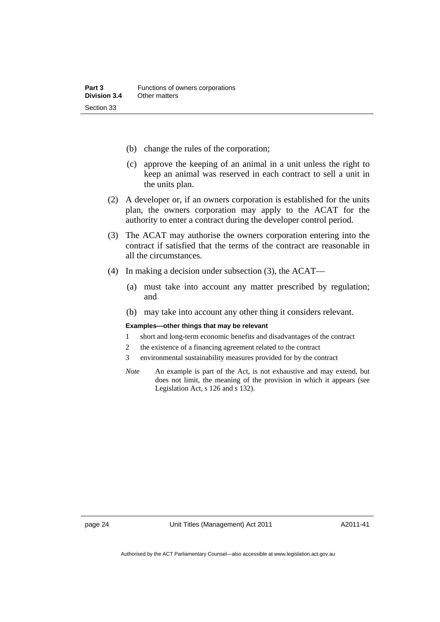- (b) change the rules of the corporation;
- (c) approve the keeping of an animal in a unit unless the right to keep an animal was reserved in each contract to sell a unit in the units plan.
- (2) A developer or, if an owners corporation is established for the units plan, the owners corporation may apply to the ACAT for the authority to enter a contract during the developer control period.
- (3) The ACAT may authorise the owners corporation entering into the contract if satisfied that the terms of the contract are reasonable in all the circumstances.
- (4) In making a decision under subsection (3), the ACAT—
	- (a) must take into account any matter prescribed by regulation; and
	- (b) may take into account any other thing it considers relevant.

#### **Examples—other things that may be relevant**

- 1 short and long-term economic benefits and disadvantages of the contract
- 2 the existence of a financing agreement related to the contract
- 3 environmental sustainability measures provided for by the contract
- *Note* An example is part of the Act, is not exhaustive and may extend, but does not limit, the meaning of the provision in which it appears (see Legislation Act, s 126 and s 132).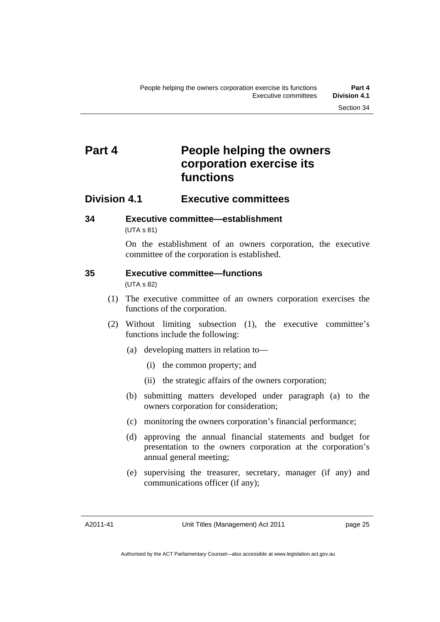# **Part 4 People helping the owners corporation exercise its functions**

## **Division 4.1 Executive committees**

**34 Executive committee—establishment**  (UTA s 81)

> On the establishment of an owners corporation, the executive committee of the corporation is established.

# **35 Executive committee—functions**

(UTA s 82)

- (1) The executive committee of an owners corporation exercises the functions of the corporation.
- (2) Without limiting subsection (1), the executive committee's functions include the following:
	- (a) developing matters in relation to—
		- (i) the common property; and
		- (ii) the strategic affairs of the owners corporation;
	- (b) submitting matters developed under paragraph (a) to the owners corporation for consideration;
	- (c) monitoring the owners corporation's financial performance;
	- (d) approving the annual financial statements and budget for presentation to the owners corporation at the corporation's annual general meeting;
	- (e) supervising the treasurer, secretary, manager (if any) and communications officer (if any);

A2011-41

Unit Titles (Management) Act 2011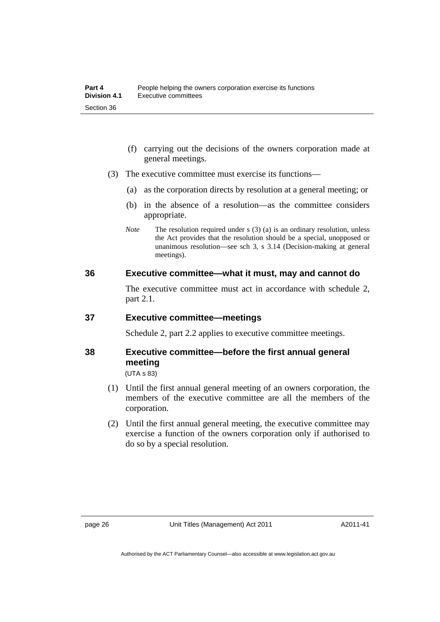- (f) carrying out the decisions of the owners corporation made at general meetings.
- (3) The executive committee must exercise its functions—
	- (a) as the corporation directs by resolution at a general meeting; or
	- (b) in the absence of a resolution—as the committee considers appropriate.
	- *Note* The resolution required under s (3) (a) is an ordinary resolution, unless the Act provides that the resolution should be a special, unopposed or unanimous resolution—see sch 3, s 3.14 (Decision-making at general meetings).

### **36 Executive committee—what it must, may and cannot do**

The executive committee must act in accordance with schedule 2, part 2.1.

### **37 Executive committee—meetings**

Schedule 2, part 2.2 applies to executive committee meetings.

# **38 Executive committee—before the first annual general meeting**

(UTA s 83)

- (1) Until the first annual general meeting of an owners corporation, the members of the executive committee are all the members of the corporation.
- (2) Until the first annual general meeting, the executive committee may exercise a function of the owners corporation only if authorised to do so by a special resolution.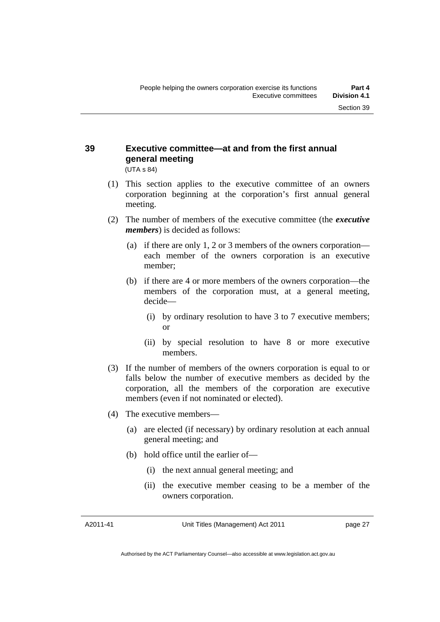# **39 Executive committee—at and from the first annual general meeting**

(UTA s 84)

- (1) This section applies to the executive committee of an owners corporation beginning at the corporation's first annual general meeting.
- (2) The number of members of the executive committee (the *executive members*) is decided as follows:
	- (a) if there are only 1, 2 or 3 members of the owners corporation each member of the owners corporation is an executive member;
	- (b) if there are 4 or more members of the owners corporation—the members of the corporation must, at a general meeting, decide—
		- (i) by ordinary resolution to have 3 to 7 executive members; or
		- (ii) by special resolution to have 8 or more executive members.
- (3) If the number of members of the owners corporation is equal to or falls below the number of executive members as decided by the corporation, all the members of the corporation are executive members (even if not nominated or elected).
- (4) The executive members—
	- (a) are elected (if necessary) by ordinary resolution at each annual general meeting; and
	- (b) hold office until the earlier of—
		- (i) the next annual general meeting; and
		- (ii) the executive member ceasing to be a member of the owners corporation.

A2011-41

Unit Titles (Management) Act 2011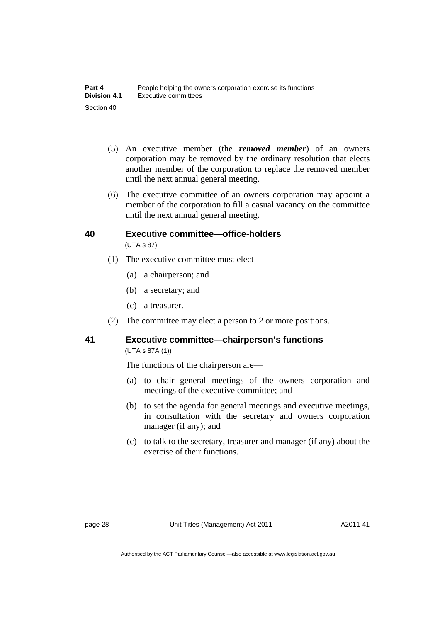- (5) An executive member (the *removed member*) of an owners corporation may be removed by the ordinary resolution that elects another member of the corporation to replace the removed member until the next annual general meeting.
- (6) The executive committee of an owners corporation may appoint a member of the corporation to fill a casual vacancy on the committee until the next annual general meeting.

### **40 Executive committee—office-holders**  (UTA s 87)

- (1) The executive committee must elect—
	- (a) a chairperson; and
	- (b) a secretary; and
	- (c) a treasurer.
- (2) The committee may elect a person to 2 or more positions.

# **41 Executive committee—chairperson's functions**

(UTA s 87A (1))

The functions of the chairperson are—

- (a) to chair general meetings of the owners corporation and meetings of the executive committee; and
- (b) to set the agenda for general meetings and executive meetings, in consultation with the secretary and owners corporation manager (if any); and
- (c) to talk to the secretary, treasurer and manager (if any) about the exercise of their functions.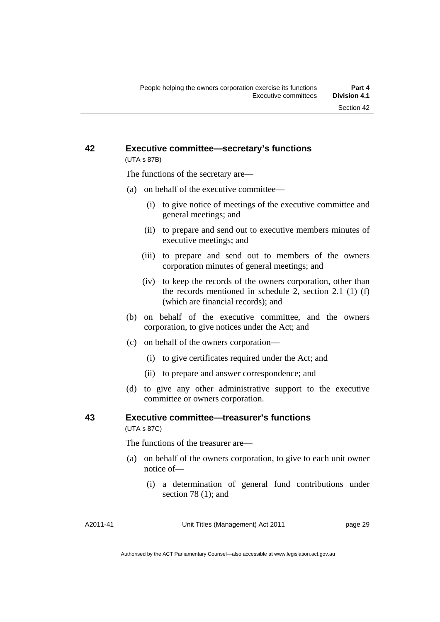### **42 Executive committee—secretary's functions**  (UTA s 87B)

The functions of the secretary are—

- (a) on behalf of the executive committee—
	- (i) to give notice of meetings of the executive committee and general meetings; and
	- (ii) to prepare and send out to executive members minutes of executive meetings; and
	- (iii) to prepare and send out to members of the owners corporation minutes of general meetings; and
	- (iv) to keep the records of the owners corporation, other than the records mentioned in schedule 2, section 2.1 (1) (f) (which are financial records); and
- (b) on behalf of the executive committee, and the owners corporation, to give notices under the Act; and
- (c) on behalf of the owners corporation—
	- (i) to give certificates required under the Act; and
	- (ii) to prepare and answer correspondence; and
- (d) to give any other administrative support to the executive committee or owners corporation.

### **43 Executive committee—treasurer's functions**

(UTA s 87C)

The functions of the treasurer are—

- (a) on behalf of the owners corporation, to give to each unit owner notice of—
	- (i) a determination of general fund contributions under section 78 (1); and

A2011-41

Unit Titles (Management) Act 2011

page 29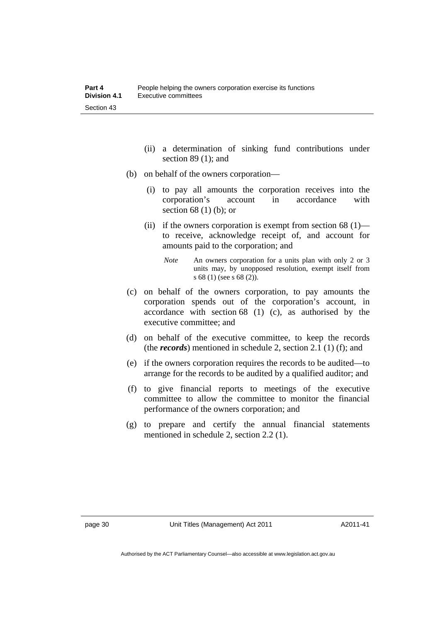- (ii) a determination of sinking fund contributions under section 89 (1); and
- (b) on behalf of the owners corporation—
	- (i) to pay all amounts the corporation receives into the corporation's account in accordance with section 68 (1) (b); or
	- (ii) if the owners corporation is exempt from section  $68(1)$  to receive, acknowledge receipt of, and account for amounts paid to the corporation; and
		- *Note* An owners corporation for a units plan with only 2 or 3 units may, by unopposed resolution, exempt itself from s 68 (1) (see s 68 (2)).
- (c) on behalf of the owners corporation, to pay amounts the corporation spends out of the corporation's account, in accordance with section 68 (1) (c), as authorised by the executive committee; and
- (d) on behalf of the executive committee, to keep the records (the *records*) mentioned in schedule 2, section 2.1 (1) (f); and
- (e) if the owners corporation requires the records to be audited—to arrange for the records to be audited by a qualified auditor; and
- (f) to give financial reports to meetings of the executive committee to allow the committee to monitor the financial performance of the owners corporation; and
- (g) to prepare and certify the annual financial statements mentioned in schedule 2, section 2.2 (1).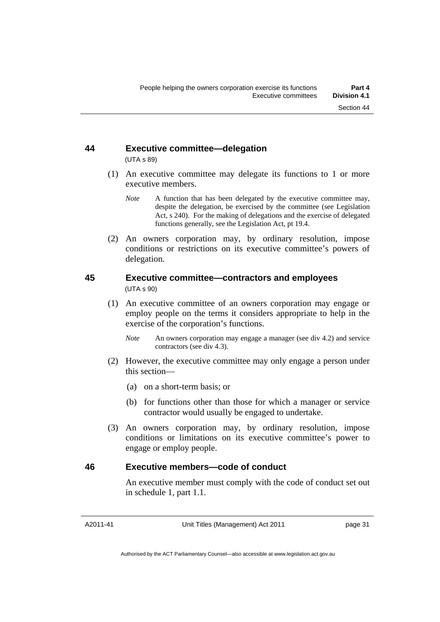### **44 Executive committee—delegation**  (UTA s 89)

- (1) An executive committee may delegate its functions to 1 or more executive members.
	- *Note* A function that has been delegated by the executive committee may, despite the delegation, be exercised by the committee (see Legislation Act, s 240). For the making of delegations and the exercise of delegated functions generally, see the Legislation Act, pt 19.4.
- (2) An owners corporation may, by ordinary resolution, impose conditions or restrictions on its executive committee's powers of delegation.

### **45 Executive committee—contractors and employees**  (UTA s 90)

- (1) An executive committee of an owners corporation may engage or employ people on the terms it considers appropriate to help in the exercise of the corporation's functions.
	- *Note* An owners corporation may engage a manager (see div 4.2) and service contractors (see div 4.3).
- (2) However, the executive committee may only engage a person under this section—
	- (a) on a short-term basis; or
	- (b) for functions other than those for which a manager or service contractor would usually be engaged to undertake.
- (3) An owners corporation may, by ordinary resolution, impose conditions or limitations on its executive committee's power to engage or employ people.

### **46 Executive members—code of conduct**

An executive member must comply with the code of conduct set out in schedule 1, part 1.1.

A2011-41

Unit Titles (Management) Act 2011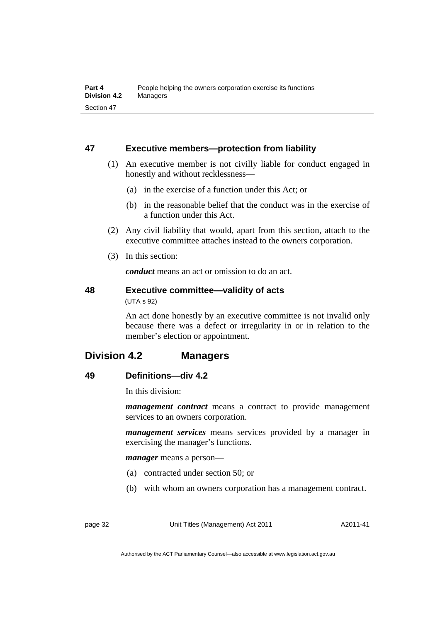### **47 Executive members—protection from liability**

- (1) An executive member is not civilly liable for conduct engaged in honestly and without recklessness—
	- (a) in the exercise of a function under this Act; or
	- (b) in the reasonable belief that the conduct was in the exercise of a function under this Act.
- (2) Any civil liability that would, apart from this section, attach to the executive committee attaches instead to the owners corporation.
- (3) In this section:

*conduct* means an act or omission to do an act.

### **48 Executive committee—validity of acts**  (UTA s 92)

An act done honestly by an executive committee is not invalid only because there was a defect or irregularity in or in relation to the member's election or appointment.

# **Division 4.2 Managers**

# **49 Definitions—div 4.2**

In this division:

*management contract* means a contract to provide management services to an owners corporation.

*management services* means services provided by a manager in exercising the manager's functions.

*manager* means a person—

- (a) contracted under section 50; or
- (b) with whom an owners corporation has a management contract.

page 32 Unit Titles (Management) Act 2011

A2011-41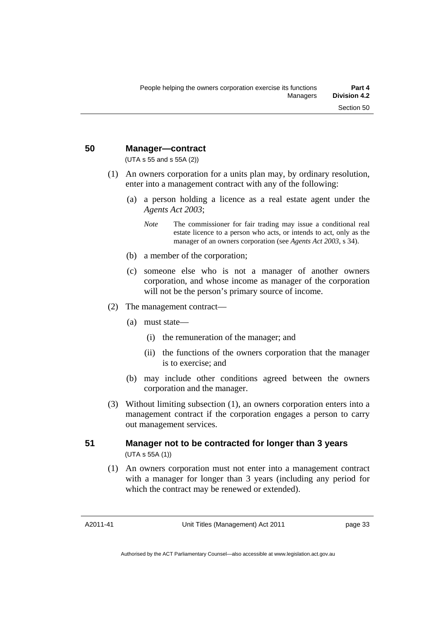### **50 Manager—contract**

(UTA s 55 and s 55A (2))

- (1) An owners corporation for a units plan may, by ordinary resolution, enter into a management contract with any of the following:
	- (a) a person holding a licence as a real estate agent under the *Agents Act 2003*;
		- *Note* The commissioner for fair trading may issue a conditional real estate licence to a person who acts, or intends to act, only as the manager of an owners corporation (see *Agents Act 2003*, s 34).
	- (b) a member of the corporation;
	- (c) someone else who is not a manager of another owners corporation, and whose income as manager of the corporation will not be the person's primary source of income.
- (2) The management contract—
	- (a) must state—
		- (i) the remuneration of the manager; and
		- (ii) the functions of the owners corporation that the manager is to exercise; and
	- (b) may include other conditions agreed between the owners corporation and the manager.
- (3) Without limiting subsection (1), an owners corporation enters into a management contract if the corporation engages a person to carry out management services.

### **51 Manager not to be contracted for longer than 3 years**  (UTA s 55A (1))

 (1) An owners corporation must not enter into a management contract with a manager for longer than 3 years (including any period for which the contract may be renewed or extended).

A2011-41

Unit Titles (Management) Act 2011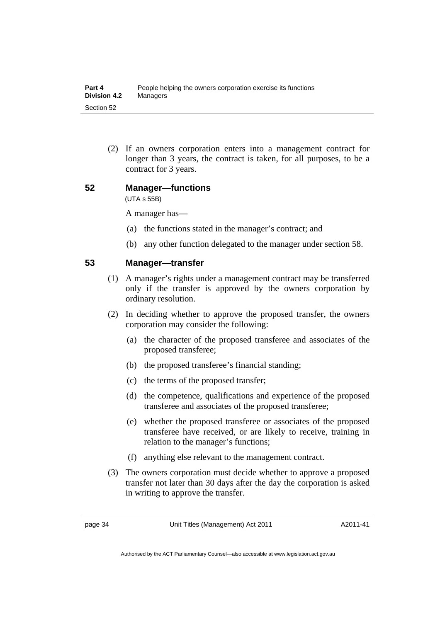(2) If an owners corporation enters into a management contract for longer than 3 years, the contract is taken, for all purposes, to be a contract for 3 years.

### **52 Manager—functions**

(UTA s 55B)

A manager has—

- (a) the functions stated in the manager's contract; and
- (b) any other function delegated to the manager under section 58.

### **53 Manager—transfer**

- (1) A manager's rights under a management contract may be transferred only if the transfer is approved by the owners corporation by ordinary resolution.
- (2) In deciding whether to approve the proposed transfer, the owners corporation may consider the following:
	- (a) the character of the proposed transferee and associates of the proposed transferee;
	- (b) the proposed transferee's financial standing;
	- (c) the terms of the proposed transfer;
	- (d) the competence, qualifications and experience of the proposed transferee and associates of the proposed transferee;
	- (e) whether the proposed transferee or associates of the proposed transferee have received, or are likely to receive, training in relation to the manager's functions;
	- (f) anything else relevant to the management contract.
- (3) The owners corporation must decide whether to approve a proposed transfer not later than 30 days after the day the corporation is asked in writing to approve the transfer.

page 34 Unit Titles (Management) Act 2011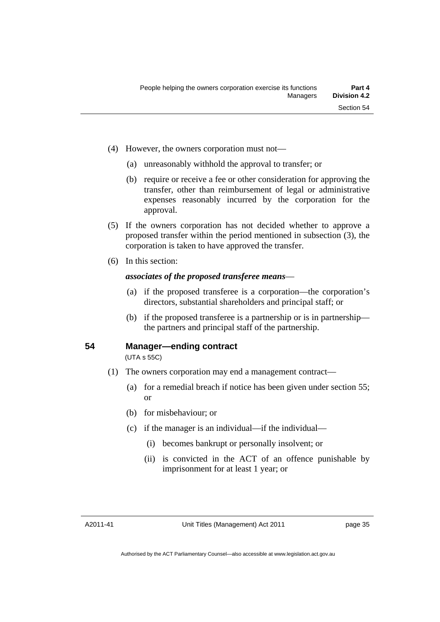- (4) However, the owners corporation must not—
	- (a) unreasonably withhold the approval to transfer; or
	- (b) require or receive a fee or other consideration for approving the transfer, other than reimbursement of legal or administrative expenses reasonably incurred by the corporation for the approval.
- (5) If the owners corporation has not decided whether to approve a proposed transfer within the period mentioned in subsection (3), the corporation is taken to have approved the transfer.
- (6) In this section:

### *associates of the proposed transferee means*—

- (a) if the proposed transferee is a corporation—the corporation's directors, substantial shareholders and principal staff; or
- (b) if the proposed transferee is a partnership or is in partnership the partners and principal staff of the partnership.

### **54 Manager—ending contract**

(UTA s 55C)

- (1) The owners corporation may end a management contract—
	- (a) for a remedial breach if notice has been given under section 55; or
	- (b) for misbehaviour; or
	- (c) if the manager is an individual—if the individual—
		- (i) becomes bankrupt or personally insolvent; or
		- (ii) is convicted in the ACT of an offence punishable by imprisonment for at least 1 year; or

A2011-41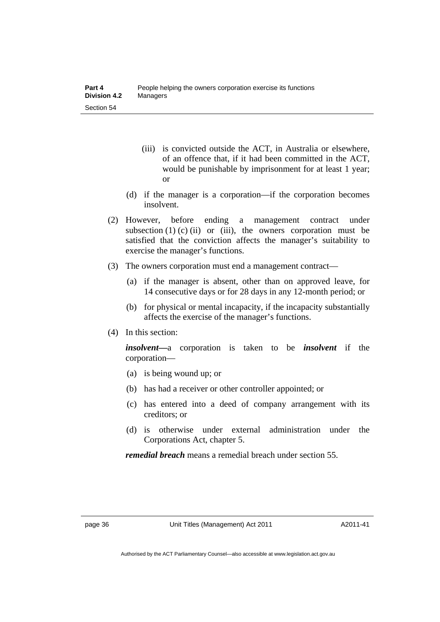- (iii) is convicted outside the ACT, in Australia or elsewhere, of an offence that, if it had been committed in the ACT, would be punishable by imprisonment for at least 1 year; or
- (d) if the manager is a corporation—if the corporation becomes insolvent.
- (2) However, before ending a management contract under subsection  $(1)$   $(c)$   $(ii)$  or  $(iii)$ , the owners corporation must be satisfied that the conviction affects the manager's suitability to exercise the manager's functions.
- (3) The owners corporation must end a management contract—
	- (a) if the manager is absent, other than on approved leave, for 14 consecutive days or for 28 days in any 12-month period; or
	- (b) for physical or mental incapacity, if the incapacity substantially affects the exercise of the manager's functions.
- (4) In this section:

*insolvent—*a corporation is taken to be *insolvent* if the corporation—

- (a) is being wound up; or
- (b) has had a receiver or other controller appointed; or
- (c) has entered into a deed of company arrangement with its creditors; or
- (d) is otherwise under external administration under the Corporations Act, chapter 5.

*remedial breach* means a remedial breach under section 55.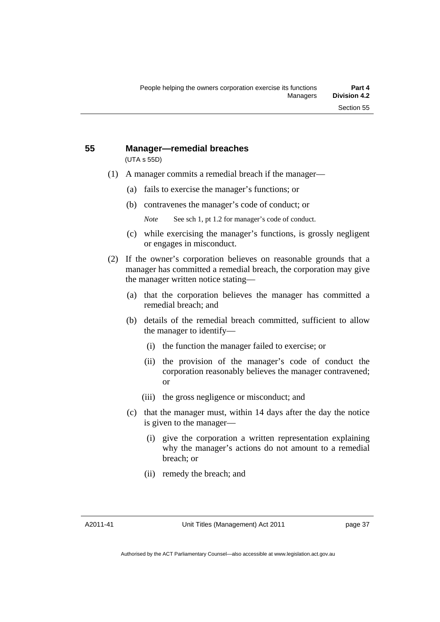# **55 Manager—remedial breaches**

(UTA s 55D)

- (1) A manager commits a remedial breach if the manager—
	- (a) fails to exercise the manager's functions; or
	- (b) contravenes the manager's code of conduct; or
		- *Note* See sch 1, pt 1.2 for manager's code of conduct.
	- (c) while exercising the manager's functions, is grossly negligent or engages in misconduct.
- (2) If the owner's corporation believes on reasonable grounds that a manager has committed a remedial breach, the corporation may give the manager written notice stating—
	- (a) that the corporation believes the manager has committed a remedial breach; and
	- (b) details of the remedial breach committed, sufficient to allow the manager to identify—
		- (i) the function the manager failed to exercise; or
		- (ii) the provision of the manager's code of conduct the corporation reasonably believes the manager contravened; or
		- (iii) the gross negligence or misconduct; and
	- (c) that the manager must, within 14 days after the day the notice is given to the manager—
		- (i) give the corporation a written representation explaining why the manager's actions do not amount to a remedial breach; or
		- (ii) remedy the breach; and

A2011-41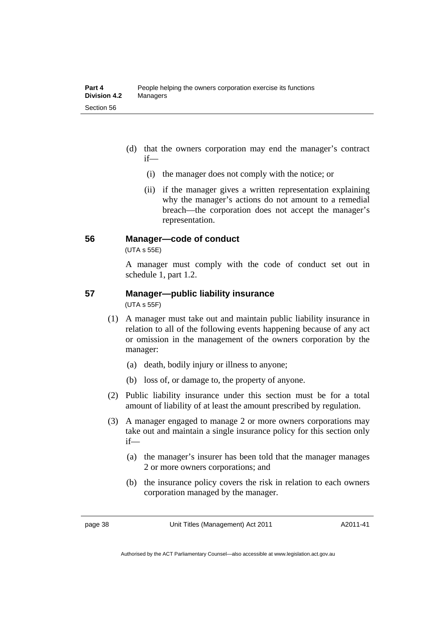- (d) that the owners corporation may end the manager's contract if—
	- (i) the manager does not comply with the notice; or
	- (ii) if the manager gives a written representation explaining why the manager's actions do not amount to a remedial breach—the corporation does not accept the manager's representation.

### **56 Manager—code of conduct**

(UTA s 55E)

A manager must comply with the code of conduct set out in schedule 1, part 1.2.

### **57 Manager—public liability insurance**

(UTA s 55F)

- (1) A manager must take out and maintain public liability insurance in relation to all of the following events happening because of any act or omission in the management of the owners corporation by the manager:
	- (a) death, bodily injury or illness to anyone;
	- (b) loss of, or damage to, the property of anyone.
- (2) Public liability insurance under this section must be for a total amount of liability of at least the amount prescribed by regulation.
- (3) A manager engaged to manage 2 or more owners corporations may take out and maintain a single insurance policy for this section only if—
	- (a) the manager's insurer has been told that the manager manages 2 or more owners corporations; and
	- (b) the insurance policy covers the risk in relation to each owners corporation managed by the manager.

page 38 Unit Titles (Management) Act 2011

A2011-41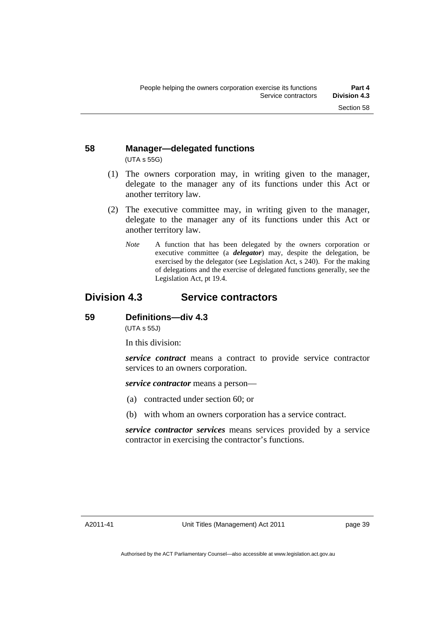### **58 Manager—delegated functions**  (UTA s 55G)

- (1) The owners corporation may, in writing given to the manager, delegate to the manager any of its functions under this Act or another territory law.
- (2) The executive committee may, in writing given to the manager, delegate to the manager any of its functions under this Act or another territory law.
	- *Note* A function that has been delegated by the owners corporation or executive committee (a *delegator*) may, despite the delegation, be exercised by the delegator (see Legislation Act, s 240). For the making of delegations and the exercise of delegated functions generally, see the Legislation Act, pt 19.4.

# **Division 4.3 Service contractors**

### **59 Definitions—div 4.3**

(UTA s 55J)

In this division:

*service contract* means a contract to provide service contractor services to an owners corporation.

*service contractor* means a person—

- (a) contracted under section 60; or
- (b) with whom an owners corporation has a service contract.

*service contractor services* means services provided by a service contractor in exercising the contractor's functions.

A2011-41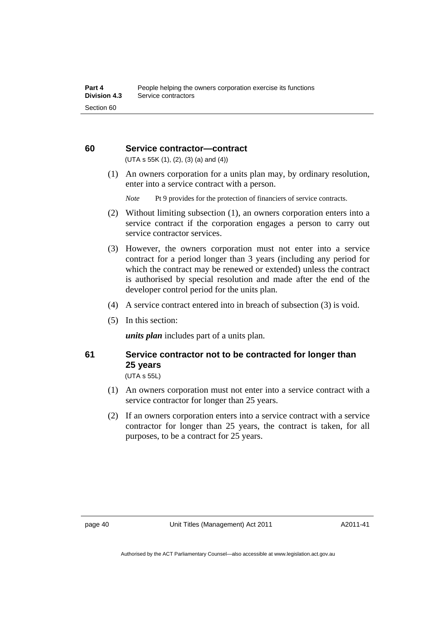### **60 Service contractor—contract**

 $(UTA s 55K (1), (2), (3) (a) and (4))$ 

 (1) An owners corporation for a units plan may, by ordinary resolution, enter into a service contract with a person.

*Note* Pt 9 provides for the protection of financiers of service contracts.

- (2) Without limiting subsection (1), an owners corporation enters into a service contract if the corporation engages a person to carry out service contractor services.
- (3) However, the owners corporation must not enter into a service contract for a period longer than 3 years (including any period for which the contract may be renewed or extended) unless the contract is authorised by special resolution and made after the end of the developer control period for the units plan.
- (4) A service contract entered into in breach of subsection (3) is void.
- (5) In this section:

*units plan* includes part of a units plan.

### **61 Service contractor not to be contracted for longer than 25 years**

(UTA s 55L)

- (1) An owners corporation must not enter into a service contract with a service contractor for longer than 25 years.
- (2) If an owners corporation enters into a service contract with a service contractor for longer than 25 years, the contract is taken, for all purposes, to be a contract for 25 years.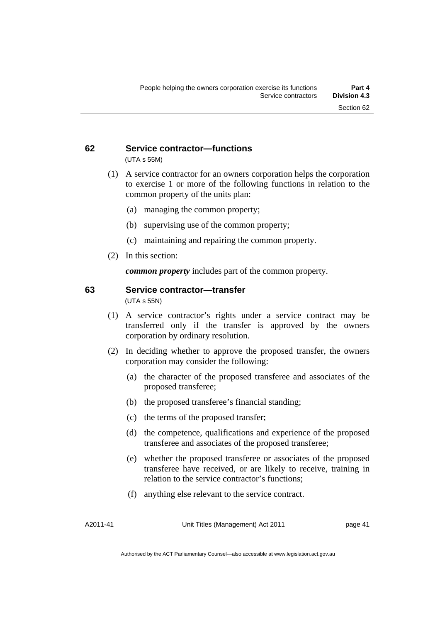### **62 Service contractor—functions**  (UTA s 55M)

- (1) A service contractor for an owners corporation helps the corporation to exercise 1 or more of the following functions in relation to the common property of the units plan:
	- (a) managing the common property;
	- (b) supervising use of the common property;
	- (c) maintaining and repairing the common property.
- (2) In this section:

*common property* includes part of the common property.

### **63 Service contractor—transfer**

(UTA s 55N)

- (1) A service contractor's rights under a service contract may be transferred only if the transfer is approved by the owners corporation by ordinary resolution.
- (2) In deciding whether to approve the proposed transfer, the owners corporation may consider the following:
	- (a) the character of the proposed transferee and associates of the proposed transferee;
	- (b) the proposed transferee's financial standing;
	- (c) the terms of the proposed transfer;
	- (d) the competence, qualifications and experience of the proposed transferee and associates of the proposed transferee;
	- (e) whether the proposed transferee or associates of the proposed transferee have received, or are likely to receive, training in relation to the service contractor's functions;
	- (f) anything else relevant to the service contract.

A2011-41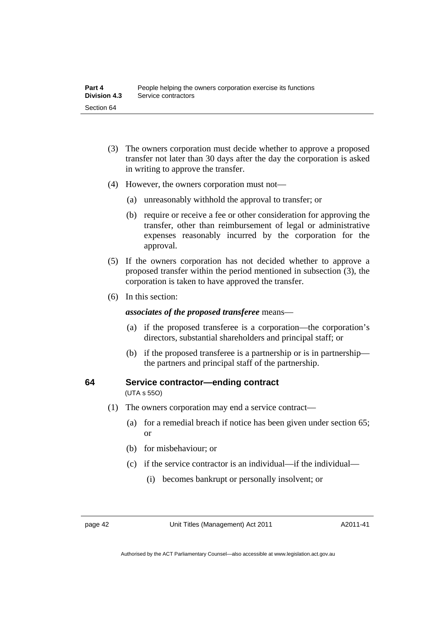- (3) The owners corporation must decide whether to approve a proposed transfer not later than 30 days after the day the corporation is asked in writing to approve the transfer.
- (4) However, the owners corporation must not—
	- (a) unreasonably withhold the approval to transfer; or
	- (b) require or receive a fee or other consideration for approving the transfer, other than reimbursement of legal or administrative expenses reasonably incurred by the corporation for the approval.
- (5) If the owners corporation has not decided whether to approve a proposed transfer within the period mentioned in subsection (3), the corporation is taken to have approved the transfer.
- (6) In this section:

*associates of the proposed transferee* means—

- (a) if the proposed transferee is a corporation—the corporation's directors, substantial shareholders and principal staff; or
- (b) if the proposed transferee is a partnership or is in partnership the partners and principal staff of the partnership.

### **64 Service contractor—ending contract**

(UTA s 55O)

- (1) The owners corporation may end a service contract—
	- (a) for a remedial breach if notice has been given under section 65; or
	- (b) for misbehaviour; or
	- (c) if the service contractor is an individual—if the individual—
		- (i) becomes bankrupt or personally insolvent; or

page 42 Unit Titles (Management) Act 2011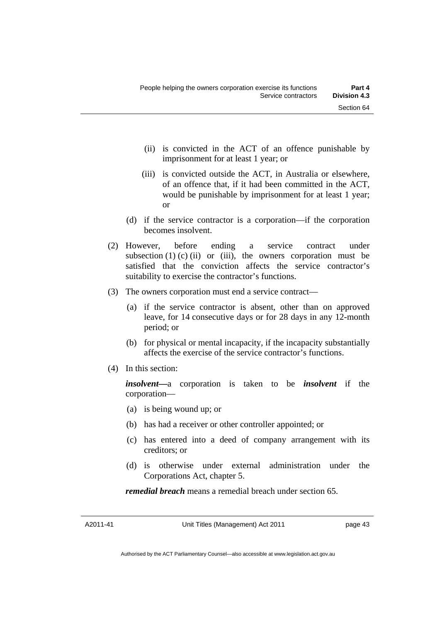- (ii) is convicted in the ACT of an offence punishable by imprisonment for at least 1 year; or
- (iii) is convicted outside the ACT, in Australia or elsewhere, of an offence that, if it had been committed in the ACT, would be punishable by imprisonment for at least 1 year; or
- (d) if the service contractor is a corporation—if the corporation becomes insolvent.
- (2) However, before ending a service contract under subsection  $(1)$   $(c)$   $(ii)$  or  $(iii)$ , the owners corporation must be satisfied that the conviction affects the service contractor's suitability to exercise the contractor's functions.
- (3) The owners corporation must end a service contract—
	- (a) if the service contractor is absent, other than on approved leave, for 14 consecutive days or for 28 days in any 12-month period; or
	- (b) for physical or mental incapacity, if the incapacity substantially affects the exercise of the service contractor's functions.
- (4) In this section:

*insolvent—*a corporation is taken to be *insolvent* if the corporation—

- (a) is being wound up; or
- (b) has had a receiver or other controller appointed; or
- (c) has entered into a deed of company arrangement with its creditors; or
- (d) is otherwise under external administration under the Corporations Act, chapter 5.

*remedial breach* means a remedial breach under section 65.

A2011-41

Unit Titles (Management) Act 2011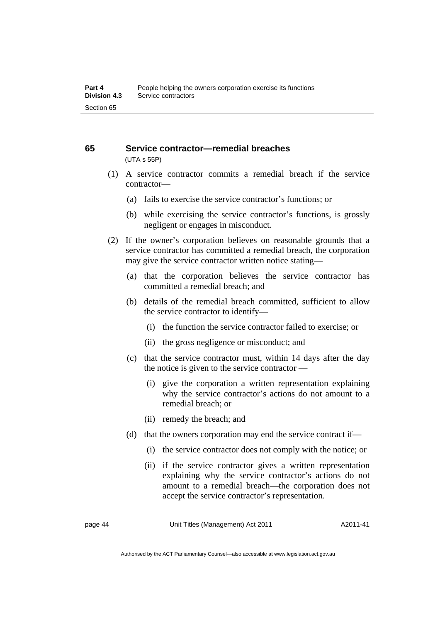### **65 Service contractor—remedial breaches**  (UTA s 55P)

- (1) A service contractor commits a remedial breach if the service contractor—
	- (a) fails to exercise the service contractor's functions; or
	- (b) while exercising the service contractor's functions, is grossly negligent or engages in misconduct.
- (2) If the owner's corporation believes on reasonable grounds that a service contractor has committed a remedial breach, the corporation may give the service contractor written notice stating—
	- (a) that the corporation believes the service contractor has committed a remedial breach; and
	- (b) details of the remedial breach committed, sufficient to allow the service contractor to identify—
		- (i) the function the service contractor failed to exercise; or
		- (ii) the gross negligence or misconduct; and
	- (c) that the service contractor must, within 14 days after the day the notice is given to the service contractor —
		- (i) give the corporation a written representation explaining why the service contractor's actions do not amount to a remedial breach; or
		- (ii) remedy the breach; and
	- (d) that the owners corporation may end the service contract if—
		- (i) the service contractor does not comply with the notice; or
		- (ii) if the service contractor gives a written representation explaining why the service contractor's actions do not amount to a remedial breach—the corporation does not accept the service contractor's representation.

page 44 Unit Titles (Management) Act 2011

A2011-41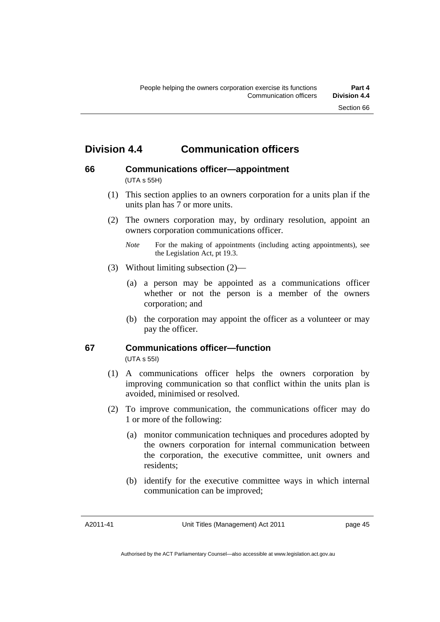# **Division 4.4 Communication officers**

# **66 Communications officer—appointment**

(UTA s 55H)

- (1) This section applies to an owners corporation for a units plan if the units plan has 7 or more units.
- (2) The owners corporation may, by ordinary resolution, appoint an owners corporation communications officer.
	- *Note* For the making of appointments (including acting appointments), see the Legislation Act, pt 19.3.
- (3) Without limiting subsection (2)—
	- (a) a person may be appointed as a communications officer whether or not the person is a member of the owners corporation; and
	- (b) the corporation may appoint the officer as a volunteer or may pay the officer.

# **67 Communications officer—function**

(UTA s 55I)

- (1) A communications officer helps the owners corporation by improving communication so that conflict within the units plan is avoided, minimised or resolved.
- (2) To improve communication, the communications officer may do 1 or more of the following:
	- (a) monitor communication techniques and procedures adopted by the owners corporation for internal communication between the corporation, the executive committee, unit owners and residents;
	- (b) identify for the executive committee ways in which internal communication can be improved;

A2011-41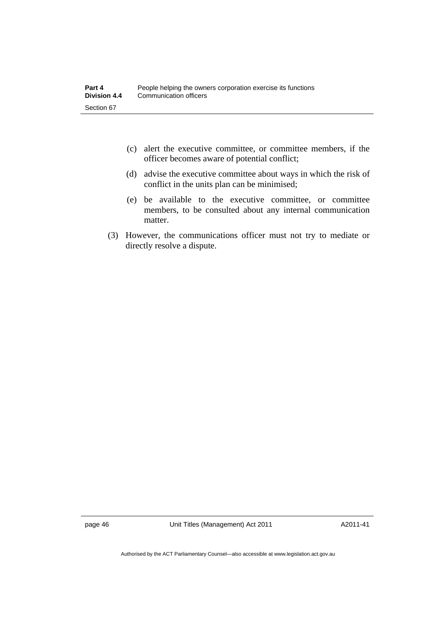- (c) alert the executive committee, or committee members, if the officer becomes aware of potential conflict;
- (d) advise the executive committee about ways in which the risk of conflict in the units plan can be minimised;
- (e) be available to the executive committee, or committee members, to be consulted about any internal communication matter.
- (3) However, the communications officer must not try to mediate or directly resolve a dispute.

page 46 Unit Titles (Management) Act 2011

A2011-41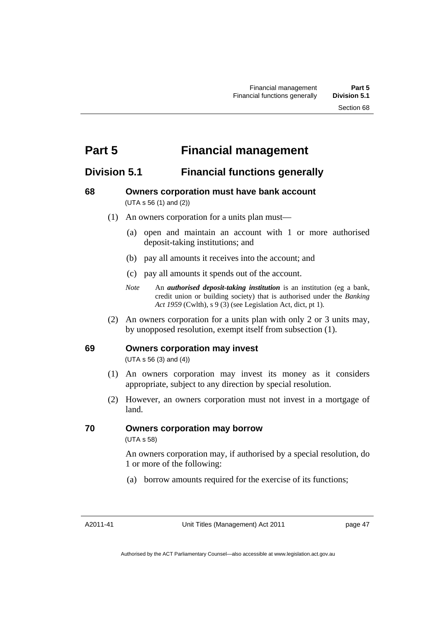# **Part 5 Financial management**

# **Division 5.1 Financial functions generally**

### **68 Owners corporation must have bank account**  (UTA s 56 (1) and (2))

- (1) An owners corporation for a units plan must—
	- (a) open and maintain an account with 1 or more authorised deposit-taking institutions; and
	- (b) pay all amounts it receives into the account; and
	- (c) pay all amounts it spends out of the account.
	- *Note* An *authorised deposit-taking institution* is an institution (eg a bank, credit union or building society) that is authorised under the *Banking Act 1959* (Cwlth), s 9 (3) (see Legislation Act, dict, pt 1).
- (2) An owners corporation for a units plan with only 2 or 3 units may, by unopposed resolution, exempt itself from subsection (1).

### **69 Owners corporation may invest**

(UTA s 56 (3) and (4))

- (1) An owners corporation may invest its money as it considers appropriate, subject to any direction by special resolution.
- (2) However, an owners corporation must not invest in a mortgage of land.

### **70 Owners corporation may borrow**

(UTA s 58)

An owners corporation may, if authorised by a special resolution, do 1 or more of the following:

(a) borrow amounts required for the exercise of its functions;

A2011-41

Unit Titles (Management) Act 2011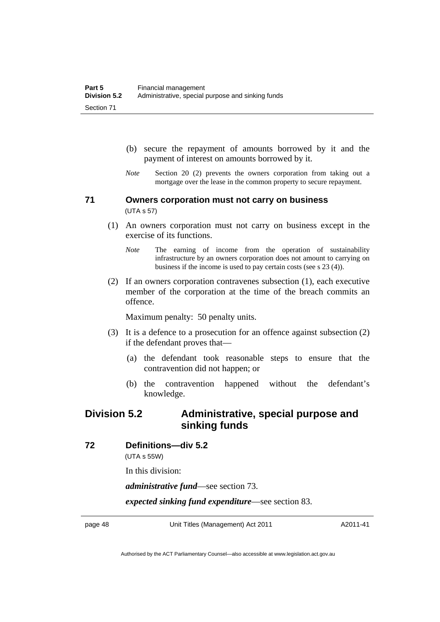- (b) secure the repayment of amounts borrowed by it and the payment of interest on amounts borrowed by it.
- *Note* Section 20 (2) prevents the owners corporation from taking out a mortgage over the lease in the common property to secure repayment.

### **71 Owners corporation must not carry on business**  (UTA s 57)

- (1) An owners corporation must not carry on business except in the exercise of its functions.
	- *Note* The earning of income from the operation of sustainability infrastructure by an owners corporation does not amount to carrying on business if the income is used to pay certain costs (see s 23 (4)).
- (2) If an owners corporation contravenes subsection (1), each executive member of the corporation at the time of the breach commits an offence.

Maximum penalty: 50 penalty units.

- (3) It is a defence to a prosecution for an offence against subsection (2) if the defendant proves that—
	- (a) the defendant took reasonable steps to ensure that the contravention did not happen; or
	- (b) the contravention happened without the defendant's knowledge.

## **Division 5.2 Administrative, special purpose and sinking funds**

### **72 Definitions—div 5.2**

(UTA s 55W)

In this division:

*administrative fund*—see section 73.

*expected sinking fund expenditure*—see section 83.

page 48 Unit Titles (Management) Act 2011

A2011-41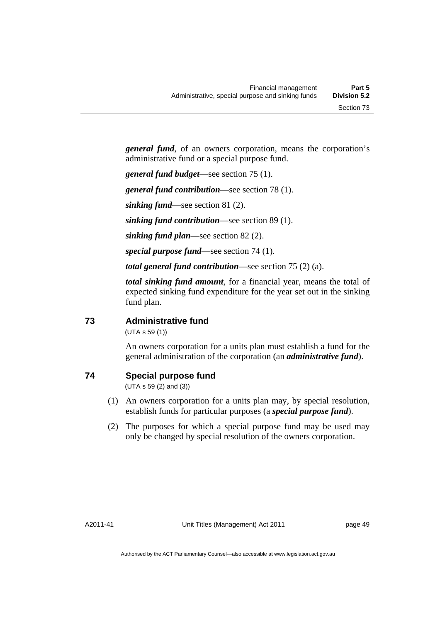*general fund*, of an owners corporation, means the corporation's administrative fund or a special purpose fund.

*general fund budget*—see section 75 (1).

*general fund contribution*—see section 78 (1).

*sinking fund*—see section 81 (2).

*sinking fund contribution*—see section 89 (1).

*sinking fund plan*—see section 82 (2).

*special purpose fund*—see section 74 (1).

*total general fund contribution*—see section 75 (2) (a).

*total sinking fund amount*, for a financial year, means the total of expected sinking fund expenditure for the year set out in the sinking fund plan.

### **73 Administrative fund**

(UTA s 59 (1))

An owners corporation for a units plan must establish a fund for the general administration of the corporation (an *administrative fund*).

### **74 Special purpose fund**

(UTA s 59 (2) and (3))

- (1) An owners corporation for a units plan may, by special resolution, establish funds for particular purposes (a *special purpose fund*).
- (2) The purposes for which a special purpose fund may be used may only be changed by special resolution of the owners corporation.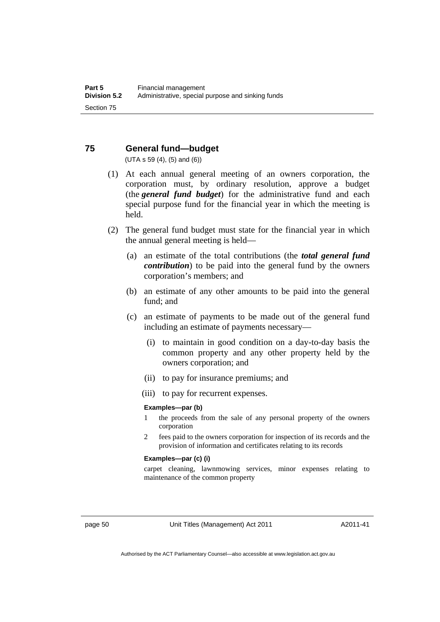### **75 General fund—budget**

(UTA s 59 (4), (5) and (6))

- (1) At each annual general meeting of an owners corporation, the corporation must, by ordinary resolution, approve a budget (the *general fund budget*) for the administrative fund and each special purpose fund for the financial year in which the meeting is held.
- (2) The general fund budget must state for the financial year in which the annual general meeting is held—
	- (a) an estimate of the total contributions (the *total general fund contribution*) to be paid into the general fund by the owners corporation's members; and
	- (b) an estimate of any other amounts to be paid into the general fund; and
	- (c) an estimate of payments to be made out of the general fund including an estimate of payments necessary—
		- (i) to maintain in good condition on a day-to-day basis the common property and any other property held by the owners corporation; and
		- (ii) to pay for insurance premiums; and
		- (iii) to pay for recurrent expenses.

### **Examples—par (b)**

- 1 the proceeds from the sale of any personal property of the owners corporation
- 2 fees paid to the owners corporation for inspection of its records and the provision of information and certificates relating to its records

### **Examples—par (c) (i)**

carpet cleaning, lawnmowing services, minor expenses relating to maintenance of the common property

page 50 Unit Titles (Management) Act 2011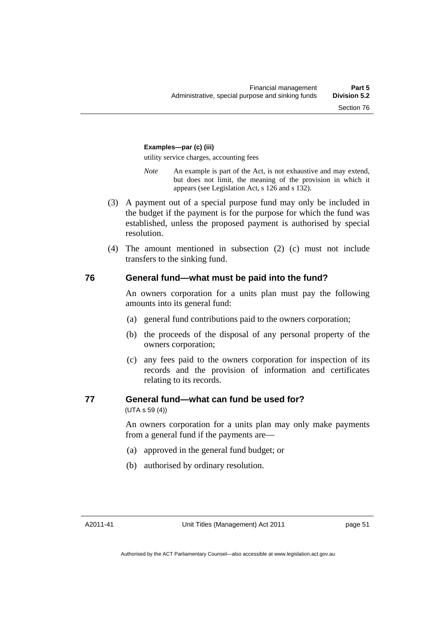### **Examples—par (c) (iii)**

utility service charges, accounting fees

- *Note* An example is part of the Act, is not exhaustive and may extend, but does not limit, the meaning of the provision in which it appears (see Legislation Act, s 126 and s 132).
- (3) A payment out of a special purpose fund may only be included in the budget if the payment is for the purpose for which the fund was established, unless the proposed payment is authorised by special resolution.
- (4) The amount mentioned in subsection (2) (c) must not include transfers to the sinking fund.

### **76 General fund—what must be paid into the fund?**

An owners corporation for a units plan must pay the following amounts into its general fund:

- (a) general fund contributions paid to the owners corporation;
- (b) the proceeds of the disposal of any personal property of the owners corporation;
- (c) any fees paid to the owners corporation for inspection of its records and the provision of information and certificates relating to its records.

### **77 General fund—what can fund be used for?**

(UTA s 59 (4))

An owners corporation for a units plan may only make payments from a general fund if the payments are—

- (a) approved in the general fund budget; or
- (b) authorised by ordinary resolution.

A2011-41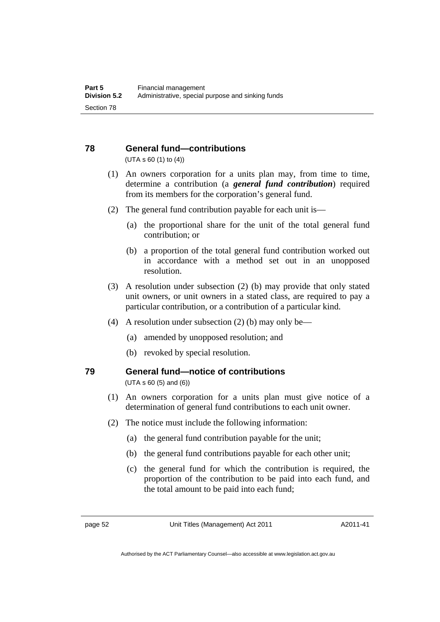# **78 General fund—contributions**

(UTA s 60 (1) to (4))

- (1) An owners corporation for a units plan may, from time to time, determine a contribution (a *general fund contribution*) required from its members for the corporation's general fund.
- (2) The general fund contribution payable for each unit is—
	- (a) the proportional share for the unit of the total general fund contribution; or
	- (b) a proportion of the total general fund contribution worked out in accordance with a method set out in an unopposed resolution.
- (3) A resolution under subsection (2) (b) may provide that only stated unit owners, or unit owners in a stated class, are required to pay a particular contribution, or a contribution of a particular kind.
- (4) A resolution under subsection (2) (b) may only be—
	- (a) amended by unopposed resolution; and
	- (b) revoked by special resolution.

## **79 General fund—notice of contributions**

(UTA s 60 (5) and (6))

- (1) An owners corporation for a units plan must give notice of a determination of general fund contributions to each unit owner.
- (2) The notice must include the following information:
	- (a) the general fund contribution payable for the unit;
	- (b) the general fund contributions payable for each other unit;
	- (c) the general fund for which the contribution is required, the proportion of the contribution to be paid into each fund, and the total amount to be paid into each fund;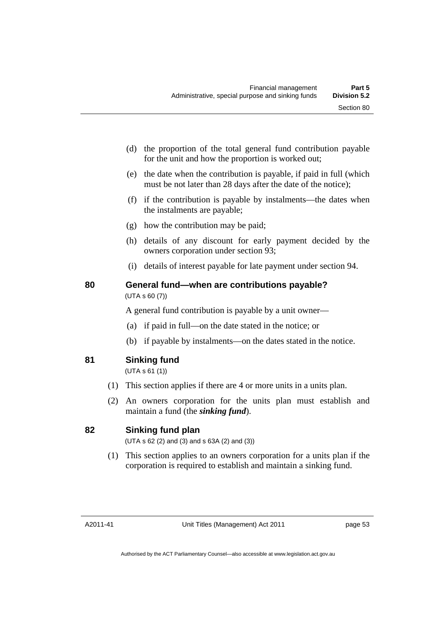- (d) the proportion of the total general fund contribution payable for the unit and how the proportion is worked out;
- (e) the date when the contribution is payable, if paid in full (which must be not later than 28 days after the date of the notice);
- (f) if the contribution is payable by instalments—the dates when the instalments are payable;
- (g) how the contribution may be paid;
- (h) details of any discount for early payment decided by the owners corporation under section 93;
- (i) details of interest payable for late payment under section 94.

### **80 General fund—when are contributions payable?**  (UTA s 60 (7))

A general fund contribution is payable by a unit owner—

- (a) if paid in full—on the date stated in the notice; or
- (b) if payable by instalments—on the dates stated in the notice.
- **81 Sinking fund**

(UTA s 61 (1))

- (1) This section applies if there are 4 or more units in a units plan.
- (2) An owners corporation for the units plan must establish and maintain a fund (the *sinking fund*).

### **82 Sinking fund plan**

(UTA s 62 (2) and (3) and s 63A (2) and (3))

 (1) This section applies to an owners corporation for a units plan if the corporation is required to establish and maintain a sinking fund.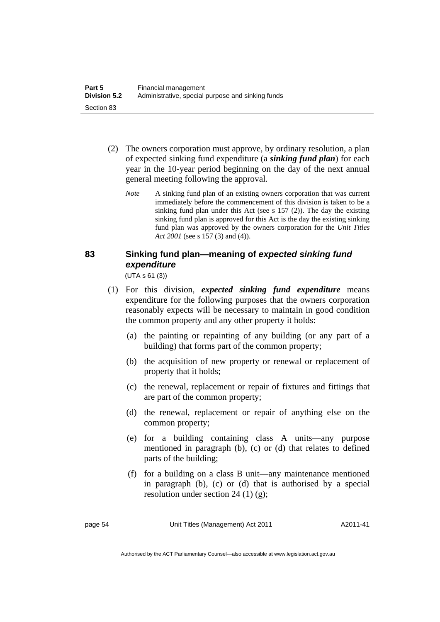- (2) The owners corporation must approve, by ordinary resolution, a plan of expected sinking fund expenditure (a *sinking fund plan*) for each year in the 10-year period beginning on the day of the next annual general meeting following the approval.
	- *Note* A sinking fund plan of an existing owners corporation that was current immediately before the commencement of this division is taken to be a sinking fund plan under this Act (see s 157 (2)). The day the existing sinking fund plan is approved for this Act is the day the existing sinking fund plan was approved by the owners corporation for the *Unit Titles Act 2001* (see s 157 (3) and (4)).

# **83 Sinking fund plan—meaning of** *expected sinking fund expenditure*

(UTA s 61 (3))

- (1) For this division, *expected sinking fund expenditure* means expenditure for the following purposes that the owners corporation reasonably expects will be necessary to maintain in good condition the common property and any other property it holds:
	- (a) the painting or repainting of any building (or any part of a building) that forms part of the common property;
	- (b) the acquisition of new property or renewal or replacement of property that it holds;
	- (c) the renewal, replacement or repair of fixtures and fittings that are part of the common property;
	- (d) the renewal, replacement or repair of anything else on the common property;
	- (e) for a building containing class A units—any purpose mentioned in paragraph (b), (c) or (d) that relates to defined parts of the building;
	- (f) for a building on a class B unit—any maintenance mentioned in paragraph (b), (c) or (d) that is authorised by a special resolution under section 24 (1) (g);

page 54 Unit Titles (Management) Act 2011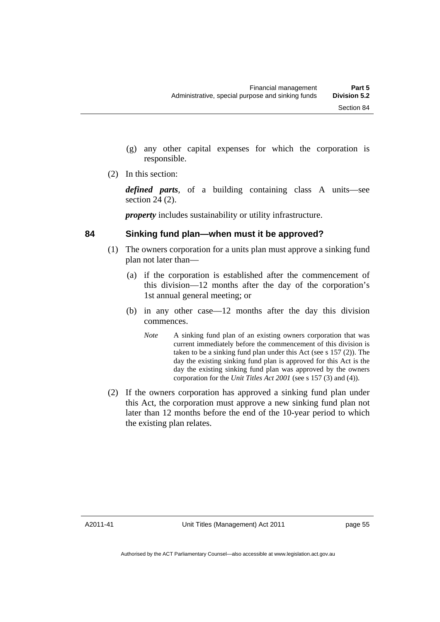- (g) any other capital expenses for which the corporation is responsible.
- (2) In this section:

*defined parts*, of a building containing class A units—see section 24 (2).

*property* includes sustainability or utility infrastructure.

### **84 Sinking fund plan—when must it be approved?**

- (1) The owners corporation for a units plan must approve a sinking fund plan not later than—
	- (a) if the corporation is established after the commencement of this division—12 months after the day of the corporation's 1st annual general meeting; or
	- (b) in any other case—12 months after the day this division commences.
		- *Note* A sinking fund plan of an existing owners corporation that was current immediately before the commencement of this division is taken to be a sinking fund plan under this Act (see s 157 (2)). The day the existing sinking fund plan is approved for this Act is the day the existing sinking fund plan was approved by the owners corporation for the *Unit Titles Act 2001* (see s 157 (3) and (4)).
- (2) If the owners corporation has approved a sinking fund plan under this Act, the corporation must approve a new sinking fund plan not later than 12 months before the end of the 10-year period to which the existing plan relates.

A2011-41

Unit Titles (Management) Act 2011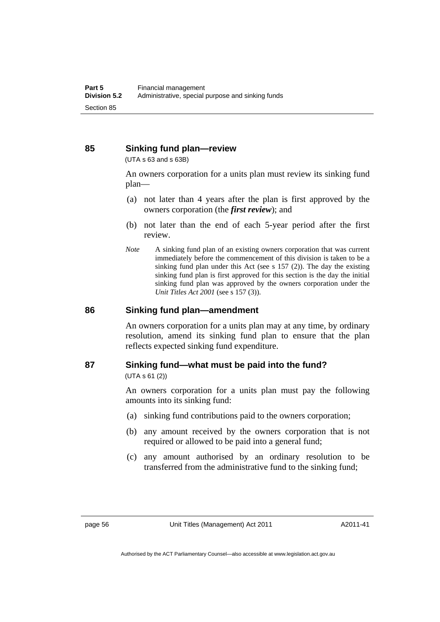### **85 Sinking fund plan—review**

(UTA s 63 and s 63B)

An owners corporation for a units plan must review its sinking fund plan—

- (a) not later than 4 years after the plan is first approved by the owners corporation (the *first review*); and
- (b) not later than the end of each 5-year period after the first review.
- *Note* A sinking fund plan of an existing owners corporation that was current immediately before the commencement of this division is taken to be a sinking fund plan under this Act (see s 157 (2)). The day the existing sinking fund plan is first approved for this section is the day the initial sinking fund plan was approved by the owners corporation under the *Unit Titles Act 2001* (see s 157 (3)).

### **86 Sinking fund plan—amendment**

An owners corporation for a units plan may at any time, by ordinary resolution, amend its sinking fund plan to ensure that the plan reflects expected sinking fund expenditure.

### **87 Sinking fund—what must be paid into the fund?**

(UTA s 61 (2))

An owners corporation for a units plan must pay the following amounts into its sinking fund:

- (a) sinking fund contributions paid to the owners corporation;
- (b) any amount received by the owners corporation that is not required or allowed to be paid into a general fund;
- (c) any amount authorised by an ordinary resolution to be transferred from the administrative fund to the sinking fund;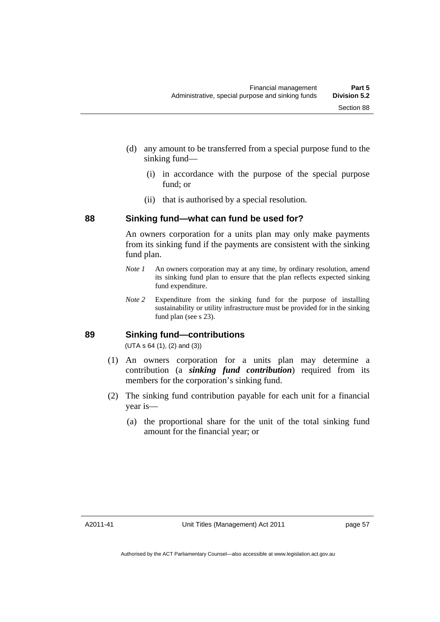- (d) any amount to be transferred from a special purpose fund to the sinking fund—
	- (i) in accordance with the purpose of the special purpose fund; or
	- (ii) that is authorised by a special resolution.

### **88 Sinking fund—what can fund be used for?**

An owners corporation for a units plan may only make payments from its sinking fund if the payments are consistent with the sinking fund plan.

- *Note 1* An owners corporation may at any time, by ordinary resolution, amend its sinking fund plan to ensure that the plan reflects expected sinking fund expenditure.
- *Note 2* Expenditure from the sinking fund for the purpose of installing sustainability or utility infrastructure must be provided for in the sinking fund plan (see s 23).

### **89 Sinking fund—contributions**

(UTA s 64 (1), (2) and (3))

- (1) An owners corporation for a units plan may determine a contribution (a *sinking fund contribution*) required from its members for the corporation's sinking fund.
- (2) The sinking fund contribution payable for each unit for a financial year is—
	- (a) the proportional share for the unit of the total sinking fund amount for the financial year; or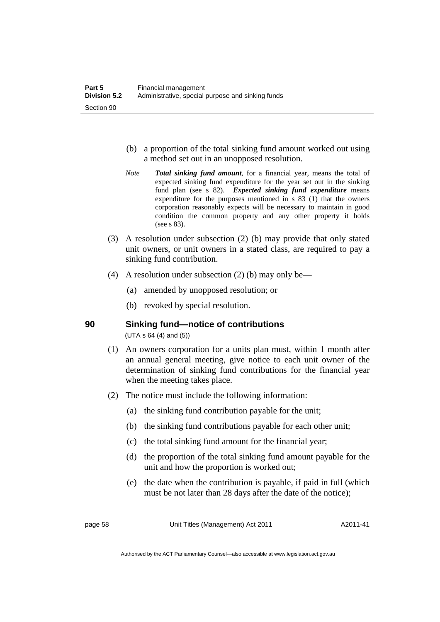- (b) a proportion of the total sinking fund amount worked out using a method set out in an unopposed resolution.
- *Note Total sinking fund amount*, for a financial year, means the total of expected sinking fund expenditure for the year set out in the sinking fund plan (see s 82). *Expected sinking fund expenditure* means expenditure for the purposes mentioned in s 83 (1) that the owners corporation reasonably expects will be necessary to maintain in good condition the common property and any other property it holds (see s 83).
- (3) A resolution under subsection (2) (b) may provide that only stated unit owners, or unit owners in a stated class, are required to pay a sinking fund contribution.
- (4) A resolution under subsection (2) (b) may only be—
	- (a) amended by unopposed resolution; or
	- (b) revoked by special resolution.

**90 Sinking fund—notice of contributions** 

(UTA s 64 (4) and (5))

- (1) An owners corporation for a units plan must, within 1 month after an annual general meeting, give notice to each unit owner of the determination of sinking fund contributions for the financial year when the meeting takes place.
- (2) The notice must include the following information:
	- (a) the sinking fund contribution payable for the unit;
	- (b) the sinking fund contributions payable for each other unit;
	- (c) the total sinking fund amount for the financial year;
	- (d) the proportion of the total sinking fund amount payable for the unit and how the proportion is worked out;
	- (e) the date when the contribution is payable, if paid in full (which must be not later than 28 days after the date of the notice);

page 58 Unit Titles (Management) Act 2011

A2011-41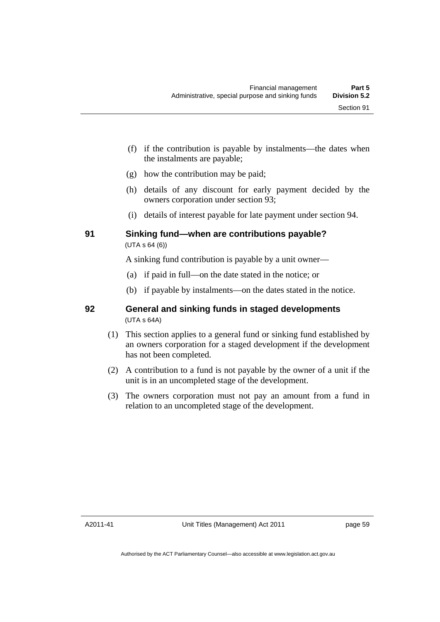- (f) if the contribution is payable by instalments—the dates when the instalments are payable;
- (g) how the contribution may be paid;
- (h) details of any discount for early payment decided by the owners corporation under section 93;
- (i) details of interest payable for late payment under section 94.

### **91 Sinking fund—when are contributions payable?**  (UTA s 64 (6))

A sinking fund contribution is payable by a unit owner—

- (a) if paid in full—on the date stated in the notice; or
- (b) if payable by instalments—on the dates stated in the notice.

### **92 General and sinking funds in staged developments**  (UTA s 64A)

- (1) This section applies to a general fund or sinking fund established by an owners corporation for a staged development if the development has not been completed.
- (2) A contribution to a fund is not payable by the owner of a unit if the unit is in an uncompleted stage of the development.
- (3) The owners corporation must not pay an amount from a fund in relation to an uncompleted stage of the development.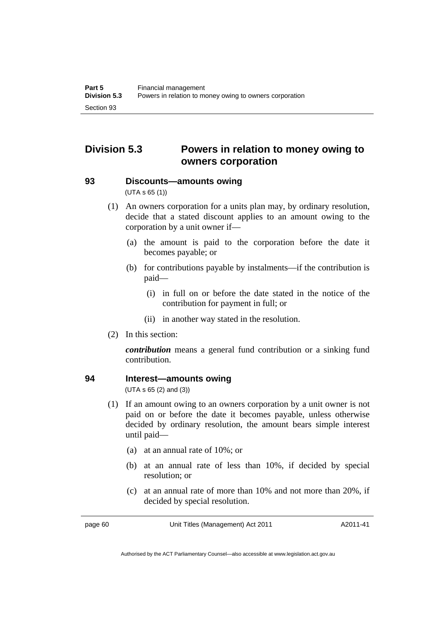# **Division 5.3 Powers in relation to money owing to owners corporation**

**93 Discounts—amounts owing** 

(UTA s 65 (1))

- (1) An owners corporation for a units plan may, by ordinary resolution, decide that a stated discount applies to an amount owing to the corporation by a unit owner if—
	- (a) the amount is paid to the corporation before the date it becomes payable; or
	- (b) for contributions payable by instalments—if the contribution is paid—
		- (i) in full on or before the date stated in the notice of the contribution for payment in full; or
		- (ii) in another way stated in the resolution.
- (2) In this section:

*contribution* means a general fund contribution or a sinking fund contribution.

### **94 Interest—amounts owing**

(UTA s 65 (2) and (3))

- (1) If an amount owing to an owners corporation by a unit owner is not paid on or before the date it becomes payable, unless otherwise decided by ordinary resolution, the amount bears simple interest until paid—
	- (a) at an annual rate of 10%; or
	- (b) at an annual rate of less than 10%, if decided by special resolution; or
	- (c) at an annual rate of more than 10% and not more than 20%, if decided by special resolution.

page 60 Unit Titles (Management) Act 2011

A2011-41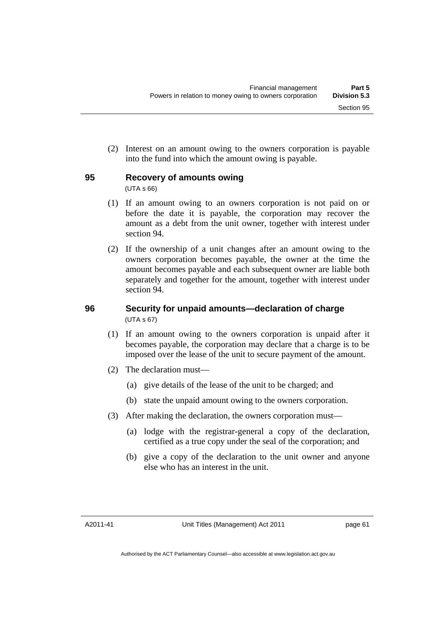(2) Interest on an amount owing to the owners corporation is payable into the fund into which the amount owing is payable.

#### **95 Recovery of amounts owing**

(UTA s 66)

- (1) If an amount owing to an owners corporation is not paid on or before the date it is payable, the corporation may recover the amount as a debt from the unit owner, together with interest under section 94.
- (2) If the ownership of a unit changes after an amount owing to the owners corporation becomes payable, the owner at the time the amount becomes payable and each subsequent owner are liable both separately and together for the amount, together with interest under section 94.

#### **96 Security for unpaid amounts—declaration of charge**  (UTA s 67)

- (1) If an amount owing to the owners corporation is unpaid after it becomes payable, the corporation may declare that a charge is to be imposed over the lease of the unit to secure payment of the amount.
- (2) The declaration must—
	- (a) give details of the lease of the unit to be charged; and
	- (b) state the unpaid amount owing to the owners corporation.
- (3) After making the declaration, the owners corporation must—
	- (a) lodge with the registrar-general a copy of the declaration, certified as a true copy under the seal of the corporation; and
	- (b) give a copy of the declaration to the unit owner and anyone else who has an interest in the unit.

A2011-41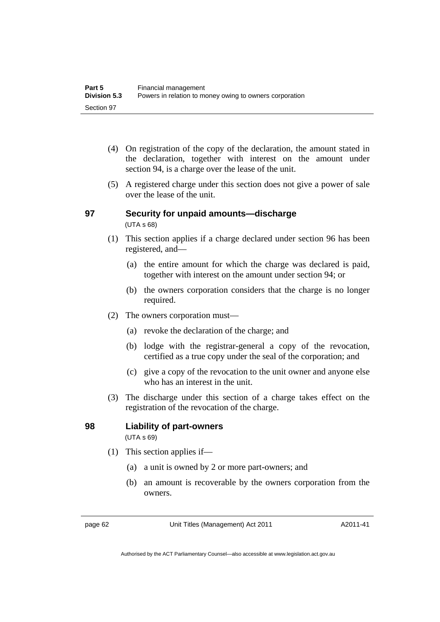- (4) On registration of the copy of the declaration, the amount stated in the declaration, together with interest on the amount under section 94, is a charge over the lease of the unit.
- (5) A registered charge under this section does not give a power of sale over the lease of the unit.

#### **97 Security for unpaid amounts—discharge**  (UTA s 68)

- (1) This section applies if a charge declared under section 96 has been registered, and—
	- (a) the entire amount for which the charge was declared is paid, together with interest on the amount under section 94; or
	- (b) the owners corporation considers that the charge is no longer required.
- (2) The owners corporation must—
	- (a) revoke the declaration of the charge; and
	- (b) lodge with the registrar-general a copy of the revocation, certified as a true copy under the seal of the corporation; and
	- (c) give a copy of the revocation to the unit owner and anyone else who has an interest in the unit.
- (3) The discharge under this section of a charge takes effect on the registration of the revocation of the charge.

#### **98 Liability of part-owners**  (UTA s 69)

- (1) This section applies if—
	- (a) a unit is owned by 2 or more part-owners; and
	- (b) an amount is recoverable by the owners corporation from the owners.

page 62 Unit Titles (Management) Act 2011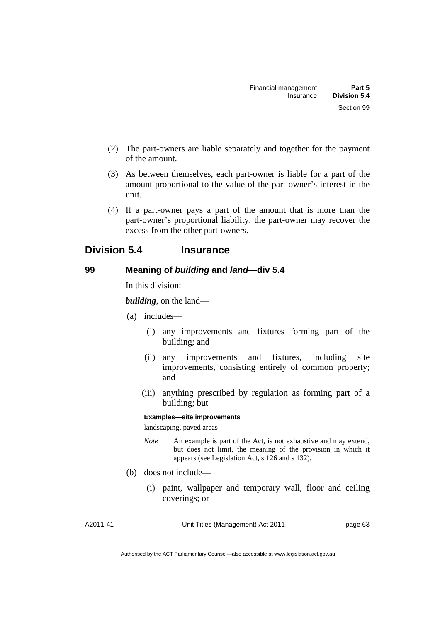- (2) The part-owners are liable separately and together for the payment of the amount.
- (3) As between themselves, each part-owner is liable for a part of the amount proportional to the value of the part-owner's interest in the unit.
- (4) If a part-owner pays a part of the amount that is more than the part-owner's proportional liability, the part-owner may recover the excess from the other part-owners.

### **Division 5.4 Insurance**

### **99 Meaning of** *building* **and** *land***—div 5.4**

In this division:

*building*, on the land—

- (a) includes—
	- (i) any improvements and fixtures forming part of the building; and
	- (ii) any improvements and fixtures, including site improvements, consisting entirely of common property; and
	- (iii) anything prescribed by regulation as forming part of a building; but

#### **Examples—site improvements**

landscaping, paved areas

- *Note* An example is part of the Act, is not exhaustive and may extend, but does not limit, the meaning of the provision in which it appears (see Legislation Act, s 126 and s 132).
- (b) does not include—
	- (i) paint, wallpaper and temporary wall, floor and ceiling coverings; or

A2011-41

Unit Titles (Management) Act 2011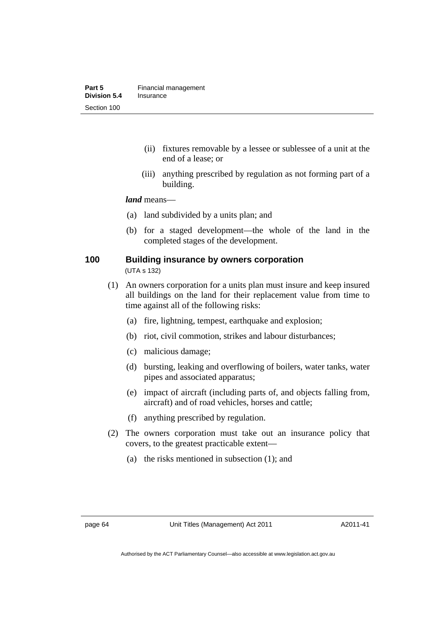- (ii) fixtures removable by a lessee or sublessee of a unit at the end of a lease; or
- (iii) anything prescribed by regulation as not forming part of a building.

*land* means—

- (a) land subdivided by a units plan; and
- (b) for a staged development—the whole of the land in the completed stages of the development.

### **100 Building insurance by owners corporation**

(UTA s 132)

- (1) An owners corporation for a units plan must insure and keep insured all buildings on the land for their replacement value from time to time against all of the following risks:
	- (a) fire, lightning, tempest, earthquake and explosion;
	- (b) riot, civil commotion, strikes and labour disturbances;
	- (c) malicious damage;
	- (d) bursting, leaking and overflowing of boilers, water tanks, water pipes and associated apparatus;
	- (e) impact of aircraft (including parts of, and objects falling from, aircraft) and of road vehicles, horses and cattle;
	- (f) anything prescribed by regulation.
- (2) The owners corporation must take out an insurance policy that covers, to the greatest practicable extent—
	- (a) the risks mentioned in subsection (1); and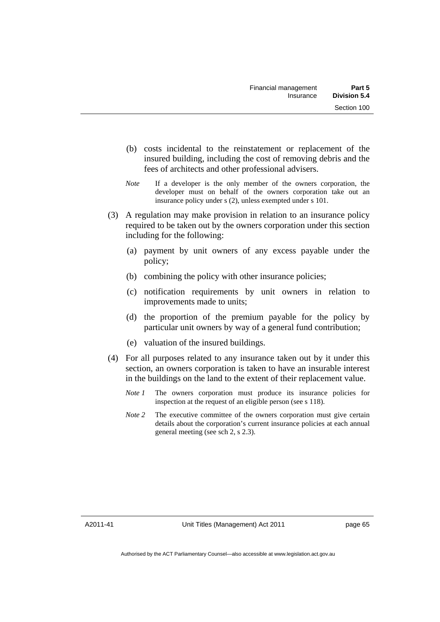- (b) costs incidental to the reinstatement or replacement of the insured building, including the cost of removing debris and the fees of architects and other professional advisers.
- *Note* If a developer is the only member of the owners corporation, the developer must on behalf of the owners corporation take out an insurance policy under s (2), unless exempted under s 101.
- (3) A regulation may make provision in relation to an insurance policy required to be taken out by the owners corporation under this section including for the following:
	- (a) payment by unit owners of any excess payable under the policy;
	- (b) combining the policy with other insurance policies;
	- (c) notification requirements by unit owners in relation to improvements made to units;
	- (d) the proportion of the premium payable for the policy by particular unit owners by way of a general fund contribution;
	- (e) valuation of the insured buildings.
- (4) For all purposes related to any insurance taken out by it under this section, an owners corporation is taken to have an insurable interest in the buildings on the land to the extent of their replacement value.
	- *Note 1* The owners corporation must produce its insurance policies for inspection at the request of an eligible person (see s 118).
	- *Note 2* The executive committee of the owners corporation must give certain details about the corporation's current insurance policies at each annual general meeting (see sch 2, s 2.3).

A2011-41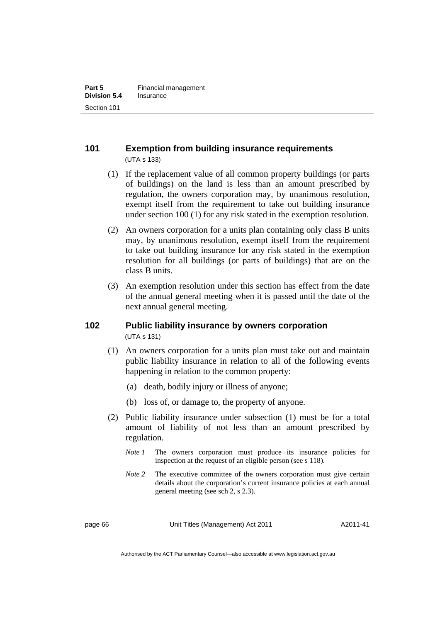### **101 Exemption from building insurance requirements**  (UTA s 133)

- (1) If the replacement value of all common property buildings (or parts of buildings) on the land is less than an amount prescribed by regulation, the owners corporation may, by unanimous resolution, exempt itself from the requirement to take out building insurance under section 100 (1) for any risk stated in the exemption resolution.
- (2) An owners corporation for a units plan containing only class B units may, by unanimous resolution, exempt itself from the requirement to take out building insurance for any risk stated in the exemption resolution for all buildings (or parts of buildings) that are on the class B units.
- (3) An exemption resolution under this section has effect from the date of the annual general meeting when it is passed until the date of the next annual general meeting.

#### **102 Public liability insurance by owners corporation**  (UTA s 131)

- (1) An owners corporation for a units plan must take out and maintain public liability insurance in relation to all of the following events happening in relation to the common property:
	- (a) death, bodily injury or illness of anyone;
	- (b) loss of, or damage to, the property of anyone.
- (2) Public liability insurance under subsection (1) must be for a total amount of liability of not less than an amount prescribed by regulation.
	- *Note 1* The owners corporation must produce its insurance policies for inspection at the request of an eligible person (see s 118).
	- *Note* 2 The executive committee of the owners corporation must give certain details about the corporation's current insurance policies at each annual general meeting (see sch 2, s 2.3).

page 66 Unit Titles (Management) Act 2011

A2011-41

Authorised by the ACT Parliamentary Counsel—also accessible at www.legislation.act.gov.au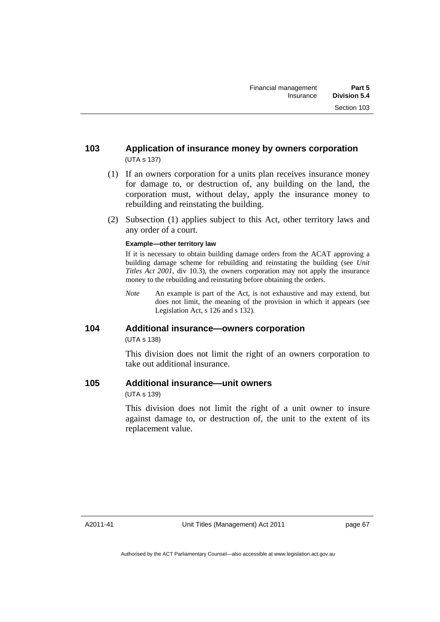#### **103 Application of insurance money by owners corporation**  (UTA s 137)

- (1) If an owners corporation for a units plan receives insurance money for damage to, or destruction of, any building on the land, the corporation must, without delay, apply the insurance money to rebuilding and reinstating the building.
- (2) Subsection (1) applies subject to this Act, other territory laws and any order of a court.

#### **Example—other territory law**

If it is necessary to obtain building damage orders from the ACAT approving a building damage scheme for rebuilding and reinstating the building (see *Unit Titles Act 2001*, div 10.3), the owners corporation may not apply the insurance money to the rebuilding and reinstating before obtaining the orders.

*Note* An example is part of the Act, is not exhaustive and may extend, but does not limit, the meaning of the provision in which it appears (see Legislation Act, s 126 and s 132).

#### **104 Additional insurance—owners corporation**

(UTA s 138)

This division does not limit the right of an owners corporation to take out additional insurance.

#### **105 Additional insurance—unit owners**

(UTA s 139)

This division does not limit the right of a unit owner to insure against damage to, or destruction of, the unit to the extent of its replacement value.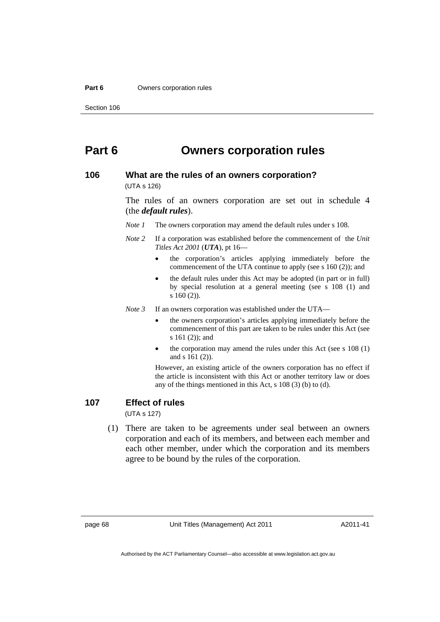#### **Part 6 Owners corporation rules**

Section 106

### **Part 6 Owners corporation rules**

#### **106 What are the rules of an owners corporation?**

(UTA s 126)

The rules of an owners corporation are set out in schedule 4 (the *default rules*).

*Note 1* The owners corporation may amend the default rules under s 108.

- *Note 2* If a corporation was established before the commencement of the *Unit Titles Act 2001* (*UTA*), pt 16—
	- the corporation's articles applying immediately before the commencement of the UTA continue to apply (see s 160 (2)); and
	- the default rules under this Act may be adopted (in part or in full) by special resolution at a general meeting (see s 108 (1) and s 160 (2)).

*Note 3* If an owners corporation was established under the UTA—

- the owners corporation's articles applying immediately before the commencement of this part are taken to be rules under this Act (see s 161 (2)); and
- the corporation may amend the rules under this Act (see s 108 (1) and s 161 (2)).

However, an existing article of the owners corporation has no effect if the article is inconsistent with this Act or another territory law or does any of the things mentioned in this Act, s 108 (3) (b) to (d).

#### **107 Effect of rules**

(UTA s 127)

 (1) There are taken to be agreements under seal between an owners corporation and each of its members, and between each member and each other member, under which the corporation and its members agree to be bound by the rules of the corporation.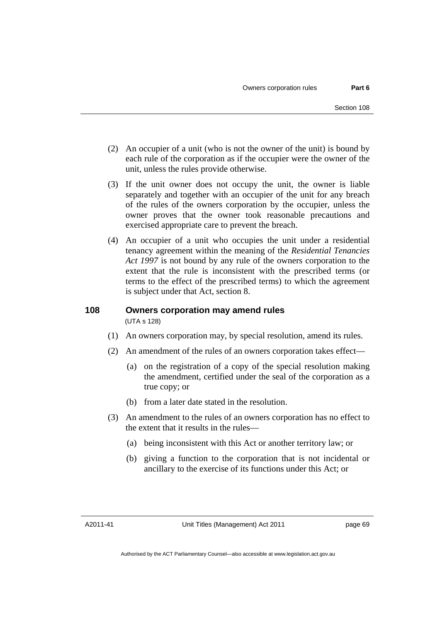- (2) An occupier of a unit (who is not the owner of the unit) is bound by each rule of the corporation as if the occupier were the owner of the unit, unless the rules provide otherwise.
- (3) If the unit owner does not occupy the unit, the owner is liable separately and together with an occupier of the unit for any breach of the rules of the owners corporation by the occupier, unless the owner proves that the owner took reasonable precautions and exercised appropriate care to prevent the breach.
- (4) An occupier of a unit who occupies the unit under a residential tenancy agreement within the meaning of the *Residential Tenancies Act 1997* is not bound by any rule of the owners corporation to the extent that the rule is inconsistent with the prescribed terms (or terms to the effect of the prescribed terms) to which the agreement is subject under that Act, section 8.

# **108 Owners corporation may amend rules**

(UTA s 128)

- (1) An owners corporation may, by special resolution, amend its rules.
- (2) An amendment of the rules of an owners corporation takes effect—
	- (a) on the registration of a copy of the special resolution making the amendment, certified under the seal of the corporation as a true copy; or
	- (b) from a later date stated in the resolution.
- (3) An amendment to the rules of an owners corporation has no effect to the extent that it results in the rules—
	- (a) being inconsistent with this Act or another territory law; or
	- (b) giving a function to the corporation that is not incidental or ancillary to the exercise of its functions under this Act; or

A2011-41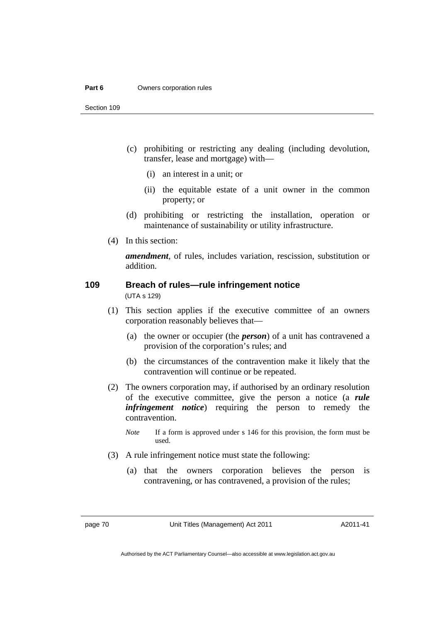#### **Part 6 Owners corporation rules**

- (c) prohibiting or restricting any dealing (including devolution, transfer, lease and mortgage) with—
	- (i) an interest in a unit; or
	- (ii) the equitable estate of a unit owner in the common property; or
- (d) prohibiting or restricting the installation, operation or maintenance of sustainability or utility infrastructure.
- (4) In this section:

*amendment*, of rules, includes variation, rescission, substitution or addition.

# **109 Breach of rules—rule infringement notice**

(UTA s 129)

- (1) This section applies if the executive committee of an owners corporation reasonably believes that—
	- (a) the owner or occupier (the *person*) of a unit has contravened a provision of the corporation's rules; and
	- (b) the circumstances of the contravention make it likely that the contravention will continue or be repeated.
- (2) The owners corporation may, if authorised by an ordinary resolution of the executive committee, give the person a notice (a *rule infringement notice*) requiring the person to remedy the contravention.
	- *Note* If a form is approved under s 146 for this provision, the form must be used.
- (3) A rule infringement notice must state the following:
	- (a) that the owners corporation believes the person is contravening, or has contravened, a provision of the rules;

page 70 Unit Titles (Management) Act 2011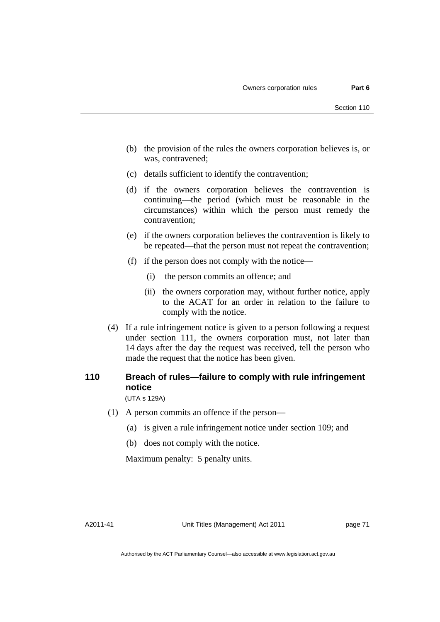- (b) the provision of the rules the owners corporation believes is, or was, contravened;
- (c) details sufficient to identify the contravention;
- (d) if the owners corporation believes the contravention is continuing—the period (which must be reasonable in the circumstances) within which the person must remedy the contravention;
- (e) if the owners corporation believes the contravention is likely to be repeated—that the person must not repeat the contravention;
- (f) if the person does not comply with the notice—
	- (i) the person commits an offence; and
	- (ii) the owners corporation may, without further notice, apply to the ACAT for an order in relation to the failure to comply with the notice.
- (4) If a rule infringement notice is given to a person following a request under section 111, the owners corporation must, not later than 14 days after the day the request was received, tell the person who made the request that the notice has been given.

# **110 Breach of rules—failure to comply with rule infringement notice**

(UTA s 129A)

- (1) A person commits an offence if the person—
	- (a) is given a rule infringement notice under section 109; and
	- (b) does not comply with the notice.

Maximum penalty: 5 penalty units.

A2011-41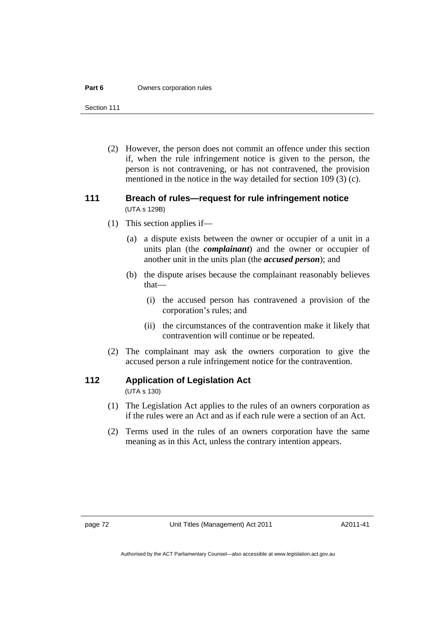#### **Part 6 Owners corporation rules**

Section 111

 (2) However, the person does not commit an offence under this section if, when the rule infringement notice is given to the person, the person is not contravening, or has not contravened, the provision mentioned in the notice in the way detailed for section 109 (3) (c).

#### **111 Breach of rules—request for rule infringement notice**  (UTA s 129B)

- (1) This section applies if—
	- (a) a dispute exists between the owner or occupier of a unit in a units plan (the *complainant*) and the owner or occupier of another unit in the units plan (the *accused person*); and
	- (b) the dispute arises because the complainant reasonably believes that—
		- (i) the accused person has contravened a provision of the corporation's rules; and
		- (ii) the circumstances of the contravention make it likely that contravention will continue or be repeated.
- (2) The complainant may ask the owners corporation to give the accused person a rule infringement notice for the contravention.

#### **112 Application of Legislation Act**

(UTA s 130)

- (1) The Legislation Act applies to the rules of an owners corporation as if the rules were an Act and as if each rule were a section of an Act.
- (2) Terms used in the rules of an owners corporation have the same meaning as in this Act, unless the contrary intention appears.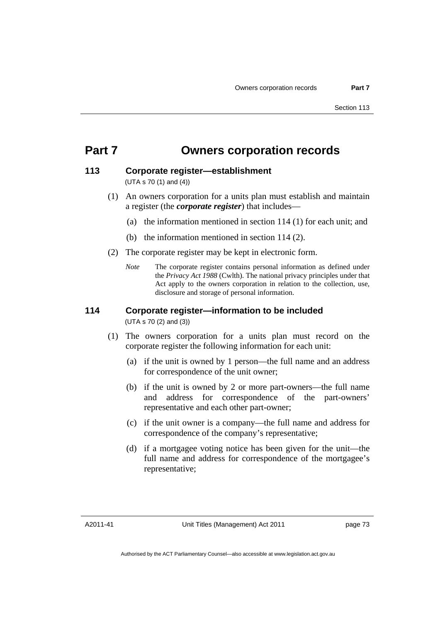# **Part 7 Owners corporation records**

#### **113 Corporate register—establishment**

(UTA s 70 (1) and (4))

- (1) An owners corporation for a units plan must establish and maintain a register (the *corporate register*) that includes—
	- (a) the information mentioned in section 114 (1) for each unit; and
	- (b) the information mentioned in section 114 (2).
- (2) The corporate register may be kept in electronic form.
	- *Note* The corporate register contains personal information as defined under the *Privacy Act 1988* (Cwlth). The national privacy principles under that Act apply to the owners corporation in relation to the collection, use, disclosure and storage of personal information.

#### **114 Corporate register—information to be included**  (UTA s 70 (2) and (3))

- (1) The owners corporation for a units plan must record on the corporate register the following information for each unit:
	- (a) if the unit is owned by 1 person—the full name and an address for correspondence of the unit owner;
	- (b) if the unit is owned by 2 or more part-owners—the full name and address for correspondence of the part-owners' representative and each other part-owner;
	- (c) if the unit owner is a company—the full name and address for correspondence of the company's representative;
	- (d) if a mortgagee voting notice has been given for the unit—the full name and address for correspondence of the mortgagee's representative;

A2011-41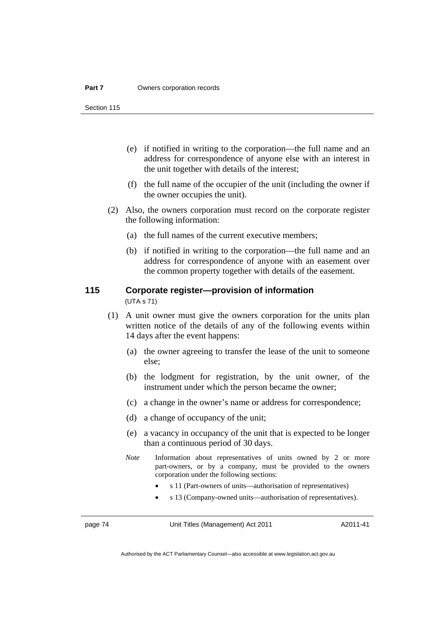- (e) if notified in writing to the corporation—the full name and an address for correspondence of anyone else with an interest in the unit together with details of the interest;
- (f) the full name of the occupier of the unit (including the owner if the owner occupies the unit).
- (2) Also, the owners corporation must record on the corporate register the following information:
	- (a) the full names of the current executive members;
	- (b) if notified in writing to the corporation—the full name and an address for correspondence of anyone with an easement over the common property together with details of the easement.

#### **115 Corporate register—provision of information**  (UTA s 71)

- (1) A unit owner must give the owners corporation for the units plan written notice of the details of any of the following events within 14 days after the event happens:
	- (a) the owner agreeing to transfer the lease of the unit to someone else;
	- (b) the lodgment for registration, by the unit owner, of the instrument under which the person became the owner;
	- (c) a change in the owner's name or address for correspondence;
	- (d) a change of occupancy of the unit;
	- (e) a vacancy in occupancy of the unit that is expected to be longer than a continuous period of 30 days.
	- *Note* Information about representatives of units owned by 2 or more part-owners, or by a company, must be provided to the owners corporation under the following sections:
		- s 11 (Part-owners of units—authorisation of representatives)
		- s 13 (Company-owned units—authorisation of representatives).

page 74 Unit Titles (Management) Act 2011

A2011-41

Authorised by the ACT Parliamentary Counsel—also accessible at www.legislation.act.gov.au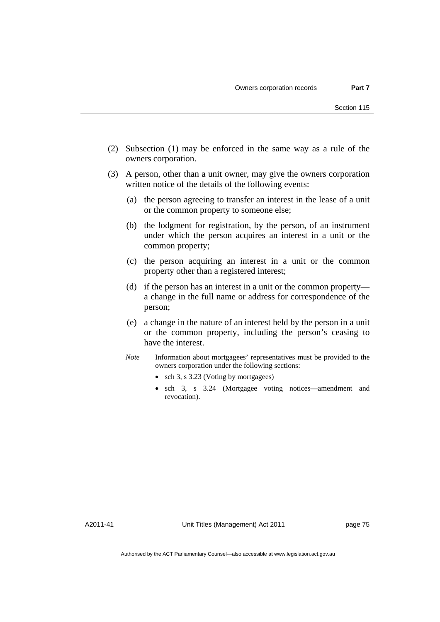- (2) Subsection (1) may be enforced in the same way as a rule of the owners corporation.
- (3) A person, other than a unit owner, may give the owners corporation written notice of the details of the following events:
	- (a) the person agreeing to transfer an interest in the lease of a unit or the common property to someone else;
	- (b) the lodgment for registration, by the person, of an instrument under which the person acquires an interest in a unit or the common property;
	- (c) the person acquiring an interest in a unit or the common property other than a registered interest;
	- (d) if the person has an interest in a unit or the common property a change in the full name or address for correspondence of the person;
	- (e) a change in the nature of an interest held by the person in a unit or the common property, including the person's ceasing to have the interest.
	- *Note* Information about mortgagees' representatives must be provided to the owners corporation under the following sections:
		- sch 3, s 3.23 (Voting by mortgagees)
		- sch 3, s 3.24 (Mortgagee voting notices—amendment and revocation).

A2011-41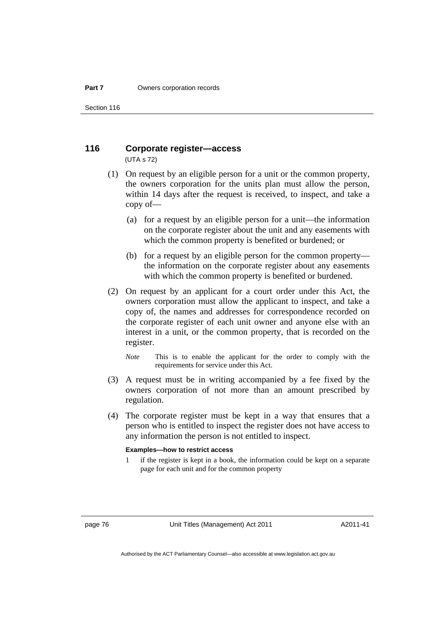#### **116 Corporate register—access**  (UTA s 72)

- (1) On request by an eligible person for a unit or the common property, the owners corporation for the units plan must allow the person, within 14 days after the request is received, to inspect, and take a copy of—
	- (a) for a request by an eligible person for a unit—the information on the corporate register about the unit and any easements with which the common property is benefited or burdened; or
	- (b) for a request by an eligible person for the common property the information on the corporate register about any easements with which the common property is benefited or burdened.
- (2) On request by an applicant for a court order under this Act, the owners corporation must allow the applicant to inspect, and take a copy of, the names and addresses for correspondence recorded on the corporate register of each unit owner and anyone else with an interest in a unit, or the common property, that is recorded on the register.
	- *Note* This is to enable the applicant for the order to comply with the requirements for service under this Act.
- (3) A request must be in writing accompanied by a fee fixed by the owners corporation of not more than an amount prescribed by regulation.
- (4) The corporate register must be kept in a way that ensures that a person who is entitled to inspect the register does not have access to any information the person is not entitled to inspect.

#### **Examples—how to restrict access**

1 if the register is kept in a book, the information could be kept on a separate page for each unit and for the common property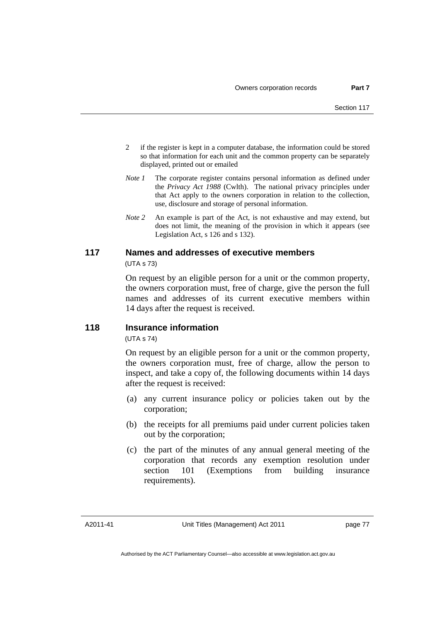- 2 if the register is kept in a computer database, the information could be stored so that information for each unit and the common property can be separately displayed, printed out or emailed
- *Note 1* The corporate register contains personal information as defined under the *Privacy Act 1988* (Cwlth). The national privacy principles under that Act apply to the owners corporation in relation to the collection, use, disclosure and storage of personal information.
- *Note 2* An example is part of the Act, is not exhaustive and may extend, but does not limit, the meaning of the provision in which it appears (see Legislation Act, s 126 and s 132).

# **117 Names and addresses of executive members**

(UTA s 73)

On request by an eligible person for a unit or the common property, the owners corporation must, free of charge, give the person the full names and addresses of its current executive members within 14 days after the request is received.

#### **118 Insurance information**

(UTA s 74)

On request by an eligible person for a unit or the common property, the owners corporation must, free of charge, allow the person to inspect, and take a copy of, the following documents within 14 days after the request is received:

- (a) any current insurance policy or policies taken out by the corporation;
- (b) the receipts for all premiums paid under current policies taken out by the corporation;
- (c) the part of the minutes of any annual general meeting of the corporation that records any exemption resolution under section 101 (Exemptions from building insurance requirements).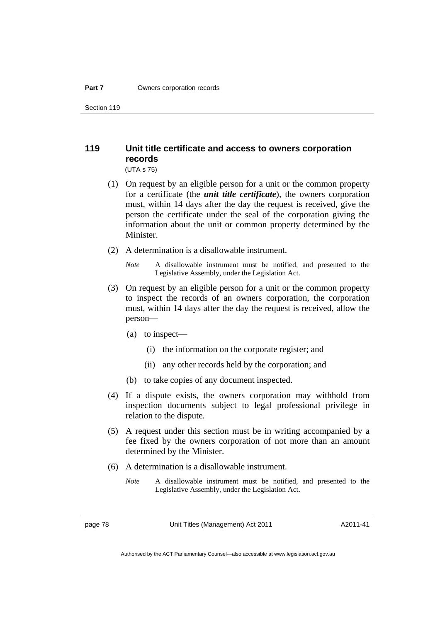### **119 Unit title certificate and access to owners corporation records**

(UTA s 75)

- (1) On request by an eligible person for a unit or the common property for a certificate (the *unit title certificate*), the owners corporation must, within 14 days after the day the request is received, give the person the certificate under the seal of the corporation giving the information about the unit or common property determined by the **Minister**
- (2) A determination is a disallowable instrument.
	- *Note* A disallowable instrument must be notified, and presented to the Legislative Assembly, under the Legislation Act.
- (3) On request by an eligible person for a unit or the common property to inspect the records of an owners corporation, the corporation must, within 14 days after the day the request is received, allow the person—
	- (a) to inspect—
		- (i) the information on the corporate register; and
		- (ii) any other records held by the corporation; and
	- (b) to take copies of any document inspected.
- (4) If a dispute exists, the owners corporation may withhold from inspection documents subject to legal professional privilege in relation to the dispute.
- (5) A request under this section must be in writing accompanied by a fee fixed by the owners corporation of not more than an amount determined by the Minister.
- (6) A determination is a disallowable instrument.
	- *Note* A disallowable instrument must be notified, and presented to the Legislative Assembly, under the Legislation Act.

page 78 Unit Titles (Management) Act 2011

A2011-41

Authorised by the ACT Parliamentary Counsel—also accessible at www.legislation.act.gov.au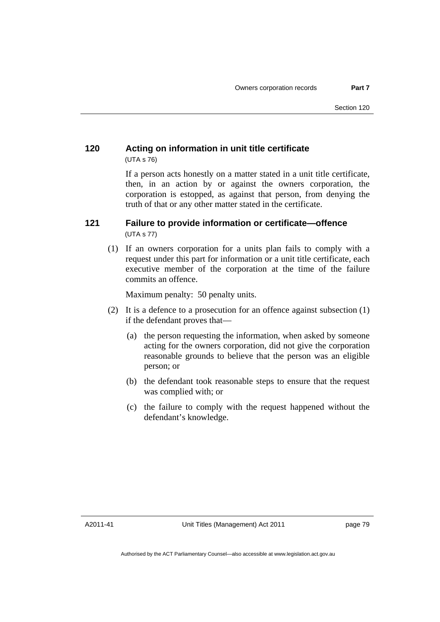### **120 Acting on information in unit title certificate**  (UTA s 76)

If a person acts honestly on a matter stated in a unit title certificate, then, in an action by or against the owners corporation, the corporation is estopped, as against that person, from denying the truth of that or any other matter stated in the certificate.

#### **121 Failure to provide information or certificate—offence**  (UTA s 77)

 (1) If an owners corporation for a units plan fails to comply with a request under this part for information or a unit title certificate, each executive member of the corporation at the time of the failure commits an offence.

Maximum penalty: 50 penalty units.

- (2) It is a defence to a prosecution for an offence against subsection (1) if the defendant proves that—
	- (a) the person requesting the information, when asked by someone acting for the owners corporation, did not give the corporation reasonable grounds to believe that the person was an eligible person; or
	- (b) the defendant took reasonable steps to ensure that the request was complied with; or
	- (c) the failure to comply with the request happened without the defendant's knowledge.

A2011-41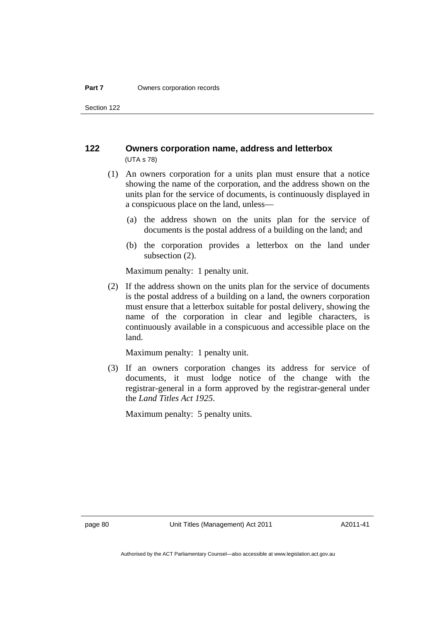#### **122 Owners corporation name, address and letterbox**  (UTA s 78)

- (1) An owners corporation for a units plan must ensure that a notice showing the name of the corporation, and the address shown on the units plan for the service of documents, is continuously displayed in a conspicuous place on the land, unless—
	- (a) the address shown on the units plan for the service of documents is the postal address of a building on the land; and
	- (b) the corporation provides a letterbox on the land under subsection (2).

Maximum penalty: 1 penalty unit.

 (2) If the address shown on the units plan for the service of documents is the postal address of a building on a land, the owners corporation must ensure that a letterbox suitable for postal delivery, showing the name of the corporation in clear and legible characters, is continuously available in a conspicuous and accessible place on the land.

Maximum penalty: 1 penalty unit.

 (3) If an owners corporation changes its address for service of documents, it must lodge notice of the change with the registrar-general in a form approved by the registrar-general under the *Land Titles Act 1925*.

Maximum penalty: 5 penalty units.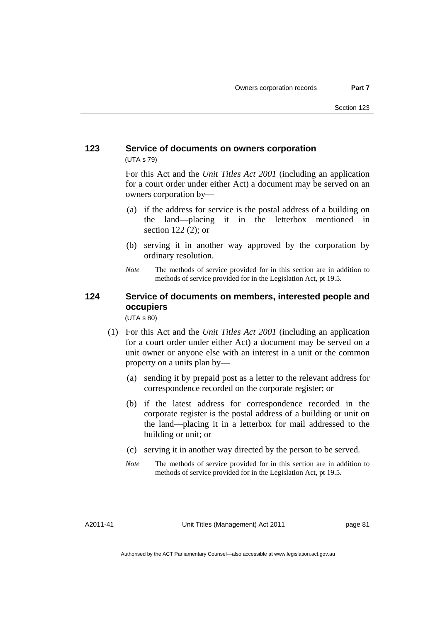#### **123 Service of documents on owners corporation**  (UTA s 79)

For this Act and the *Unit Titles Act 2001* (including an application for a court order under either Act) a document may be served on an owners corporation by—

- (a) if the address for service is the postal address of a building on the land—placing it in the letterbox mentioned in section 122 (2); or
- (b) serving it in another way approved by the corporation by ordinary resolution.
- *Note* The methods of service provided for in this section are in addition to methods of service provided for in the Legislation Act, pt 19.5.

### **124 Service of documents on members, interested people and occupiers**

(UTA s 80)

- (1) For this Act and the *Unit Titles Act 2001* (including an application for a court order under either Act) a document may be served on a unit owner or anyone else with an interest in a unit or the common property on a units plan by—
	- (a) sending it by prepaid post as a letter to the relevant address for correspondence recorded on the corporate register; or
	- (b) if the latest address for correspondence recorded in the corporate register is the postal address of a building or unit on the land—placing it in a letterbox for mail addressed to the building or unit; or
	- (c) serving it in another way directed by the person to be served.
	- *Note* The methods of service provided for in this section are in addition to methods of service provided for in the Legislation Act, pt 19.5.

A2011-41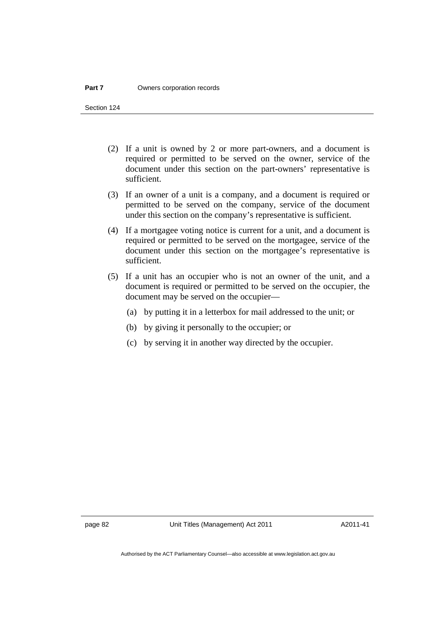- (2) If a unit is owned by 2 or more part-owners, and a document is required or permitted to be served on the owner, service of the document under this section on the part-owners' representative is sufficient.
- (3) If an owner of a unit is a company, and a document is required or permitted to be served on the company, service of the document under this section on the company's representative is sufficient.
- (4) If a mortgagee voting notice is current for a unit, and a document is required or permitted to be served on the mortgagee, service of the document under this section on the mortgagee's representative is sufficient.
- (5) If a unit has an occupier who is not an owner of the unit, and a document is required or permitted to be served on the occupier, the document may be served on the occupier—
	- (a) by putting it in a letterbox for mail addressed to the unit; or
	- (b) by giving it personally to the occupier; or
	- (c) by serving it in another way directed by the occupier.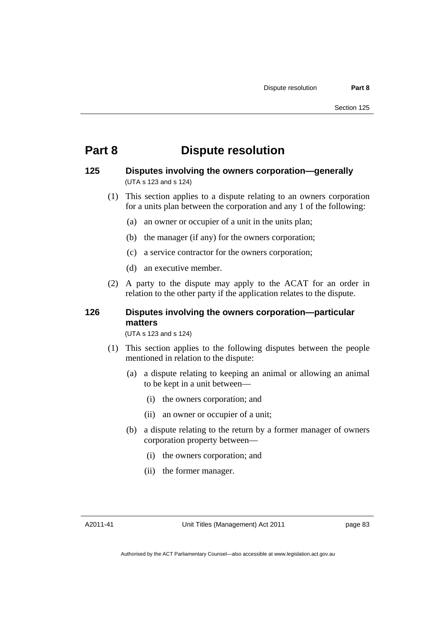### **Part 8 Dispute resolution**

#### **125 Disputes involving the owners corporation—generally**  (UTA s 123 and s 124)

- (1) This section applies to a dispute relating to an owners corporation for a units plan between the corporation and any 1 of the following:
	- (a) an owner or occupier of a unit in the units plan;
	- (b) the manager (if any) for the owners corporation;
	- (c) a service contractor for the owners corporation;
	- (d) an executive member.
- (2) A party to the dispute may apply to the ACAT for an order in relation to the other party if the application relates to the dispute.

### **126 Disputes involving the owners corporation—particular matters**

(UTA s 123 and s 124)

- (1) This section applies to the following disputes between the people mentioned in relation to the dispute:
	- (a) a dispute relating to keeping an animal or allowing an animal to be kept in a unit between—
		- (i) the owners corporation; and
		- (ii) an owner or occupier of a unit;
	- (b) a dispute relating to the return by a former manager of owners corporation property between—
		- (i) the owners corporation; and
		- (ii) the former manager.

A2011-41

Unit Titles (Management) Act 2011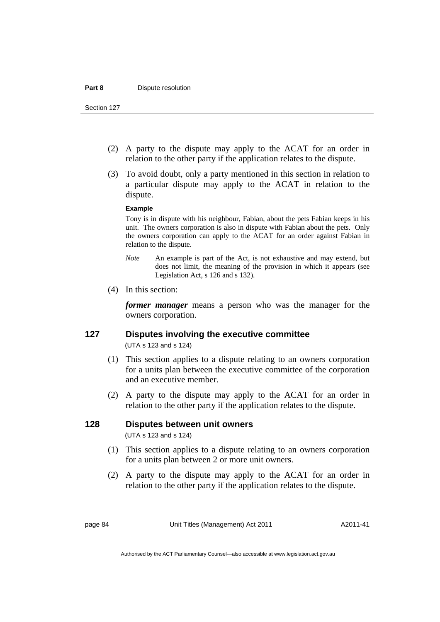- (2) A party to the dispute may apply to the ACAT for an order in relation to the other party if the application relates to the dispute.
- (3) To avoid doubt, only a party mentioned in this section in relation to a particular dispute may apply to the ACAT in relation to the dispute.

#### **Example**

Tony is in dispute with his neighbour, Fabian, about the pets Fabian keeps in his unit. The owners corporation is also in dispute with Fabian about the pets. Only the owners corporation can apply to the ACAT for an order against Fabian in relation to the dispute.

- *Note* An example is part of the Act, is not exhaustive and may extend, but does not limit, the meaning of the provision in which it appears (see Legislation Act, s 126 and s 132).
- (4) In this section:

*former manager* means a person who was the manager for the owners corporation.

# **127 Disputes involving the executive committee**

(UTA s 123 and s 124)

- (1) This section applies to a dispute relating to an owners corporation for a units plan between the executive committee of the corporation and an executive member.
- (2) A party to the dispute may apply to the ACAT for an order in relation to the other party if the application relates to the dispute.

#### **128 Disputes between unit owners**

(UTA s 123 and s 124)

- (1) This section applies to a dispute relating to an owners corporation for a units plan between 2 or more unit owners.
- (2) A party to the dispute may apply to the ACAT for an order in relation to the other party if the application relates to the dispute.

page 84 Unit Titles (Management) Act 2011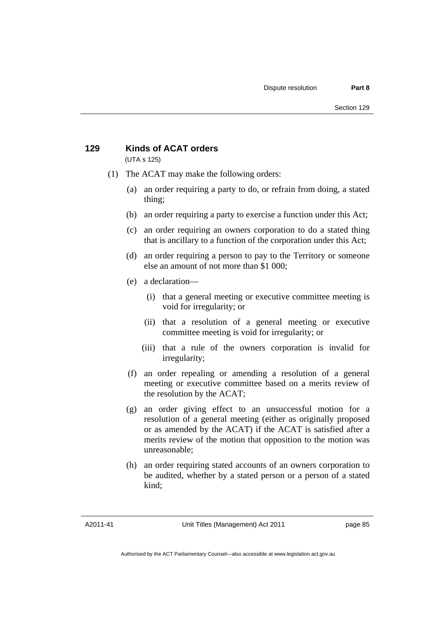### **129 Kinds of ACAT orders**

(UTA s 125)

- (1) The ACAT may make the following orders:
	- (a) an order requiring a party to do, or refrain from doing, a stated thing;
	- (b) an order requiring a party to exercise a function under this Act;
	- (c) an order requiring an owners corporation to do a stated thing that is ancillary to a function of the corporation under this Act;
	- (d) an order requiring a person to pay to the Territory or someone else an amount of not more than \$1 000;
	- (e) a declaration—
		- (i) that a general meeting or executive committee meeting is void for irregularity; or
		- (ii) that a resolution of a general meeting or executive committee meeting is void for irregularity; or
		- (iii) that a rule of the owners corporation is invalid for irregularity;
	- (f) an order repealing or amending a resolution of a general meeting or executive committee based on a merits review of the resolution by the ACAT;
	- (g) an order giving effect to an unsuccessful motion for a resolution of a general meeting (either as originally proposed or as amended by the ACAT) if the ACAT is satisfied after a merits review of the motion that opposition to the motion was unreasonable;
	- (h) an order requiring stated accounts of an owners corporation to be audited, whether by a stated person or a person of a stated kind;

A2011-41

Unit Titles (Management) Act 2011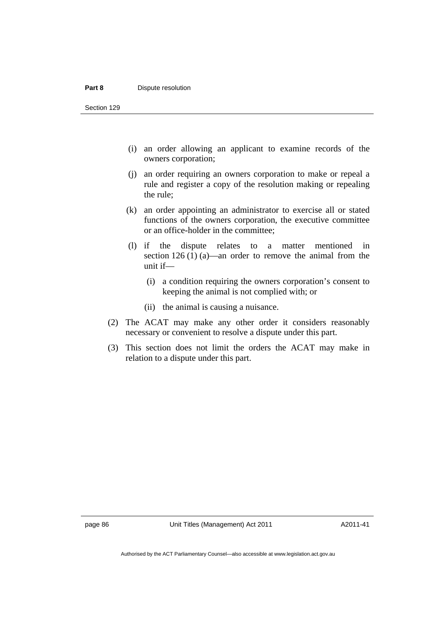#### **Part 8 Dispute resolution**

Section 129

- (i) an order allowing an applicant to examine records of the owners corporation;
- (j) an order requiring an owners corporation to make or repeal a rule and register a copy of the resolution making or repealing the rule;
- (k) an order appointing an administrator to exercise all or stated functions of the owners corporation, the executive committee or an office-holder in the committee;
- (l) if the dispute relates to a matter mentioned in section 126 (1) (a)—an order to remove the animal from the unit if—
	- (i) a condition requiring the owners corporation's consent to keeping the animal is not complied with; or
	- (ii) the animal is causing a nuisance.
- (2) The ACAT may make any other order it considers reasonably necessary or convenient to resolve a dispute under this part.
- (3) This section does not limit the orders the ACAT may make in relation to a dispute under this part.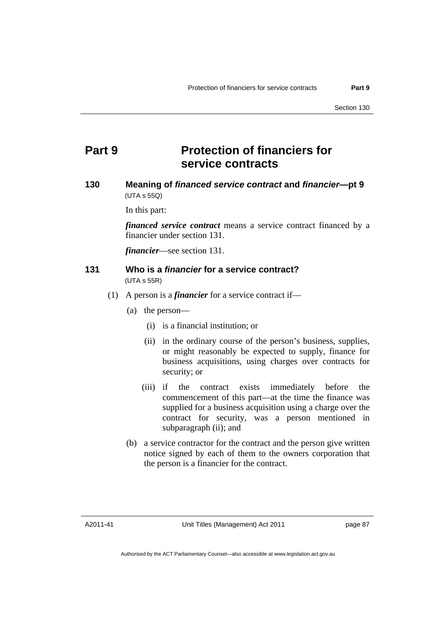# **Part 9 Protection of financiers for service contracts**

#### **130 Meaning of** *financed service contract* **and** *financier***—pt 9**  (UTA s 55Q)

In this part:

*financed service contract* means a service contract financed by a financier under section 131.

*financier*—see section 131.

#### **131 Who is a** *financier* **for a service contract?**  (UTA s 55R)

- (1) A person is a *financier* for a service contract if—
	- (a) the person—
		- (i) is a financial institution; or
		- (ii) in the ordinary course of the person's business, supplies, or might reasonably be expected to supply, finance for business acquisitions, using charges over contracts for security; or
		- (iii) if the contract exists immediately before the commencement of this part—at the time the finance was supplied for a business acquisition using a charge over the contract for security, was a person mentioned in subparagraph (ii); and
	- (b) a service contractor for the contract and the person give written notice signed by each of them to the owners corporation that the person is a financier for the contract.

A2011-41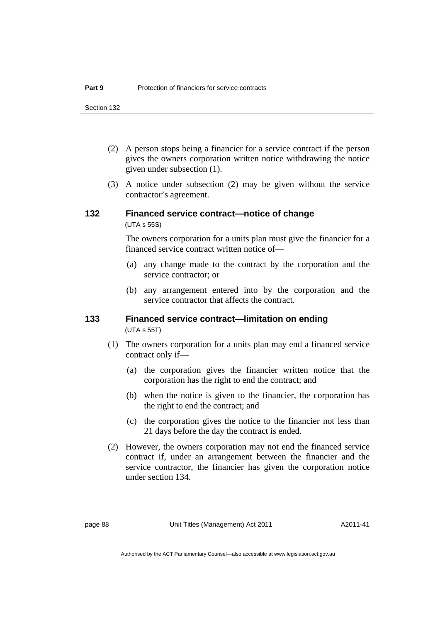- (2) A person stops being a financier for a service contract if the person gives the owners corporation written notice withdrawing the notice given under subsection (1).
- (3) A notice under subsection (2) may be given without the service contractor's agreement.

### **132 Financed service contract—notice of change**

(UTA s 55S)

The owners corporation for a units plan must give the financier for a financed service contract written notice of—

- (a) any change made to the contract by the corporation and the service contractor; or
- (b) any arrangement entered into by the corporation and the service contractor that affects the contract.

#### **133 Financed service contract—limitation on ending**  (UTA s 55T)

- (1) The owners corporation for a units plan may end a financed service contract only if—
	- (a) the corporation gives the financier written notice that the corporation has the right to end the contract; and
	- (b) when the notice is given to the financier, the corporation has the right to end the contract; and
	- (c) the corporation gives the notice to the financier not less than 21 days before the day the contract is ended.
- (2) However, the owners corporation may not end the financed service contract if, under an arrangement between the financier and the service contractor, the financier has given the corporation notice under section 134.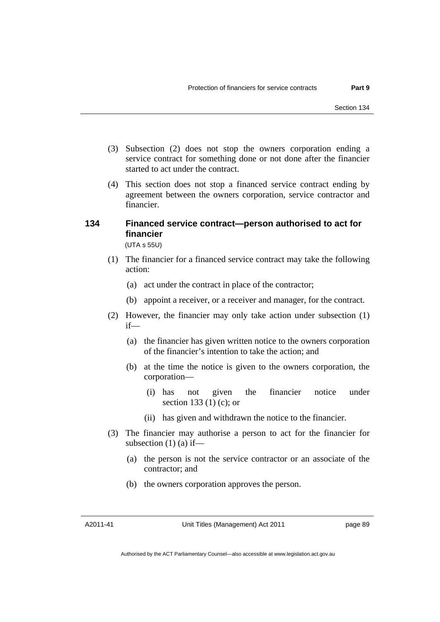- (3) Subsection (2) does not stop the owners corporation ending a service contract for something done or not done after the financier started to act under the contract.
- (4) This section does not stop a financed service contract ending by agreement between the owners corporation, service contractor and financier.

# **134 Financed service contract—person authorised to act for financier**

(UTA s 55U)

- (1) The financier for a financed service contract may take the following action:
	- (a) act under the contract in place of the contractor;
	- (b) appoint a receiver, or a receiver and manager, for the contract.
- (2) However, the financier may only take action under subsection (1) if—
	- (a) the financier has given written notice to the owners corporation of the financier's intention to take the action; and
	- (b) at the time the notice is given to the owners corporation, the corporation—
- (i) has not given the financier notice under section 133 (1) (c); or
	- (ii) has given and withdrawn the notice to the financier.
	- (3) The financier may authorise a person to act for the financier for subsection  $(1)$  (a) if—
		- (a) the person is not the service contractor or an associate of the contractor; and
		- (b) the owners corporation approves the person.

A2011-41

Unit Titles (Management) Act 2011

page 89

Authorised by the ACT Parliamentary Counsel—also accessible at www.legislation.act.gov.au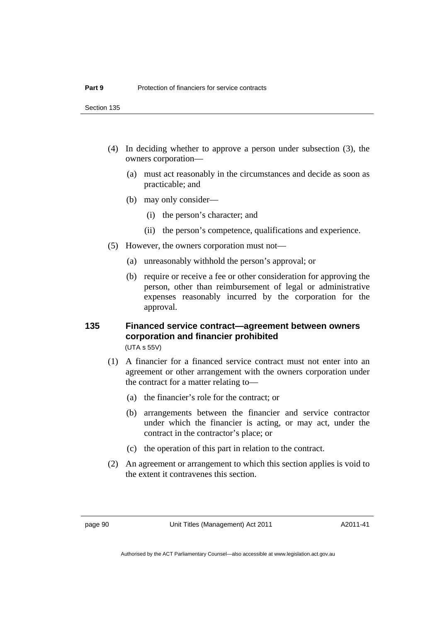- (4) In deciding whether to approve a person under subsection (3), the owners corporation—
	- (a) must act reasonably in the circumstances and decide as soon as practicable; and
	- (b) may only consider—
		- (i) the person's character; and
		- (ii) the person's competence, qualifications and experience.
- (5) However, the owners corporation must not—
	- (a) unreasonably withhold the person's approval; or
	- (b) require or receive a fee or other consideration for approving the person, other than reimbursement of legal or administrative expenses reasonably incurred by the corporation for the approval.

#### **135 Financed service contract—agreement between owners corporation and financier prohibited**  (UTA s 55V)

- (1) A financier for a financed service contract must not enter into an agreement or other arrangement with the owners corporation under the contract for a matter relating to—
	- (a) the financier's role for the contract; or
	- (b) arrangements between the financier and service contractor under which the financier is acting, or may act, under the contract in the contractor's place; or
	- (c) the operation of this part in relation to the contract.
- (2) An agreement or arrangement to which this section applies is void to the extent it contravenes this section.

page 90 Unit Titles (Management) Act 2011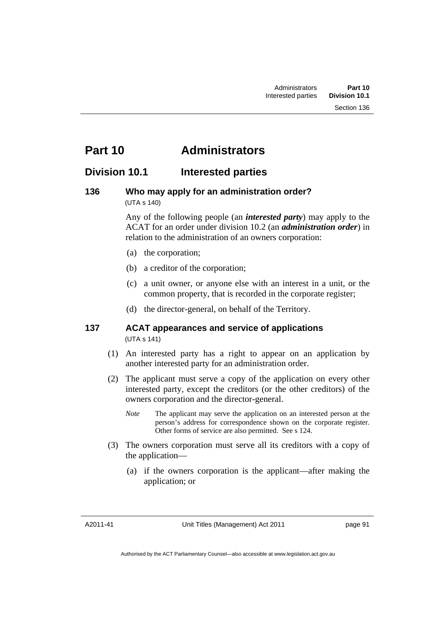# **Part 10 Administrators**

### **Division 10.1 Interested parties**

#### **136 Who may apply for an administration order?**  (UTA s 140)

Any of the following people (an *interested party*) may apply to the ACAT for an order under division 10.2 (an *administration order*) in relation to the administration of an owners corporation:

- (a) the corporation;
- (b) a creditor of the corporation;
- (c) a unit owner, or anyone else with an interest in a unit, or the common property, that is recorded in the corporate register;
- (d) the director-general, on behalf of the Territory.

#### **137 ACAT appearances and service of applications**  (UTA s 141)

- (1) An interested party has a right to appear on an application by another interested party for an administration order.
- (2) The applicant must serve a copy of the application on every other interested party, except the creditors (or the other creditors) of the owners corporation and the director-general.
	- *Note* The applicant may serve the application on an interested person at the person's address for correspondence shown on the corporate register. Other forms of service are also permitted. See s 124.
- (3) The owners corporation must serve all its creditors with a copy of the application—
	- (a) if the owners corporation is the applicant—after making the application; or

A2011-41

Unit Titles (Management) Act 2011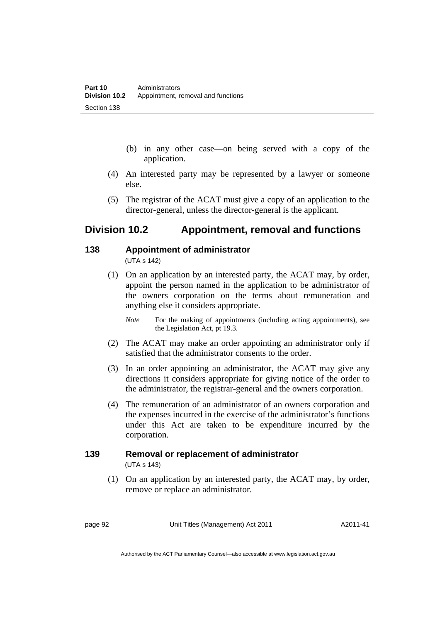- (b) in any other case—on being served with a copy of the application.
- (4) An interested party may be represented by a lawyer or someone else.
- (5) The registrar of the ACAT must give a copy of an application to the director-general, unless the director-general is the applicant.

### **Division 10.2 Appointment, removal and functions**

#### **138 Appointment of administrator**

(UTA s 142)

 (1) On an application by an interested party, the ACAT may, by order, appoint the person named in the application to be administrator of the owners corporation on the terms about remuneration and anything else it considers appropriate.

- (2) The ACAT may make an order appointing an administrator only if satisfied that the administrator consents to the order.
- (3) In an order appointing an administrator, the ACAT may give any directions it considers appropriate for giving notice of the order to the administrator, the registrar-general and the owners corporation.
- (4) The remuneration of an administrator of an owners corporation and the expenses incurred in the exercise of the administrator's functions under this Act are taken to be expenditure incurred by the corporation.

# **139 Removal or replacement of administrator**

(UTA s 143)

 (1) On an application by an interested party, the ACAT may, by order, remove or replace an administrator.

page 92 Unit Titles (Management) Act 2011

*Note* For the making of appointments (including acting appointments), see the Legislation Act, pt 19.3.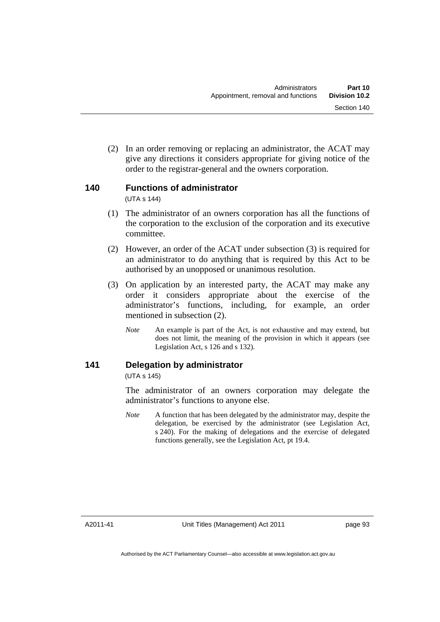(2) In an order removing or replacing an administrator, the ACAT may give any directions it considers appropriate for giving notice of the order to the registrar-general and the owners corporation.

### **140 Functions of administrator**

(UTA s 144)

- (1) The administrator of an owners corporation has all the functions of the corporation to the exclusion of the corporation and its executive committee.
- (2) However, an order of the ACAT under subsection (3) is required for an administrator to do anything that is required by this Act to be authorised by an unopposed or unanimous resolution.
- (3) On application by an interested party, the ACAT may make any order it considers appropriate about the exercise of the administrator's functions, including, for example, an order mentioned in subsection (2).
	- *Note* An example is part of the Act, is not exhaustive and may extend, but does not limit, the meaning of the provision in which it appears (see Legislation Act, s 126 and s 132).

### **141 Delegation by administrator**

(UTA s 145)

The administrator of an owners corporation may delegate the administrator's functions to anyone else.

*Note* A function that has been delegated by the administrator may, despite the delegation, be exercised by the administrator (see Legislation Act, s 240). For the making of delegations and the exercise of delegated functions generally, see the Legislation Act, pt 19.4.

A2011-41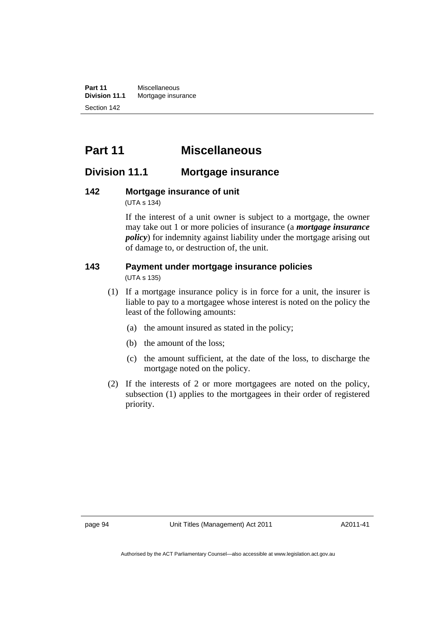**Part 11** Miscellaneous<br>**Division 11.1** Mortgage insur **Mortgage insurance** Section 142

# **Part 11 Miscellaneous**

### **Division 11.1 Mortgage insurance**

# **142 Mortgage insurance of unit**

(UTA s 134)

If the interest of a unit owner is subject to a mortgage, the owner may take out 1 or more policies of insurance (a *mortgage insurance policy*) for indemnity against liability under the mortgage arising out of damage to, or destruction of, the unit.

# **143 Payment under mortgage insurance policies**

(UTA s 135)

- (1) If a mortgage insurance policy is in force for a unit, the insurer is liable to pay to a mortgagee whose interest is noted on the policy the least of the following amounts:
	- (a) the amount insured as stated in the policy;
	- (b) the amount of the loss;
	- (c) the amount sufficient, at the date of the loss, to discharge the mortgage noted on the policy.
- (2) If the interests of 2 or more mortgagees are noted on the policy, subsection (1) applies to the mortgagees in their order of registered priority.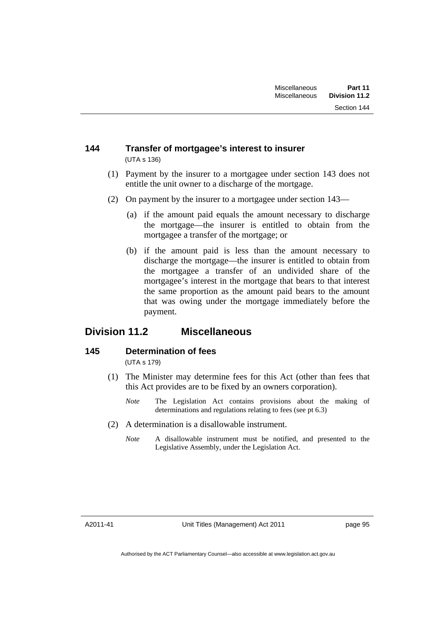#### **144 Transfer of mortgagee's interest to insurer**  (UTA s 136)

- (1) Payment by the insurer to a mortgagee under section 143 does not entitle the unit owner to a discharge of the mortgage.
- (2) On payment by the insurer to a mortgagee under section 143—
	- (a) if the amount paid equals the amount necessary to discharge the mortgage—the insurer is entitled to obtain from the mortgagee a transfer of the mortgage; or
	- (b) if the amount paid is less than the amount necessary to discharge the mortgage—the insurer is entitled to obtain from the mortgagee a transfer of an undivided share of the mortgagee's interest in the mortgage that bears to that interest the same proportion as the amount paid bears to the amount that was owing under the mortgage immediately before the payment.

### **Division 11.2 Miscellaneous**

### **145 Determination of fees**

(UTA s 179)

- (1) The Minister may determine fees for this Act (other than fees that this Act provides are to be fixed by an owners corporation).
	- *Note* The Legislation Act contains provisions about the making of determinations and regulations relating to fees (see pt 6.3)
- (2) A determination is a disallowable instrument.
	- *Note* A disallowable instrument must be notified, and presented to the Legislative Assembly, under the Legislation Act.

A2011-41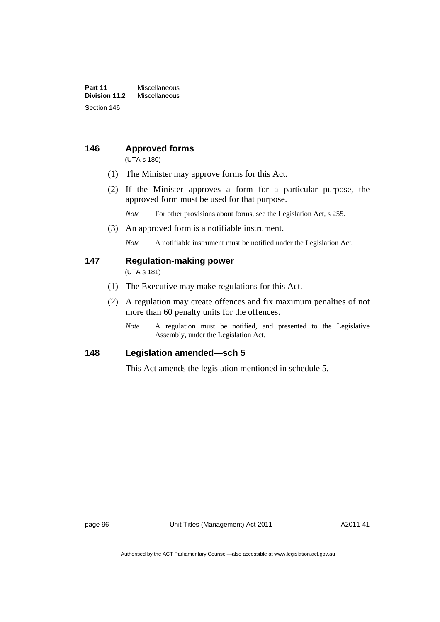#### **Part 11** Miscellaneous<br>**Division 11.2** Miscellaneous **Division 11.2** Miscellaneous Section 146

### **146 Approved forms**

(UTA s 180)

- (1) The Minister may approve forms for this Act.
- (2) If the Minister approves a form for a particular purpose, the approved form must be used for that purpose.
	- *Note* For other provisions about forms, see the Legislation Act, s 255.
- (3) An approved form is a notifiable instrument.

*Note* A notifiable instrument must be notified under the Legislation Act.

#### **147 Regulation-making power**

(UTA s 181)

- (1) The Executive may make regulations for this Act.
- (2) A regulation may create offences and fix maximum penalties of not more than 60 penalty units for the offences.
	- *Note* A regulation must be notified, and presented to the Legislative Assembly, under the Legislation Act.

#### **148 Legislation amended—sch 5**

This Act amends the legislation mentioned in schedule 5.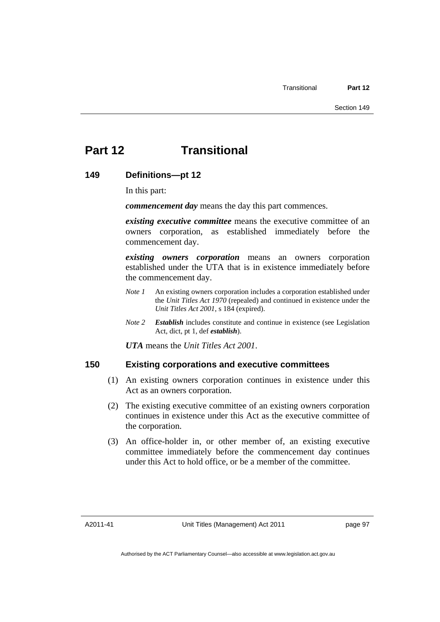# **Part 12 Transitional**

### **149 Definitions—pt 12**

In this part:

*commencement day* means the day this part commences.

*existing executive committee* means the executive committee of an owners corporation, as established immediately before the commencement day.

*existing owners corporation* means an owners corporation established under the UTA that is in existence immediately before the commencement day.

- *Note 1* An existing owners corporation includes a corporation established under the *Unit Titles Act 1970* (repealed) and continued in existence under the *Unit Titles Act 2001*, s 184 (expired).
- *Note 2 Establish* includes constitute and continue in existence (see Legislation Act, dict, pt 1, def *establish*).

*UTA* means the *Unit Titles Act 2001*.

### **150 Existing corporations and executive committees**

- (1) An existing owners corporation continues in existence under this Act as an owners corporation.
- (2) The existing executive committee of an existing owners corporation continues in existence under this Act as the executive committee of the corporation.
- (3) An office-holder in, or other member of, an existing executive committee immediately before the commencement day continues under this Act to hold office, or be a member of the committee.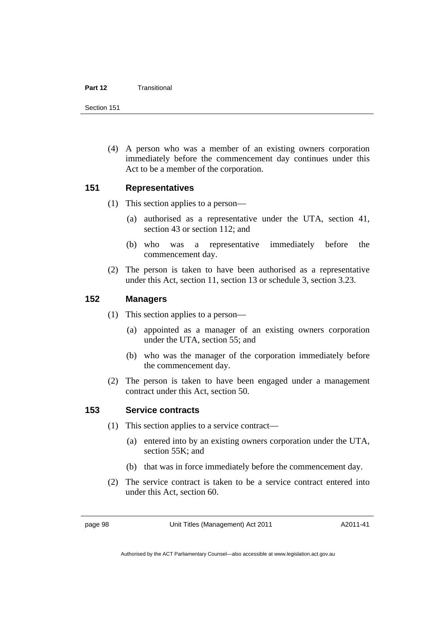#### **Part 12** Transitional

Section 151

 (4) A person who was a member of an existing owners corporation immediately before the commencement day continues under this Act to be a member of the corporation.

### **151 Representatives**

- (1) This section applies to a person—
	- (a) authorised as a representative under the UTA, section 41, section 43 or section 112; and
	- (b) who was a representative immediately before the commencement day.
- (2) The person is taken to have been authorised as a representative under this Act, section 11, section 13 or schedule 3, section 3.23.

### **152 Managers**

- (1) This section applies to a person—
	- (a) appointed as a manager of an existing owners corporation under the UTA, section 55; and
	- (b) who was the manager of the corporation immediately before the commencement day.
- (2) The person is taken to have been engaged under a management contract under this Act, section 50.

### **153 Service contracts**

- (1) This section applies to a service contract—
	- (a) entered into by an existing owners corporation under the UTA, section 55K; and
	- (b) that was in force immediately before the commencement day.
- (2) The service contract is taken to be a service contract entered into under this Act, section 60.

page 98 Unit Titles (Management) Act 2011

A2011-41

Authorised by the ACT Parliamentary Counsel—also accessible at www.legislation.act.gov.au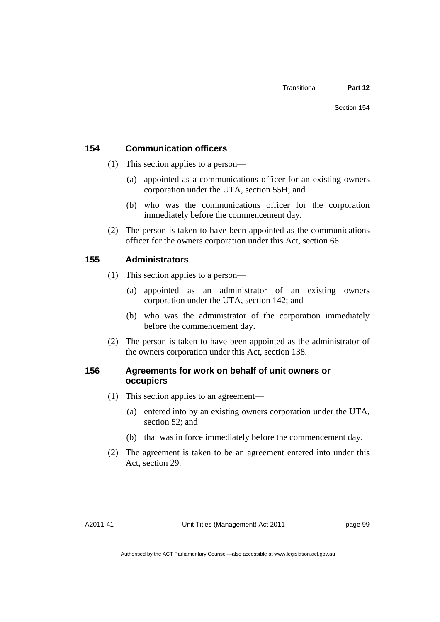## **154 Communication officers**

- (1) This section applies to a person—
	- (a) appointed as a communications officer for an existing owners corporation under the UTA, section 55H; and
	- (b) who was the communications officer for the corporation immediately before the commencement day.
- (2) The person is taken to have been appointed as the communications officer for the owners corporation under this Act, section 66.

## **155 Administrators**

- (1) This section applies to a person—
	- (a) appointed as an administrator of an existing owners corporation under the UTA, section 142; and
	- (b) who was the administrator of the corporation immediately before the commencement day.
- (2) The person is taken to have been appointed as the administrator of the owners corporation under this Act, section 138.

## **156 Agreements for work on behalf of unit owners or occupiers**

- (1) This section applies to an agreement—
	- (a) entered into by an existing owners corporation under the UTA, section 52; and
	- (b) that was in force immediately before the commencement day.
- (2) The agreement is taken to be an agreement entered into under this Act, section 29.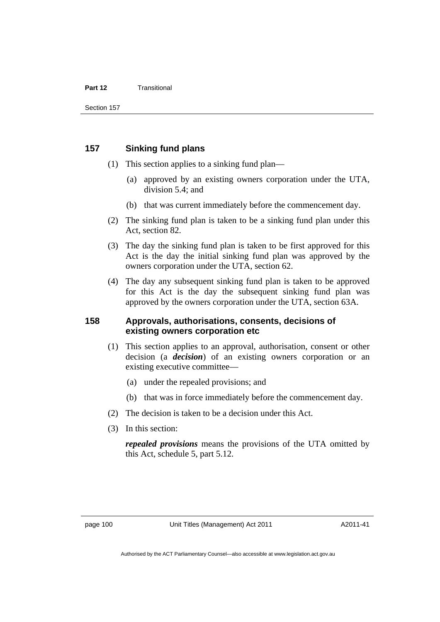#### **Part 12** Transitional

### **157 Sinking fund plans**

- (1) This section applies to a sinking fund plan—
	- (a) approved by an existing owners corporation under the UTA, division 5.4; and
	- (b) that was current immediately before the commencement day.
- (2) The sinking fund plan is taken to be a sinking fund plan under this Act, section 82.
- (3) The day the sinking fund plan is taken to be first approved for this Act is the day the initial sinking fund plan was approved by the owners corporation under the UTA, section 62.
- (4) The day any subsequent sinking fund plan is taken to be approved for this Act is the day the subsequent sinking fund plan was approved by the owners corporation under the UTA, section 63A.

## **158 Approvals, authorisations, consents, decisions of existing owners corporation etc**

- (1) This section applies to an approval, authorisation, consent or other decision (a *decision*) of an existing owners corporation or an existing executive committee—
	- (a) under the repealed provisions; and
	- (b) that was in force immediately before the commencement day.
- (2) The decision is taken to be a decision under this Act.
- (3) In this section:

*repealed provisions* means the provisions of the UTA omitted by this Act, schedule 5, part 5.12.

A2011-41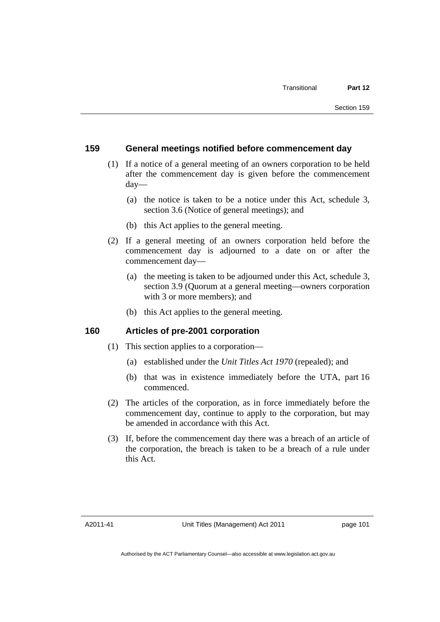### **159 General meetings notified before commencement day**

- (1) If a notice of a general meeting of an owners corporation to be held after the commencement day is given before the commencement day—
	- (a) the notice is taken to be a notice under this Act, schedule 3, section 3.6 (Notice of general meetings); and
	- (b) this Act applies to the general meeting.
- (2) If a general meeting of an owners corporation held before the commencement day is adjourned to a date on or after the commencement day—
	- (a) the meeting is taken to be adjourned under this Act, schedule 3, section 3.9 (Quorum at a general meeting—owners corporation with 3 or more members); and
	- (b) this Act applies to the general meeting.

### **160 Articles of pre-2001 corporation**

- (1) This section applies to a corporation—
	- (a) established under the *Unit Titles Act 1970* (repealed); and
	- (b) that was in existence immediately before the UTA, part 16 commenced.
- (2) The articles of the corporation, as in force immediately before the commencement day, continue to apply to the corporation, but may be amended in accordance with this Act.
- (3) If, before the commencement day there was a breach of an article of the corporation, the breach is taken to be a breach of a rule under this Act.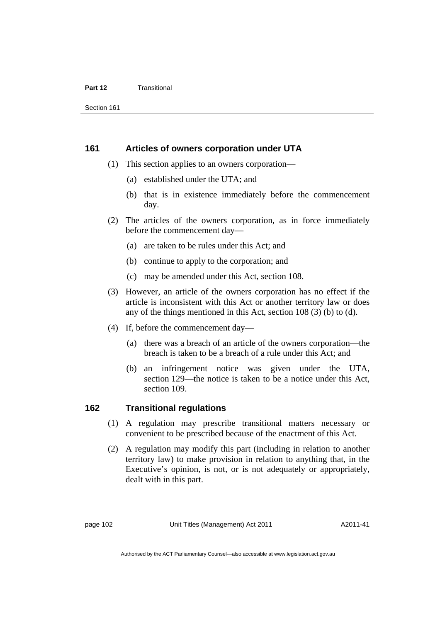#### **Part 12** Transitional

Section 161

### **161 Articles of owners corporation under UTA**

- (1) This section applies to an owners corporation—
	- (a) established under the UTA; and
	- (b) that is in existence immediately before the commencement day.
- (2) The articles of the owners corporation, as in force immediately before the commencement day—
	- (a) are taken to be rules under this Act; and
	- (b) continue to apply to the corporation; and
	- (c) may be amended under this Act, section 108.
- (3) However, an article of the owners corporation has no effect if the article is inconsistent with this Act or another territory law or does any of the things mentioned in this Act, section 108 (3) (b) to (d).
- (4) If, before the commencement day—
	- (a) there was a breach of an article of the owners corporation—the breach is taken to be a breach of a rule under this Act; and
	- (b) an infringement notice was given under the UTA, section 129—the notice is taken to be a notice under this Act, section 109.

## **162 Transitional regulations**

- (1) A regulation may prescribe transitional matters necessary or convenient to be prescribed because of the enactment of this Act.
- (2) A regulation may modify this part (including in relation to another territory law) to make provision in relation to anything that, in the Executive's opinion, is not, or is not adequately or appropriately, dealt with in this part.

A2011-41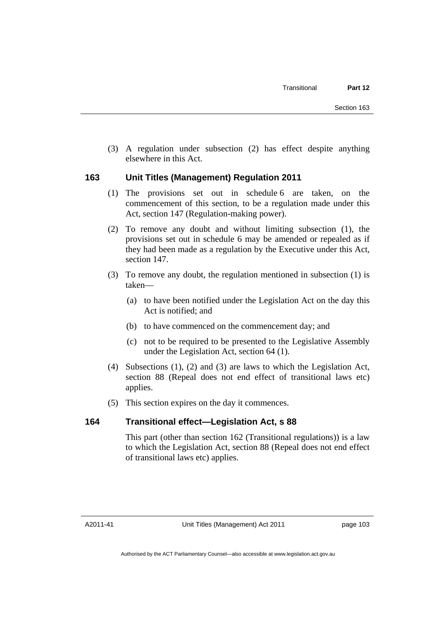(3) A regulation under subsection (2) has effect despite anything elsewhere in this Act.

## **163 Unit Titles (Management) Regulation 2011**

- (1) The provisions set out in schedule 6 are taken, on the commencement of this section, to be a regulation made under this Act, section 147 (Regulation-making power).
- (2) To remove any doubt and without limiting subsection (1), the provisions set out in schedule 6 may be amended or repealed as if they had been made as a regulation by the Executive under this Act, section 147.
- (3) To remove any doubt, the regulation mentioned in subsection (1) is taken—
	- (a) to have been notified under the Legislation Act on the day this Act is notified; and
	- (b) to have commenced on the commencement day; and
	- (c) not to be required to be presented to the Legislative Assembly under the Legislation Act, section 64 (1).
- (4) Subsections (1), (2) and (3) are laws to which the Legislation Act, section 88 (Repeal does not end effect of transitional laws etc) applies.
- (5) This section expires on the day it commences.

## **164 Transitional effect—Legislation Act, s 88**

This part (other than section 162 (Transitional regulations)) is a law to which the Legislation Act, section 88 (Repeal does not end effect of transitional laws etc) applies.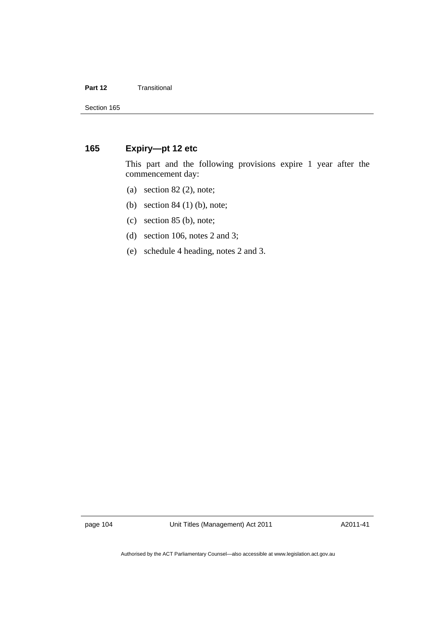### **Part 12 Transitional**

## **165 Expiry—pt 12 etc**

This part and the following provisions expire 1 year after the commencement day:

- (a) section  $82$  (2), note;
- (b) section 84 (1) (b), note;
- (c) section 85 (b), note;
- (d) section 106, notes 2 and 3;
- (e) schedule 4 heading, notes 2 and 3.

page 104 Unit Titles (Management) Act 2011

A2011-41

Authorised by the ACT Parliamentary Counsel—also accessible at www.legislation.act.gov.au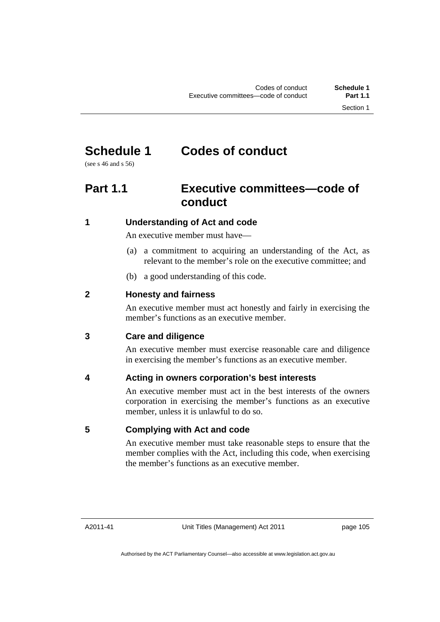# **Schedule 1 Codes of conduct**

(see s 46 and s 56)

# **Part 1.1 Executive committees—code of conduct**

# **1 Understanding of Act and code**

An executive member must have—

- (a) a commitment to acquiring an understanding of the Act, as relevant to the member's role on the executive committee; and
- (b) a good understanding of this code.

# **2 Honesty and fairness**

An executive member must act honestly and fairly in exercising the member's functions as an executive member.

# **3 Care and diligence**

An executive member must exercise reasonable care and diligence in exercising the member's functions as an executive member.

# **4 Acting in owners corporation's best interests**

An executive member must act in the best interests of the owners corporation in exercising the member's functions as an executive member, unless it is unlawful to do so.

## **5 Complying with Act and code**

An executive member must take reasonable steps to ensure that the member complies with the Act, including this code, when exercising the member's functions as an executive member.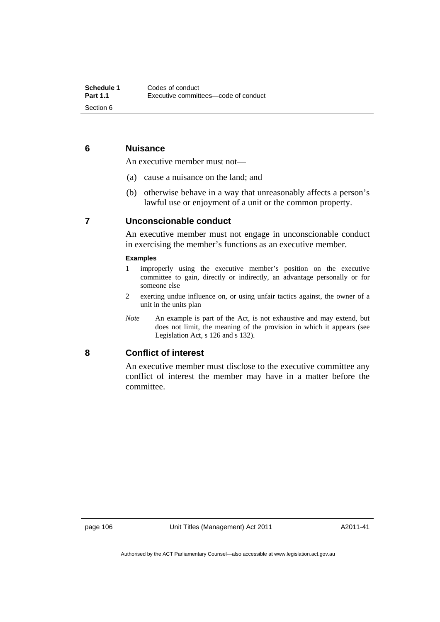## **6 Nuisance**

An executive member must not—

- (a) cause a nuisance on the land; and
- (b) otherwise behave in a way that unreasonably affects a person's lawful use or enjoyment of a unit or the common property.

### **7 Unconscionable conduct**

An executive member must not engage in unconscionable conduct in exercising the member's functions as an executive member.

### **Examples**

- 1 improperly using the executive member's position on the executive committee to gain, directly or indirectly, an advantage personally or for someone else
- 2 exerting undue influence on, or using unfair tactics against, the owner of a unit in the units plan
- *Note* An example is part of the Act, is not exhaustive and may extend, but does not limit, the meaning of the provision in which it appears (see Legislation Act, s 126 and s 132).

### **8 Conflict of interest**

An executive member must disclose to the executive committee any conflict of interest the member may have in a matter before the committee.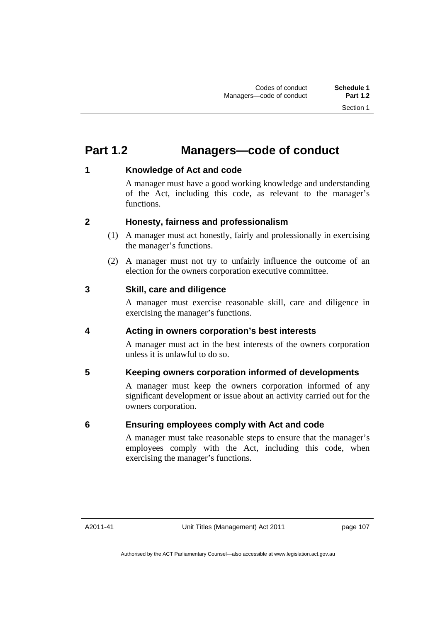# **Part 1.2 Managers—code of conduct**

## **1 Knowledge of Act and code**

A manager must have a good working knowledge and understanding of the Act, including this code, as relevant to the manager's functions.

## **2 Honesty, fairness and professionalism**

- (1) A manager must act honestly, fairly and professionally in exercising the manager's functions.
- (2) A manager must not try to unfairly influence the outcome of an election for the owners corporation executive committee.

## **3 Skill, care and diligence**

A manager must exercise reasonable skill, care and diligence in exercising the manager's functions.

# **4 Acting in owners corporation's best interests**

A manager must act in the best interests of the owners corporation unless it is unlawful to do so.

# **5 Keeping owners corporation informed of developments**

A manager must keep the owners corporation informed of any significant development or issue about an activity carried out for the owners corporation.

# **6 Ensuring employees comply with Act and code**

A manager must take reasonable steps to ensure that the manager's employees comply with the Act, including this code, when exercising the manager's functions.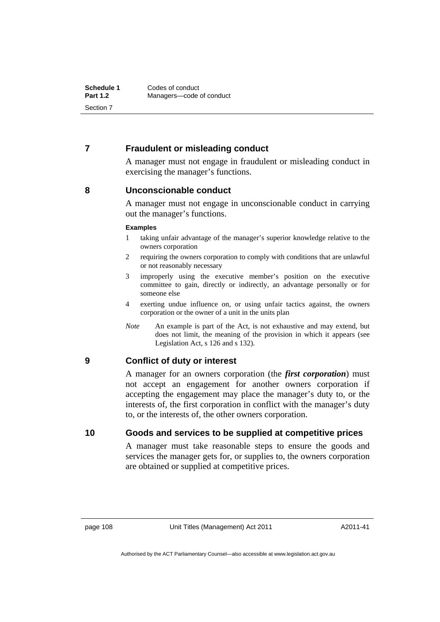## **7 Fraudulent or misleading conduct**

A manager must not engage in fraudulent or misleading conduct in exercising the manager's functions.

## **8 Unconscionable conduct**

A manager must not engage in unconscionable conduct in carrying out the manager's functions.

### **Examples**

- 1 taking unfair advantage of the manager's superior knowledge relative to the owners corporation
- 2 requiring the owners corporation to comply with conditions that are unlawful or not reasonably necessary
- 3 improperly using the executive member's position on the executive committee to gain, directly or indirectly, an advantage personally or for someone else
- 4 exerting undue influence on, or using unfair tactics against, the owners corporation or the owner of a unit in the units plan
- *Note* An example is part of the Act, is not exhaustive and may extend, but does not limit, the meaning of the provision in which it appears (see Legislation Act, s 126 and s 132).

## **9 Conflict of duty or interest**

A manager for an owners corporation (the *first corporation*) must not accept an engagement for another owners corporation if accepting the engagement may place the manager's duty to, or the interests of, the first corporation in conflict with the manager's duty to, or the interests of, the other owners corporation.

**10 Goods and services to be supplied at competitive prices** 

A manager must take reasonable steps to ensure the goods and services the manager gets for, or supplies to, the owners corporation are obtained or supplied at competitive prices.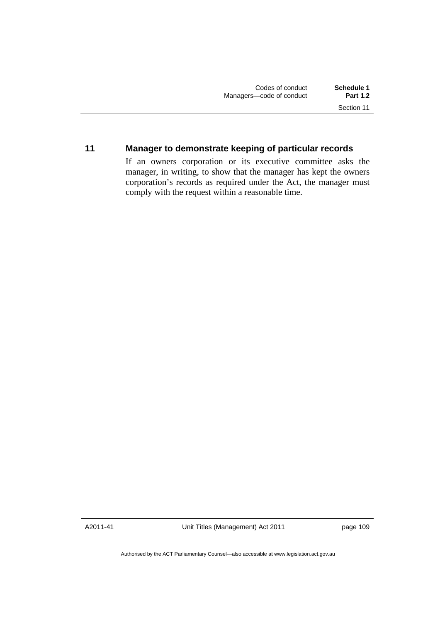## **11 Manager to demonstrate keeping of particular records**

If an owners corporation or its executive committee asks the manager, in writing, to show that the manager has kept the owners corporation's records as required under the Act, the manager must comply with the request within a reasonable time.

A2011-41

Unit Titles (Management) Act 2011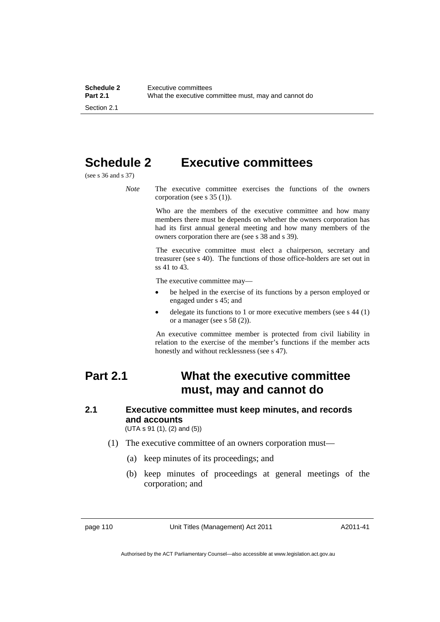# **Schedule 2 Executive committees**

(see s 36 and s 37)

*Note* The executive committee exercises the functions of the owners corporation (see s 35 (1)).

> Who are the members of the executive committee and how many members there must be depends on whether the owners corporation has had its first annual general meeting and how many members of the owners corporation there are (see s 38 and s 39).

> The executive committee must elect a chairperson, secretary and treasurer (see s 40). The functions of those office-holders are set out in ss 41 to 43.

The executive committee may—

- be helped in the exercise of its functions by a person employed or engaged under s 45; and
- delegate its functions to 1 or more executive members (see s 44 (1) or a manager (see s 58 (2)).

An executive committee member is protected from civil liability in relation to the exercise of the member's functions if the member acts honestly and without recklessness (see s 47).

# **Part 2.1 What the executive committee must, may and cannot do**

# **2.1 Executive committee must keep minutes, and records and accounts**

(UTA s 91 (1), (2) and (5))

- (1) The executive committee of an owners corporation must—
	- (a) keep minutes of its proceedings; and
	- (b) keep minutes of proceedings at general meetings of the corporation; and

page 110 Unit Titles (Management) Act 2011

A2011-41

Authorised by the ACT Parliamentary Counsel—also accessible at www.legislation.act.gov.au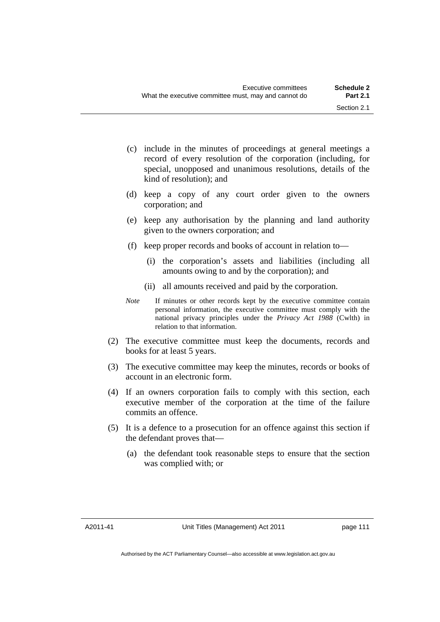- (c) include in the minutes of proceedings at general meetings a record of every resolution of the corporation (including, for special, unopposed and unanimous resolutions, details of the kind of resolution); and
- (d) keep a copy of any court order given to the owners corporation; and
- (e) keep any authorisation by the planning and land authority given to the owners corporation; and
- (f) keep proper records and books of account in relation to—
	- (i) the corporation's assets and liabilities (including all amounts owing to and by the corporation); and
	- (ii) all amounts received and paid by the corporation.
- *Note* If minutes or other records kept by the executive committee contain personal information, the executive committee must comply with the national privacy principles under the *Privacy Act 1988* (Cwlth) in relation to that information.
- (2) The executive committee must keep the documents, records and books for at least 5 years.
- (3) The executive committee may keep the minutes, records or books of account in an electronic form.
- (4) If an owners corporation fails to comply with this section, each executive member of the corporation at the time of the failure commits an offence.
- (5) It is a defence to a prosecution for an offence against this section if the defendant proves that—
	- (a) the defendant took reasonable steps to ensure that the section was complied with; or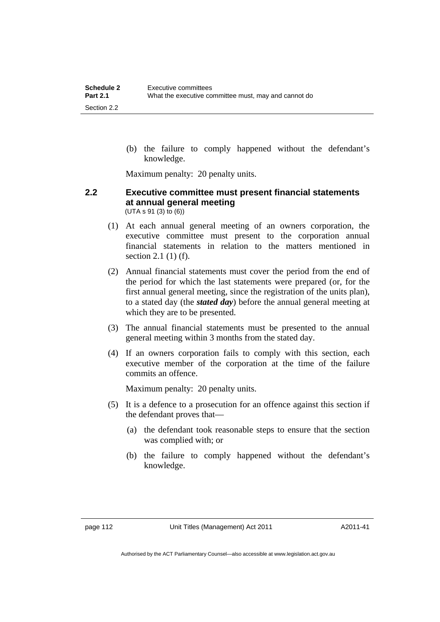(b) the failure to comply happened without the defendant's knowledge.

Maximum penalty: 20 penalty units.

### **2.2 Executive committee must present financial statements at annual general meeting**  (UTA s 91 (3) to (6))

- (1) At each annual general meeting of an owners corporation, the executive committee must present to the corporation annual financial statements in relation to the matters mentioned in section 2.1 (1) (f).
- (2) Annual financial statements must cover the period from the end of the period for which the last statements were prepared (or, for the first annual general meeting, since the registration of the units plan), to a stated day (the *stated day*) before the annual general meeting at which they are to be presented.
- (3) The annual financial statements must be presented to the annual general meeting within 3 months from the stated day.
- (4) If an owners corporation fails to comply with this section, each executive member of the corporation at the time of the failure commits an offence.

Maximum penalty: 20 penalty units.

- (5) It is a defence to a prosecution for an offence against this section if the defendant proves that—
	- (a) the defendant took reasonable steps to ensure that the section was complied with; or
	- (b) the failure to comply happened without the defendant's knowledge.

A2011-41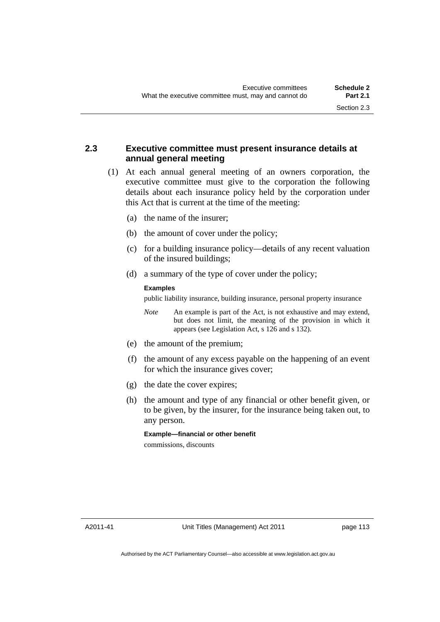## **2.3 Executive committee must present insurance details at annual general meeting**

- (1) At each annual general meeting of an owners corporation, the executive committee must give to the corporation the following details about each insurance policy held by the corporation under this Act that is current at the time of the meeting:
	- (a) the name of the insurer;
	- (b) the amount of cover under the policy;
	- (c) for a building insurance policy—details of any recent valuation of the insured buildings;
	- (d) a summary of the type of cover under the policy;

### **Examples**

public liability insurance, building insurance, personal property insurance

- *Note* An example is part of the Act, is not exhaustive and may extend, but does not limit, the meaning of the provision in which it appears (see Legislation Act, s 126 and s 132).
- (e) the amount of the premium;
- (f) the amount of any excess payable on the happening of an event for which the insurance gives cover;
- (g) the date the cover expires;
- (h) the amount and type of any financial or other benefit given, or to be given, by the insurer, for the insurance being taken out, to any person.

**Example—financial or other benefit**  commissions, discounts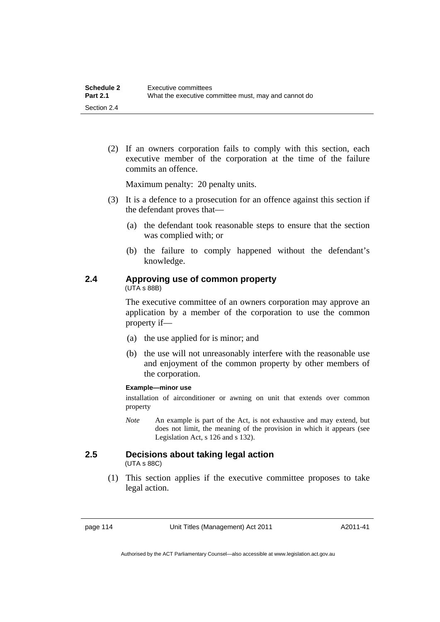(2) If an owners corporation fails to comply with this section, each executive member of the corporation at the time of the failure commits an offence.

Maximum penalty: 20 penalty units.

- (3) It is a defence to a prosecution for an offence against this section if the defendant proves that—
	- (a) the defendant took reasonable steps to ensure that the section was complied with; or
	- (b) the failure to comply happened without the defendant's knowledge.

# **2.4 Approving use of common property**

(UTA s 88B)

The executive committee of an owners corporation may approve an application by a member of the corporation to use the common property if—

- (a) the use applied for is minor; and
- (b) the use will not unreasonably interfere with the reasonable use and enjoyment of the common property by other members of the corporation.

### **Example—minor use**

installation of airconditioner or awning on unit that extends over common property

*Note* An example is part of the Act, is not exhaustive and may extend, but does not limit, the meaning of the provision in which it appears (see Legislation Act, s 126 and s 132).

### **2.5 Decisions about taking legal action**  (UTA s 88C)

 (1) This section applies if the executive committee proposes to take legal action.

page 114 Unit Titles (Management) Act 2011

A2011-41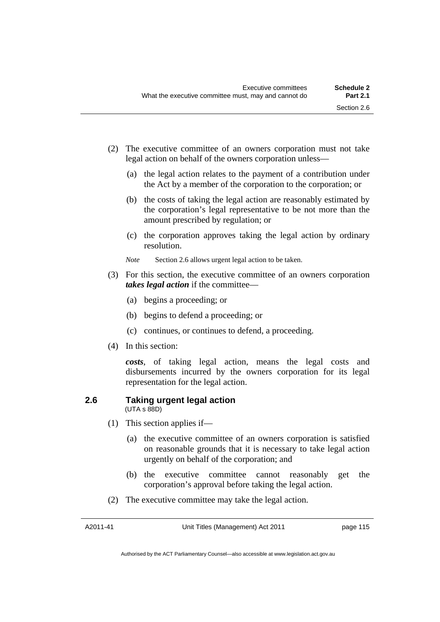- (2) The executive committee of an owners corporation must not take legal action on behalf of the owners corporation unless—
	- (a) the legal action relates to the payment of a contribution under the Act by a member of the corporation to the corporation; or
	- (b) the costs of taking the legal action are reasonably estimated by the corporation's legal representative to be not more than the amount prescribed by regulation; or
	- (c) the corporation approves taking the legal action by ordinary resolution.
	- *Note* Section 2.6 allows urgent legal action to be taken.
- (3) For this section, the executive committee of an owners corporation *takes legal action* if the committee—
	- (a) begins a proceeding; or
	- (b) begins to defend a proceeding; or
	- (c) continues, or continues to defend, a proceeding.
- (4) In this section:

*costs*, of taking legal action, means the legal costs and disbursements incurred by the owners corporation for its legal representation for the legal action.

#### **2.6 Taking urgent legal action**  (UTA s 88D)

- (1) This section applies if—
	- (a) the executive committee of an owners corporation is satisfied on reasonable grounds that it is necessary to take legal action urgently on behalf of the corporation; and
	- (b) the executive committee cannot reasonably get the corporation's approval before taking the legal action.
- (2) The executive committee may take the legal action.

Authorised by the ACT Parliamentary Counsel—also accessible at www.legislation.act.gov.au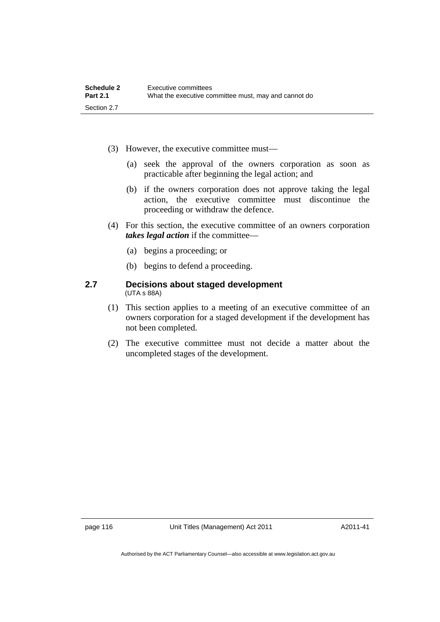- (3) However, the executive committee must—
	- (a) seek the approval of the owners corporation as soon as practicable after beginning the legal action; and
	- (b) if the owners corporation does not approve taking the legal action, the executive committee must discontinue the proceeding or withdraw the defence.
- (4) For this section, the executive committee of an owners corporation *takes legal action* if the committee—
	- (a) begins a proceeding; or
	- (b) begins to defend a proceeding.

### **2.7 Decisions about staged development**  (UTA s 88A)

- (1) This section applies to a meeting of an executive committee of an owners corporation for a staged development if the development has not been completed.
- (2) The executive committee must not decide a matter about the uncompleted stages of the development.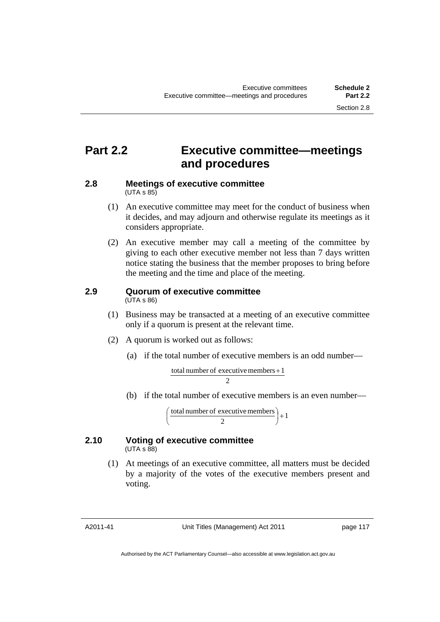# **Part 2.2 Executive committee—meetings and procedures**

#### **2.8 Meetings of executive committee**   $(UTA \, s \, 85)$

- (1) An executive committee may meet for the conduct of business when it decides, and may adjourn and otherwise regulate its meetings as it considers appropriate.
- (2) An executive member may call a meeting of the committee by giving to each other executive member not less than 7 days written notice stating the business that the member proposes to bring before the meeting and the time and place of the meeting.

### **2.9 Quorum of executive committee**  (UTA s 86)

- (1) Business may be transacted at a meeting of an executive committee only if a quorum is present at the relevant time.
- (2) A quorum is worked out as follows:
	- (a) if the total number of executive members is an odd number—

total number of executive members 
$$
+1
$$
  
2

(b) if the total number of executive members is an even number—

total number of executive members  $\begin{pmatrix} 2 \end{pmatrix} + 1$ )  $\left(\frac{\text{total number of executive members}}{2}\right)$  $\overline{\mathcal{L}}$ ſ

### **2.10 Voting of executive committee**   $(UTA \, s \, 88)$

 (1) At meetings of an executive committee, all matters must be decided by a majority of the votes of the executive members present and voting.

A2011-41

Unit Titles (Management) Act 2011

Authorised by the ACT Parliamentary Counsel—also accessible at www.legislation.act.gov.au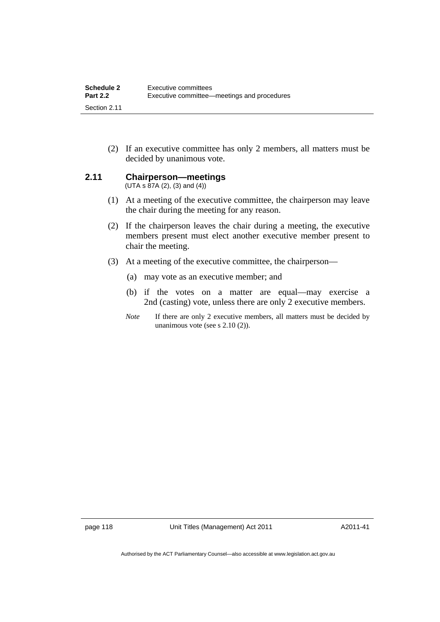(2) If an executive committee has only 2 members, all matters must be decided by unanimous vote.

## **2.11 Chairperson—meetings**

 $(UTA s 87A (2), (3) and (4))$ 

- (1) At a meeting of the executive committee, the chairperson may leave the chair during the meeting for any reason.
- (2) If the chairperson leaves the chair during a meeting, the executive members present must elect another executive member present to chair the meeting.
- (3) At a meeting of the executive committee, the chairperson—
	- (a) may vote as an executive member; and
	- (b) if the votes on a matter are equal—may exercise a 2nd (casting) vote, unless there are only 2 executive members.
	- *Note* If there are only 2 executive members, all matters must be decided by unanimous vote (see s 2.10 (2)).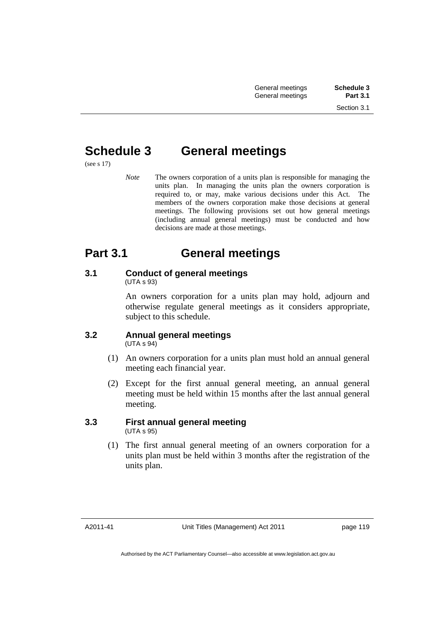# **Schedule 3 General meetings**

(see s 17)

*Note* The owners corporation of a units plan is responsible for managing the units plan. In managing the units plan the owners corporation is required to, or may, make various decisions under this Act. The members of the owners corporation make those decisions at general meetings. The following provisions set out how general meetings (including annual general meetings) must be conducted and how decisions are made at those meetings.

# **Part 3.1 General meetings**

### **3.1 Conduct of general meetings**  (UTA s 93)

An owners corporation for a units plan may hold, adjourn and otherwise regulate general meetings as it considers appropriate, subject to this schedule.

# **3.2 Annual general meetings**

(UTA s 94)

- (1) An owners corporation for a units plan must hold an annual general meeting each financial year.
- (2) Except for the first annual general meeting, an annual general meeting must be held within 15 months after the last annual general meeting.

## **3.3 First annual general meeting**  (UTA s 95)

 (1) The first annual general meeting of an owners corporation for a units plan must be held within 3 months after the registration of the units plan.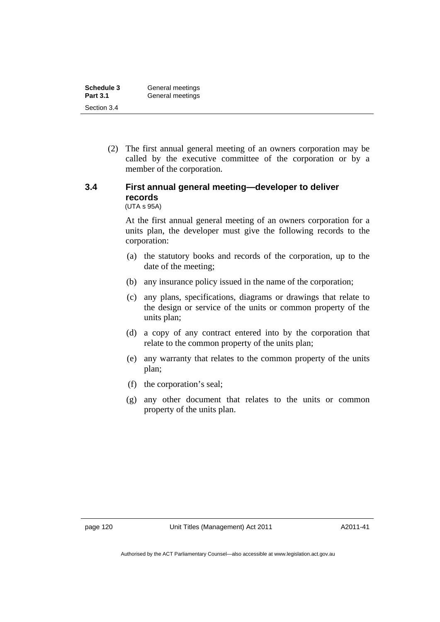| Schedule 3      | General meetings |
|-----------------|------------------|
| <b>Part 3.1</b> | General meetings |
| Section 3.4     |                  |

 (2) The first annual general meeting of an owners corporation may be called by the executive committee of the corporation or by a member of the corporation.

# **3.4 First annual general meeting—developer to deliver records**

(UTA s 95A)

At the first annual general meeting of an owners corporation for a units plan, the developer must give the following records to the corporation:

- (a) the statutory books and records of the corporation, up to the date of the meeting;
- (b) any insurance policy issued in the name of the corporation;
- (c) any plans, specifications, diagrams or drawings that relate to the design or service of the units or common property of the units plan;
- (d) a copy of any contract entered into by the corporation that relate to the common property of the units plan;
- (e) any warranty that relates to the common property of the units plan;
- (f) the corporation's seal;
- (g) any other document that relates to the units or common property of the units plan.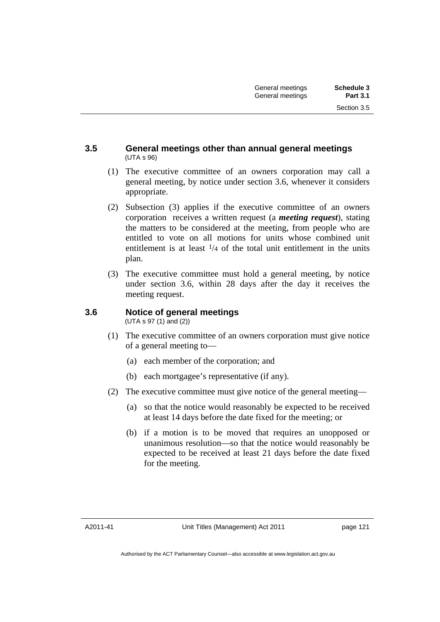### **3.5 General meetings other than annual general meetings**  (UTA s 96)

- (1) The executive committee of an owners corporation may call a general meeting, by notice under section 3.6, whenever it considers appropriate.
- (2) Subsection (3) applies if the executive committee of an owners corporation receives a written request (a *meeting request*), stating the matters to be considered at the meeting, from people who are entitled to vote on all motions for units whose combined unit entitlement is at least  $\frac{1}{4}$  of the total unit entitlement in the units plan.
- (3) The executive committee must hold a general meeting, by notice under section 3.6, within 28 days after the day it receives the meeting request.

#### **3.6 Notice of general meetings**  (UTA s 97 (1) and (2))

- (1) The executive committee of an owners corporation must give notice of a general meeting to—
	- (a) each member of the corporation; and
	- (b) each mortgagee's representative (if any).
- (2) The executive committee must give notice of the general meeting—
	- (a) so that the notice would reasonably be expected to be received at least 14 days before the date fixed for the meeting; or
	- (b) if a motion is to be moved that requires an unopposed or unanimous resolution—so that the notice would reasonably be expected to be received at least 21 days before the date fixed for the meeting.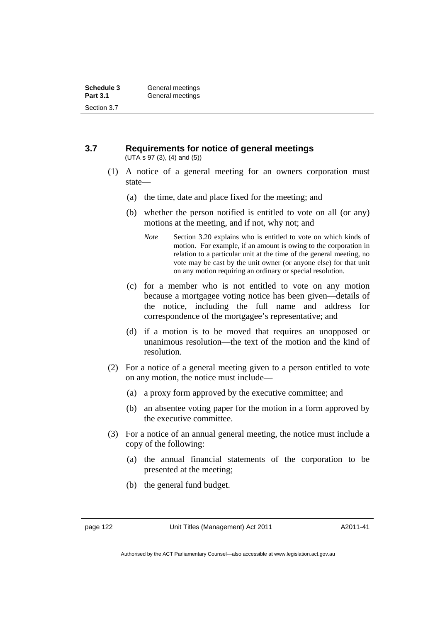### **3.7 Requirements for notice of general meetings**  (UTA s 97 (3), (4) and (5))

- (1) A notice of a general meeting for an owners corporation must state—
	- (a) the time, date and place fixed for the meeting; and
	- (b) whether the person notified is entitled to vote on all (or any) motions at the meeting, and if not, why not; and
		- *Note* Section 3.20 explains who is entitled to vote on which kinds of motion. For example, if an amount is owing to the corporation in relation to a particular unit at the time of the general meeting, no vote may be cast by the unit owner (or anyone else) for that unit on any motion requiring an ordinary or special resolution.
	- (c) for a member who is not entitled to vote on any motion because a mortgagee voting notice has been given—details of the notice, including the full name and address for correspondence of the mortgagee's representative; and
	- (d) if a motion is to be moved that requires an unopposed or unanimous resolution—the text of the motion and the kind of resolution.
- (2) For a notice of a general meeting given to a person entitled to vote on any motion, the notice must include—
	- (a) a proxy form approved by the executive committee; and
	- (b) an absentee voting paper for the motion in a form approved by the executive committee.
- (3) For a notice of an annual general meeting, the notice must include a copy of the following:
	- (a) the annual financial statements of the corporation to be presented at the meeting;
	- (b) the general fund budget.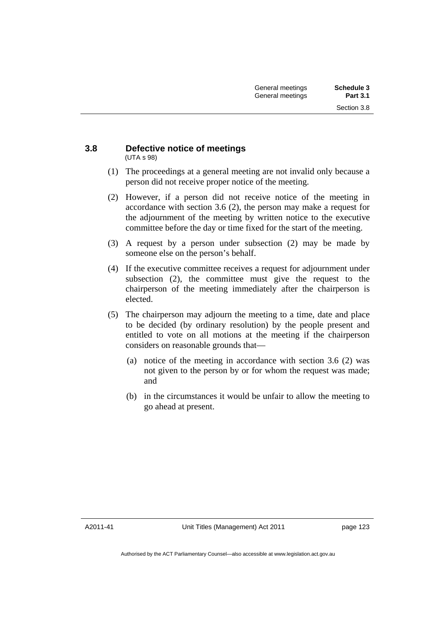### **3.8 Defective notice of meetings**  (UTA s 98)

- (1) The proceedings at a general meeting are not invalid only because a person did not receive proper notice of the meeting.
- (2) However, if a person did not receive notice of the meeting in accordance with section 3.6 (2), the person may make a request for the adjournment of the meeting by written notice to the executive committee before the day or time fixed for the start of the meeting.
- (3) A request by a person under subsection (2) may be made by someone else on the person's behalf.
- (4) If the executive committee receives a request for adjournment under subsection (2), the committee must give the request to the chairperson of the meeting immediately after the chairperson is elected.
- (5) The chairperson may adjourn the meeting to a time, date and place to be decided (by ordinary resolution) by the people present and entitled to vote on all motions at the meeting if the chairperson considers on reasonable grounds that—
	- (a) notice of the meeting in accordance with section 3.6 (2) was not given to the person by or for whom the request was made; and
	- (b) in the circumstances it would be unfair to allow the meeting to go ahead at present.

A2011-41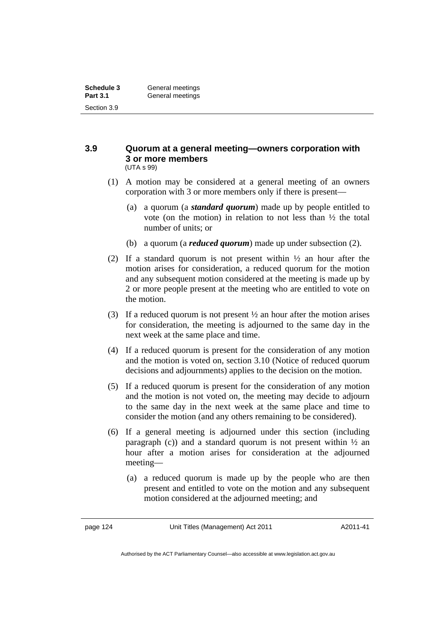### **3.9 Quorum at a general meeting—owners corporation with 3 or more members**  (UTA s 99)

- (1) A motion may be considered at a general meeting of an owners corporation with 3 or more members only if there is present—
	- (a) a quorum (a *standard quorum*) made up by people entitled to vote (on the motion) in relation to not less than ½ the total number of units; or
	- (b) a quorum (a *reduced quorum*) made up under subsection (2).
- (2) If a standard quorum is not present within  $\frac{1}{2}$  an hour after the motion arises for consideration, a reduced quorum for the motion and any subsequent motion considered at the meeting is made up by 2 or more people present at the meeting who are entitled to vote on the motion.
- (3) If a reduced quorum is not present ½ an hour after the motion arises for consideration, the meeting is adjourned to the same day in the next week at the same place and time.
- (4) If a reduced quorum is present for the consideration of any motion and the motion is voted on, section 3.10 (Notice of reduced quorum decisions and adjournments) applies to the decision on the motion.
- (5) If a reduced quorum is present for the consideration of any motion and the motion is not voted on, the meeting may decide to adjourn to the same day in the next week at the same place and time to consider the motion (and any others remaining to be considered).
- (6) If a general meeting is adjourned under this section (including paragraph (c)) and a standard quorum is not present within  $\frac{1}{2}$  and hour after a motion arises for consideration at the adjourned meeting—
	- (a) a reduced quorum is made up by the people who are then present and entitled to vote on the motion and any subsequent motion considered at the adjourned meeting; and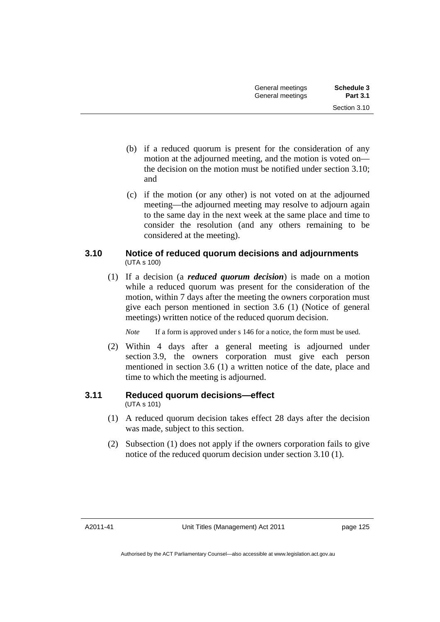- (b) if a reduced quorum is present for the consideration of any motion at the adjourned meeting, and the motion is voted on the decision on the motion must be notified under section 3.10; and
- (c) if the motion (or any other) is not voted on at the adjourned meeting—the adjourned meeting may resolve to adjourn again to the same day in the next week at the same place and time to consider the resolution (and any others remaining to be considered at the meeting).

## **3.10 Notice of reduced quorum decisions and adjournments**  (UTA s 100)

 (1) If a decision (a *reduced quorum decision*) is made on a motion while a reduced quorum was present for the consideration of the motion, within 7 days after the meeting the owners corporation must give each person mentioned in section 3.6 (1) (Notice of general meetings) written notice of the reduced quorum decision.

*Note* If a form is approved under s 146 for a notice, the form must be used.

 (2) Within 4 days after a general meeting is adjourned under section 3.9, the owners corporation must give each person mentioned in section 3.6 (1) a written notice of the date, place and time to which the meeting is adjourned.

# **3.11 Reduced quorum decisions—effect**

(UTA s 101)

- (1) A reduced quorum decision takes effect 28 days after the decision was made, subject to this section.
- (2) Subsection (1) does not apply if the owners corporation fails to give notice of the reduced quorum decision under section 3.10 (1).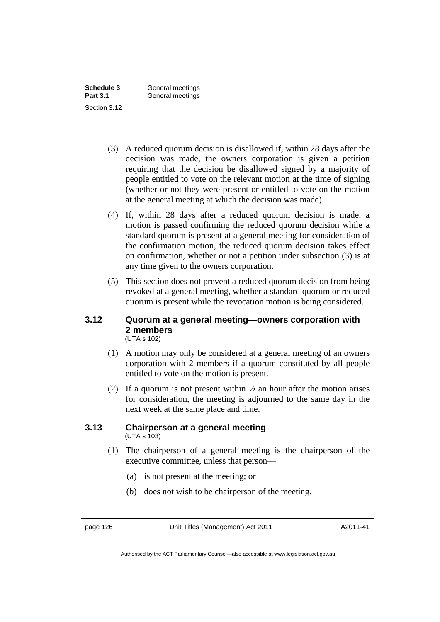| Schedule 3      | General meetings |
|-----------------|------------------|
| <b>Part 3.1</b> | General meetings |
| Section 3.12    |                  |

- (3) A reduced quorum decision is disallowed if, within 28 days after the decision was made, the owners corporation is given a petition requiring that the decision be disallowed signed by a majority of people entitled to vote on the relevant motion at the time of signing (whether or not they were present or entitled to vote on the motion at the general meeting at which the decision was made).
- (4) If, within 28 days after a reduced quorum decision is made, a motion is passed confirming the reduced quorum decision while a standard quorum is present at a general meeting for consideration of the confirmation motion, the reduced quorum decision takes effect on confirmation, whether or not a petition under subsection (3) is at any time given to the owners corporation.
- (5) This section does not prevent a reduced quorum decision from being revoked at a general meeting, whether a standard quorum or reduced quorum is present while the revocation motion is being considered.

### **3.12 Quorum at a general meeting—owners corporation with 2 members**  (UTA s 102)

- (1) A motion may only be considered at a general meeting of an owners corporation with 2 members if a quorum constituted by all people entitled to vote on the motion is present.
- (2) If a quorum is not present within  $\frac{1}{2}$  an hour after the motion arises for consideration, the meeting is adjourned to the same day in the next week at the same place and time.

### **3.13 Chairperson at a general meeting**   $(UTA s 103)$

- (1) The chairperson of a general meeting is the chairperson of the executive committee, unless that person—
	- (a) is not present at the meeting; or
	- (b) does not wish to be chairperson of the meeting.

A2011-41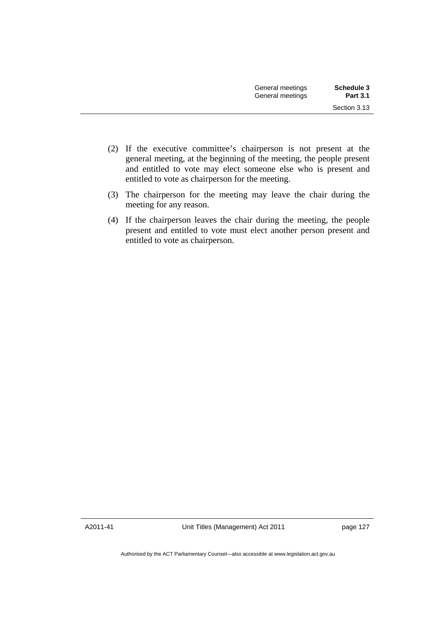- (2) If the executive committee's chairperson is not present at the general meeting, at the beginning of the meeting, the people present and entitled to vote may elect someone else who is present and entitled to vote as chairperson for the meeting.
- (3) The chairperson for the meeting may leave the chair during the meeting for any reason.
- (4) If the chairperson leaves the chair during the meeting, the people present and entitled to vote must elect another person present and entitled to vote as chairperson.

A2011-41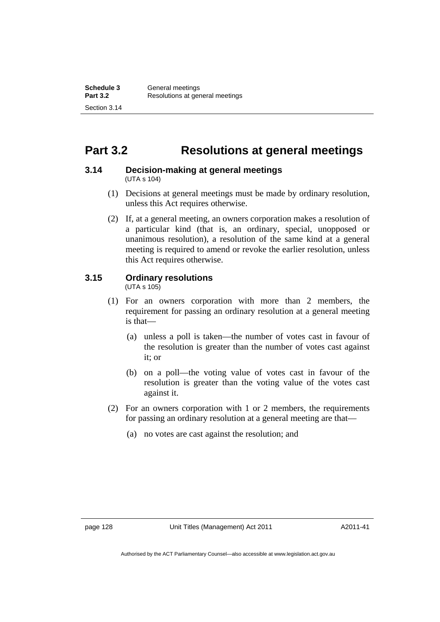# **Part 3.2 Resolutions at general meetings**

#### **3.14 Decision-making at general meetings**  (UTA s 104)

- (1) Decisions at general meetings must be made by ordinary resolution, unless this Act requires otherwise.
- (2) If, at a general meeting, an owners corporation makes a resolution of a particular kind (that is, an ordinary, special, unopposed or unanimous resolution), a resolution of the same kind at a general meeting is required to amend or revoke the earlier resolution, unless this Act requires otherwise.

## **3.15 Ordinary resolutions**

(UTA s 105)

- (1) For an owners corporation with more than 2 members, the requirement for passing an ordinary resolution at a general meeting is that—
	- (a) unless a poll is taken—the number of votes cast in favour of the resolution is greater than the number of votes cast against it; or
	- (b) on a poll—the voting value of votes cast in favour of the resolution is greater than the voting value of the votes cast against it.
- (2) For an owners corporation with 1 or 2 members, the requirements for passing an ordinary resolution at a general meeting are that—
	- (a) no votes are cast against the resolution; and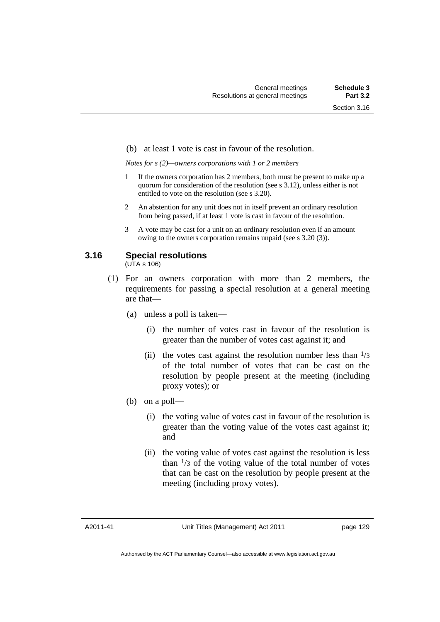#### (b) at least 1 vote is cast in favour of the resolution.

*Notes for s (2)—owners corporations with 1 or 2 members* 

- If the owners corporation has 2 members, both must be present to make up a quorum for consideration of the resolution (see s 3.12), unless either is not entitled to vote on the resolution (see s 3.20).
- 2 An abstention for any unit does not in itself prevent an ordinary resolution from being passed, if at least 1 vote is cast in favour of the resolution.
- 3 A vote may be cast for a unit on an ordinary resolution even if an amount owing to the owners corporation remains unpaid (see s 3.20 (3)).

# **3.16 Special resolutions**

(UTA s 106)

- (1) For an owners corporation with more than 2 members, the requirements for passing a special resolution at a general meeting are that—
	- (a) unless a poll is taken—
		- (i) the number of votes cast in favour of the resolution is greater than the number of votes cast against it; and
		- (ii) the votes cast against the resolution number less than  $\frac{1}{3}$ of the total number of votes that can be cast on the resolution by people present at the meeting (including proxy votes); or
	- (b) on a poll—
		- (i) the voting value of votes cast in favour of the resolution is greater than the voting value of the votes cast against it; and
		- (ii) the voting value of votes cast against the resolution is less than  $\frac{1}{3}$  of the voting value of the total number of votes that can be cast on the resolution by people present at the meeting (including proxy votes).

A2011-41

Authorised by the ACT Parliamentary Counsel—also accessible at www.legislation.act.gov.au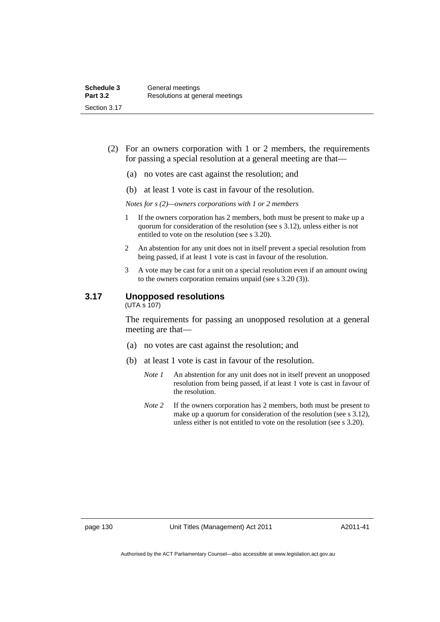- (2) For an owners corporation with 1 or 2 members, the requirements for passing a special resolution at a general meeting are that—
	- (a) no votes are cast against the resolution; and
	- (b) at least 1 vote is cast in favour of the resolution.

*Notes for s (2)—owners corporations with 1 or 2 members* 

- 1 If the owners corporation has 2 members, both must be present to make up a quorum for consideration of the resolution (see s 3.12), unless either is not entitled to vote on the resolution (see s 3.20).
- 2 An abstention for any unit does not in itself prevent a special resolution from being passed, if at least 1 vote is cast in favour of the resolution.
- 3 A vote may be cast for a unit on a special resolution even if an amount owing to the owners corporation remains unpaid (see s 3.20 (3)).

# **3.17 Unopposed resolutions**

(UTA s 107)

The requirements for passing an unopposed resolution at a general meeting are that—

- (a) no votes are cast against the resolution; and
- (b) at least 1 vote is cast in favour of the resolution.
	- *Note 1* An abstention for any unit does not in itself prevent an unopposed resolution from being passed, if at least 1 vote is cast in favour of the resolution.
	- *Note* 2 If the owners corporation has 2 members, both must be present to make up a quorum for consideration of the resolution (see s 3.12), unless either is not entitled to vote on the resolution (see s 3.20).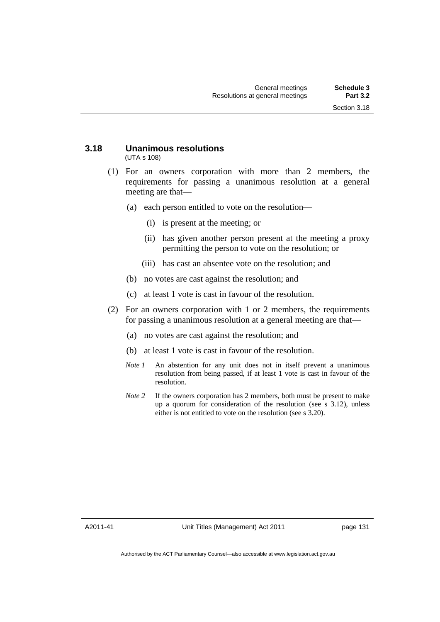#### **3.18 Unanimous resolutions**  (UTA s 108)

- (1) For an owners corporation with more than 2 members, the requirements for passing a unanimous resolution at a general meeting are that—
	- (a) each person entitled to vote on the resolution—
		- (i) is present at the meeting; or
		- (ii) has given another person present at the meeting a proxy permitting the person to vote on the resolution; or
		- (iii) has cast an absentee vote on the resolution; and
	- (b) no votes are cast against the resolution; and
	- (c) at least 1 vote is cast in favour of the resolution.
- (2) For an owners corporation with 1 or 2 members, the requirements for passing a unanimous resolution at a general meeting are that—
	- (a) no votes are cast against the resolution; and
	- (b) at least 1 vote is cast in favour of the resolution.
	- *Note 1* An abstention for any unit does not in itself prevent a unanimous resolution from being passed, if at least 1 vote is cast in favour of the resolution.
	- *Note* 2 If the owners corporation has 2 members, both must be present to make up a quorum for consideration of the resolution (see s 3.12), unless either is not entitled to vote on the resolution (see s 3.20).

A2011-41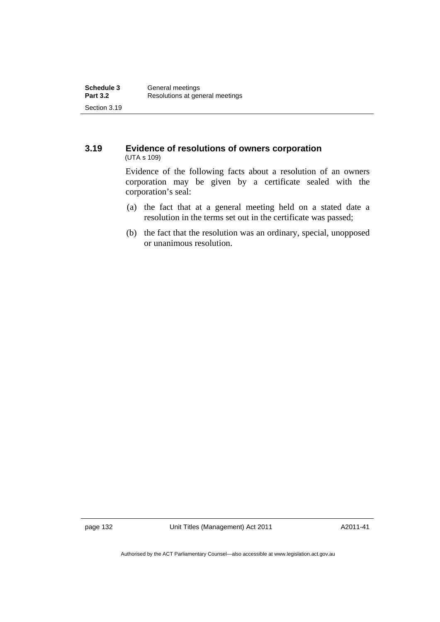### **3.19 Evidence of resolutions of owners corporation**  (UTA s 109)

Evidence of the following facts about a resolution of an owners corporation may be given by a certificate sealed with the corporation's seal:

- (a) the fact that at a general meeting held on a stated date a resolution in the terms set out in the certificate was passed;
- (b) the fact that the resolution was an ordinary, special, unopposed or unanimous resolution.

page 132 Unit Titles (Management) Act 2011

A2011-41

Authorised by the ACT Parliamentary Counsel—also accessible at www.legislation.act.gov.au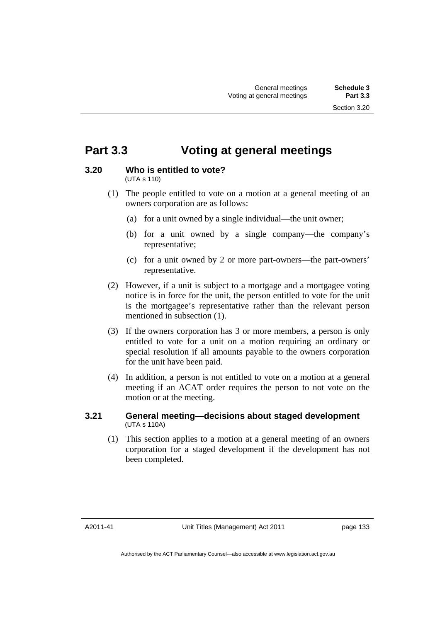### **Part 3.3 Voting at general meetings**

### **3.20 Who is entitled to vote?**

(UTA s 110)

- (1) The people entitled to vote on a motion at a general meeting of an owners corporation are as follows:
	- (a) for a unit owned by a single individual—the unit owner;
	- (b) for a unit owned by a single company—the company's representative;
	- (c) for a unit owned by 2 or more part-owners—the part-owners' representative.
- (2) However, if a unit is subject to a mortgage and a mortgagee voting notice is in force for the unit, the person entitled to vote for the unit is the mortgagee's representative rather than the relevant person mentioned in subsection (1).
- (3) If the owners corporation has 3 or more members, a person is only entitled to vote for a unit on a motion requiring an ordinary or special resolution if all amounts payable to the owners corporation for the unit have been paid.
- (4) In addition, a person is not entitled to vote on a motion at a general meeting if an ACAT order requires the person to not vote on the motion or at the meeting.

### **3.21 General meeting—decisions about staged development**  (UTA s 110A)

 (1) This section applies to a motion at a general meeting of an owners corporation for a staged development if the development has not been completed.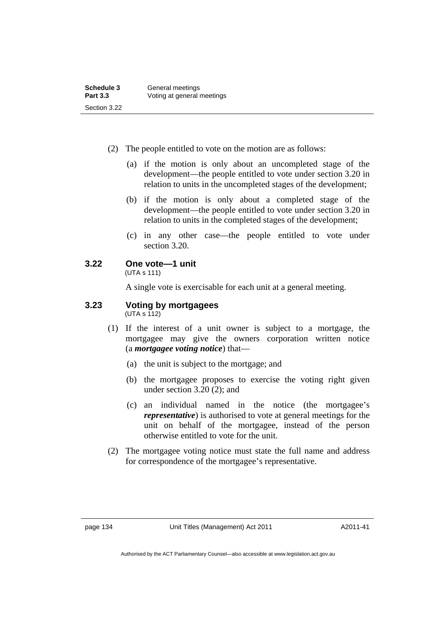| Schedule 3      | General meetings           |
|-----------------|----------------------------|
| <b>Part 3.3</b> | Voting at general meetings |
| Section 3.22    |                            |

- (2) The people entitled to vote on the motion are as follows:
	- (a) if the motion is only about an uncompleted stage of the development—the people entitled to vote under section 3.20 in relation to units in the uncompleted stages of the development;
	- (b) if the motion is only about a completed stage of the development—the people entitled to vote under section 3.20 in relation to units in the completed stages of the development;
	- (c) in any other case—the people entitled to vote under section 3.20.

### **3.22 One vote—1 unit**

(UTA s 111)

A single vote is exercisable for each unit at a general meeting.

### **3.23 Voting by mortgagees**

 $(UTA s 112)$ 

- (1) If the interest of a unit owner is subject to a mortgage, the mortgagee may give the owners corporation written notice (a *mortgagee voting notice*) that—
	- (a) the unit is subject to the mortgage; and
	- (b) the mortgagee proposes to exercise the voting right given under section 3.20 (2); and
	- (c) an individual named in the notice (the mortgagee's *representative*) is authorised to vote at general meetings for the unit on behalf of the mortgagee, instead of the person otherwise entitled to vote for the unit.
- (2) The mortgagee voting notice must state the full name and address for correspondence of the mortgagee's representative.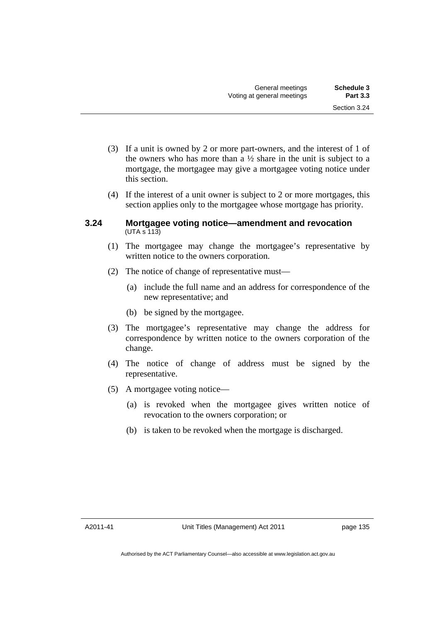- (3) If a unit is owned by 2 or more part-owners, and the interest of 1 of the owners who has more than a  $\frac{1}{2}$  share in the unit is subject to a mortgage, the mortgagee may give a mortgagee voting notice under this section.
- (4) If the interest of a unit owner is subject to 2 or more mortgages, this section applies only to the mortgagee whose mortgage has priority.

### **3.24 Mortgagee voting notice—amendment and revocation**  (UTA s 113)

- (1) The mortgagee may change the mortgagee's representative by written notice to the owners corporation.
- (2) The notice of change of representative must—
	- (a) include the full name and an address for correspondence of the new representative; and
	- (b) be signed by the mortgagee.
- (3) The mortgagee's representative may change the address for correspondence by written notice to the owners corporation of the change.
- (4) The notice of change of address must be signed by the representative.
- (5) A mortgagee voting notice—
	- (a) is revoked when the mortgagee gives written notice of revocation to the owners corporation; or
	- (b) is taken to be revoked when the mortgage is discharged.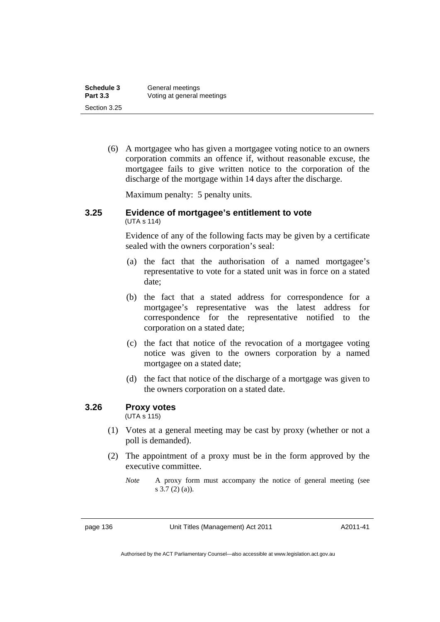| Schedule 3      | General meetings           |
|-----------------|----------------------------|
| <b>Part 3.3</b> | Voting at general meetings |
| Section 3.25    |                            |

 (6) A mortgagee who has given a mortgagee voting notice to an owners corporation commits an offence if, without reasonable excuse, the mortgagee fails to give written notice to the corporation of the discharge of the mortgage within 14 days after the discharge.

Maximum penalty: 5 penalty units.

#### **3.25 Evidence of mortgagee's entitlement to vote**  (UTA s 114)

Evidence of any of the following facts may be given by a certificate sealed with the owners corporation's seal:

- (a) the fact that the authorisation of a named mortgagee's representative to vote for a stated unit was in force on a stated date;
- (b) the fact that a stated address for correspondence for a mortgagee's representative was the latest address for correspondence for the representative notified to the corporation on a stated date;
- (c) the fact that notice of the revocation of a mortgagee voting notice was given to the owners corporation by a named mortgagee on a stated date;
- (d) the fact that notice of the discharge of a mortgage was given to the owners corporation on a stated date.

### **3.26 Proxy votes**

(UTA s 115)

- (1) Votes at a general meeting may be cast by proxy (whether or not a poll is demanded).
- (2) The appointment of a proxy must be in the form approved by the executive committee.
	- *Note* A proxy form must accompany the notice of general meeting (see s 3.7 (2) (a)).

page 136 Unit Titles (Management) Act 2011

A2011-41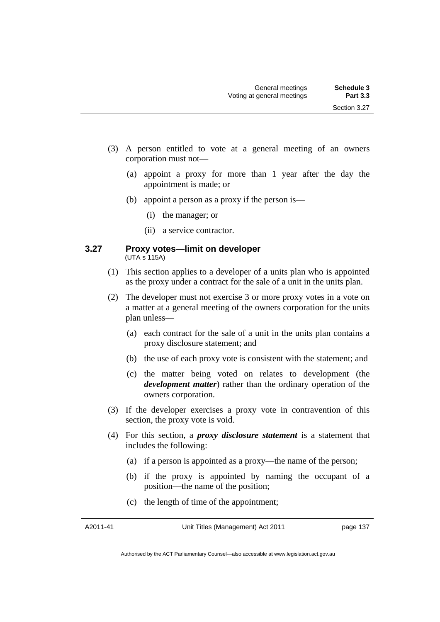- (3) A person entitled to vote at a general meeting of an owners corporation must not—
	- (a) appoint a proxy for more than 1 year after the day the appointment is made; or
	- (b) appoint a person as a proxy if the person is—
		- (i) the manager; or
		- (ii) a service contractor.

#### **3.27 Proxy votes—limit on developer**  (UTA s 115A)

- (1) This section applies to a developer of a units plan who is appointed as the proxy under a contract for the sale of a unit in the units plan.
- (2) The developer must not exercise 3 or more proxy votes in a vote on a matter at a general meeting of the owners corporation for the units plan unless—
	- (a) each contract for the sale of a unit in the units plan contains a proxy disclosure statement; and
	- (b) the use of each proxy vote is consistent with the statement; and
	- (c) the matter being voted on relates to development (the *development matter*) rather than the ordinary operation of the owners corporation.
- (3) If the developer exercises a proxy vote in contravention of this section, the proxy vote is void.
- (4) For this section, a *proxy disclosure statement* is a statement that includes the following:
	- (a) if a person is appointed as a proxy—the name of the person;
	- (b) if the proxy is appointed by naming the occupant of a position—the name of the position;
	- (c) the length of time of the appointment;

A2011-41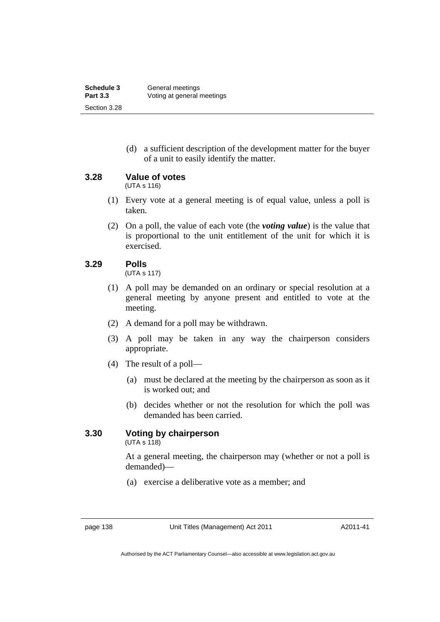(d) a sufficient description of the development matter for the buyer of a unit to easily identify the matter.

**3.28 Value of votes** 

(UTA s 116)

- (1) Every vote at a general meeting is of equal value, unless a poll is taken.
- (2) On a poll, the value of each vote (the *voting value*) is the value that is proportional to the unit entitlement of the unit for which it is exercised.

### **3.29 Polls**

(UTA s 117)

- (1) A poll may be demanded on an ordinary or special resolution at a general meeting by anyone present and entitled to vote at the meeting.
- (2) A demand for a poll may be withdrawn.
- (3) A poll may be taken in any way the chairperson considers appropriate.
- (4) The result of a poll—
	- (a) must be declared at the meeting by the chairperson as soon as it is worked out; and
	- (b) decides whether or not the resolution for which the poll was demanded has been carried.

### **3.30 Voting by chairperson**

(UTA s 118)

At a general meeting, the chairperson may (whether or not a poll is demanded)—

(a) exercise a deliberative vote as a member; and

A2011-41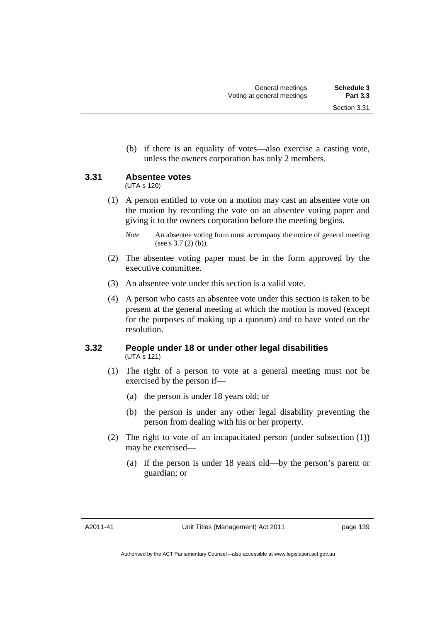(b) if there is an equality of votes—also exercise a casting vote, unless the owners corporation has only 2 members.

### **3.31 Absentee votes**

(UTA s 120)

 (1) A person entitled to vote on a motion may cast an absentee vote on the motion by recording the vote on an absentee voting paper and giving it to the owners corporation before the meeting begins.

- (2) The absentee voting paper must be in the form approved by the executive committee.
- (3) An absentee vote under this section is a valid vote.
- (4) A person who casts an absentee vote under this section is taken to be present at the general meeting at which the motion is moved (except for the purposes of making up a quorum) and to have voted on the resolution.

### **3.32 People under 18 or under other legal disabilities**  (UTA s 121)

- (1) The right of a person to vote at a general meeting must not be exercised by the person if—
	- (a) the person is under 18 years old; or
	- (b) the person is under any other legal disability preventing the person from dealing with his or her property.
- (2) The right to vote of an incapacitated person (under subsection (1)) may be exercised—
	- (a) if the person is under 18 years old—by the person's parent or guardian; or

*Note* An absentee voting form must accompany the notice of general meeting (see s 3.7 (2) (b)).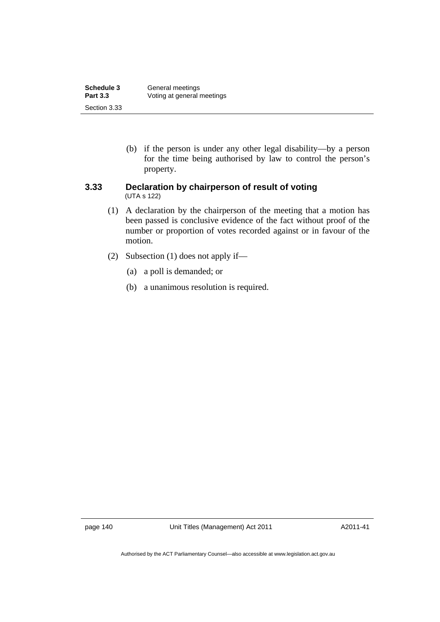| Schedule 3      | General meetings           |
|-----------------|----------------------------|
| <b>Part 3.3</b> | Voting at general meetings |
| Section 3.33    |                            |

 (b) if the person is under any other legal disability—by a person for the time being authorised by law to control the person's property.

### **3.33 Declaration by chairperson of result of voting**  (UTA s 122)

- (1) A declaration by the chairperson of the meeting that a motion has been passed is conclusive evidence of the fact without proof of the number or proportion of votes recorded against or in favour of the motion.
- (2) Subsection (1) does not apply if—
	- (a) a poll is demanded; or
	- (b) a unanimous resolution is required.

page 140 Unit Titles (Management) Act 2011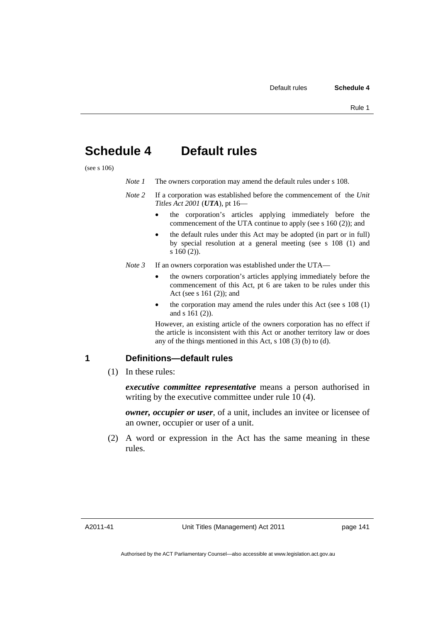### **Schedule 4 Default rules**

(see s 106)

| Note 1 | The owners corporation may amend the default rules under s 108. |
|--------|-----------------------------------------------------------------|
|--------|-----------------------------------------------------------------|

- *Note 2* If a corporation was established before the commencement of the *Unit Titles Act 2001* (*UTA*), pt 16
	- the corporation's articles applying immediately before the commencement of the UTA continue to apply (see s 160 (2)); and
	- the default rules under this Act may be adopted (in part or in full) by special resolution at a general meeting (see s 108 (1) and s 160 (2)).
- *Note 3* If an owners corporation was established under the UTA
	- the owners corporation's articles applying immediately before the commencement of this Act, pt 6 are taken to be rules under this Act (see s 161 (2)); and
	- the corporation may amend the rules under this Act (see s 108 (1) and s 161 (2)).

However, an existing article of the owners corporation has no effect if the article is inconsistent with this Act or another territory law or does any of the things mentioned in this Act, s 108 (3) (b) to (d).

### **1 Definitions—default rules**

(1) In these rules:

*executive committee representative* means a person authorised in writing by the executive committee under rule 10 (4).

*owner, occupier or user*, of a unit, includes an invitee or licensee of an owner, occupier or user of a unit.

 (2) A word or expression in the Act has the same meaning in these rules.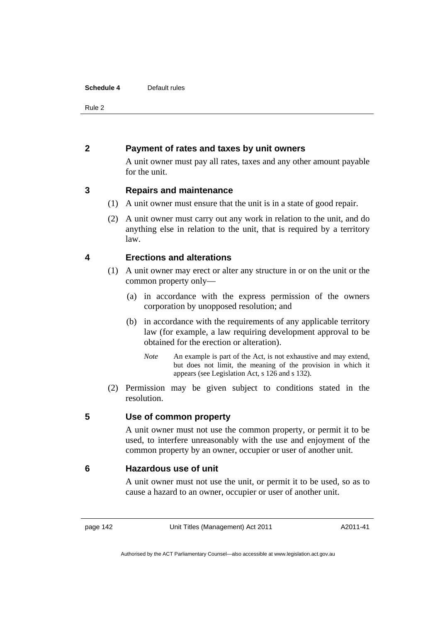#### **Schedule 4** Default rules

Rule 2

### **2 Payment of rates and taxes by unit owners**

A unit owner must pay all rates, taxes and any other amount payable for the unit.

### **3 Repairs and maintenance**

- (1) A unit owner must ensure that the unit is in a state of good repair.
- (2) A unit owner must carry out any work in relation to the unit, and do anything else in relation to the unit, that is required by a territory law.

### **4 Erections and alterations**

- (1) A unit owner may erect or alter any structure in or on the unit or the common property only—
	- (a) in accordance with the express permission of the owners corporation by unopposed resolution; and
	- (b) in accordance with the requirements of any applicable territory law (for example, a law requiring development approval to be obtained for the erection or alteration).
		- *Note* An example is part of the Act, is not exhaustive and may extend, but does not limit, the meaning of the provision in which it appears (see Legislation Act, s 126 and s 132).
- (2) Permission may be given subject to conditions stated in the resolution.

### **5 Use of common property**

A unit owner must not use the common property, or permit it to be used, to interfere unreasonably with the use and enjoyment of the common property by an owner, occupier or user of another unit.

### **6 Hazardous use of unit**

A unit owner must not use the unit, or permit it to be used, so as to cause a hazard to an owner, occupier or user of another unit.

page 142 Unit Titles (Management) Act 2011

A2011-41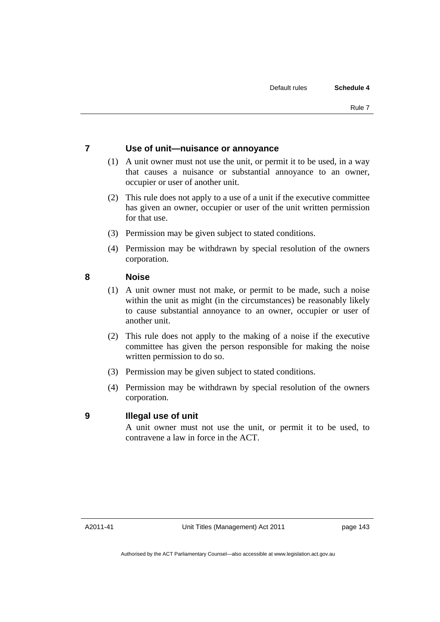### **7 Use of unit—nuisance or annoyance**

- (1) A unit owner must not use the unit, or permit it to be used, in a way that causes a nuisance or substantial annoyance to an owner, occupier or user of another unit.
- (2) This rule does not apply to a use of a unit if the executive committee has given an owner, occupier or user of the unit written permission for that use.
- (3) Permission may be given subject to stated conditions.
- (4) Permission may be withdrawn by special resolution of the owners corporation.

### **8 Noise**

- (1) A unit owner must not make, or permit to be made, such a noise within the unit as might (in the circumstances) be reasonably likely to cause substantial annoyance to an owner, occupier or user of another unit.
- (2) This rule does not apply to the making of a noise if the executive committee has given the person responsible for making the noise written permission to do so.
- (3) Permission may be given subject to stated conditions.
- (4) Permission may be withdrawn by special resolution of the owners corporation.

### **9 Illegal use of unit**

A unit owner must not use the unit, or permit it to be used, to contravene a law in force in the ACT.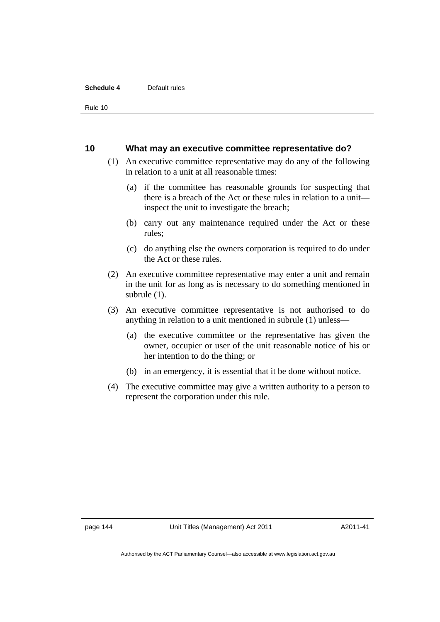#### **Schedule 4** Default rules

Rule 10

#### **10 What may an executive committee representative do?**

- (1) An executive committee representative may do any of the following in relation to a unit at all reasonable times:
	- (a) if the committee has reasonable grounds for suspecting that there is a breach of the Act or these rules in relation to a unit inspect the unit to investigate the breach;
	- (b) carry out any maintenance required under the Act or these rules;
	- (c) do anything else the owners corporation is required to do under the Act or these rules.
- (2) An executive committee representative may enter a unit and remain in the unit for as long as is necessary to do something mentioned in subrule (1).
- (3) An executive committee representative is not authorised to do anything in relation to a unit mentioned in subrule (1) unless—
	- (a) the executive committee or the representative has given the owner, occupier or user of the unit reasonable notice of his or her intention to do the thing; or
	- (b) in an emergency, it is essential that it be done without notice.
- (4) The executive committee may give a written authority to a person to represent the corporation under this rule.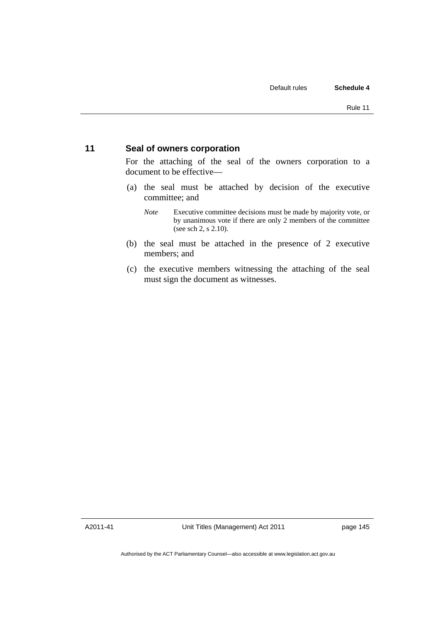### **11 Seal of owners corporation**

For the attaching of the seal of the owners corporation to a document to be effective—

- (a) the seal must be attached by decision of the executive committee; and
	- *Note* Executive committee decisions must be made by majority vote, or by unanimous vote if there are only 2 members of the committee (see sch 2, s 2.10).
- (b) the seal must be attached in the presence of 2 executive members; and
- (c) the executive members witnessing the attaching of the seal must sign the document as witnesses.

A2011-41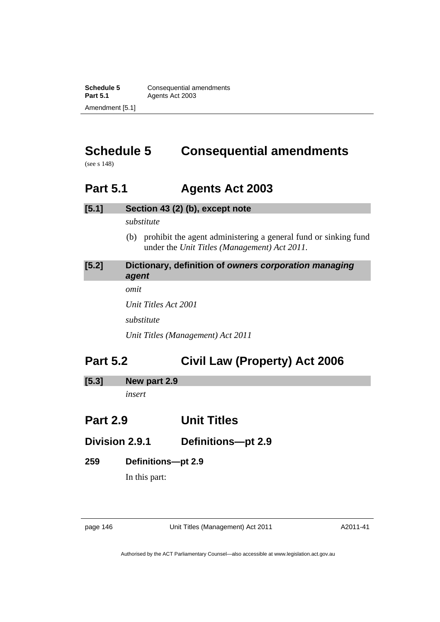**Schedule 5 Consequential amendments**<br>**Part 5.1 Agents Act 2003** Agents Act 2003 Amendment [5.1]

# **Schedule 5 Consequential amendments**

(see s 148)

### **Part 5.1 Agents Act 2003**

### **[5.1] Section 43 (2) (b), except note**

*substitute* 

 (b) prohibit the agent administering a general fund or sinking fund under the *Unit Titles (Management) Act 2011.* 

### **[5.2] Dictionary, definition of** *owners corporation managing agent* *omit*

*Unit Titles Act 2001 substitute Unit Titles (Management) Act 2011* 

# **Part 5.2 Civil Law (Property) Act 2006**

**[5.3] New part 2.9** 

*insert* 

### **Part 2.9 Unit Titles**

### **Division 2.9.1 Definitions—pt 2.9**

### **259 Definitions—pt 2.9**

In this part:

page 146 Unit Titles (Management) Act 2011

A2011-41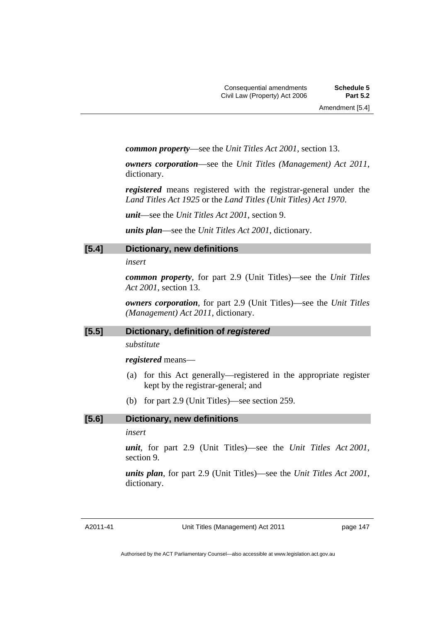*common property*—see the *Unit Titles Act 2001*, section 13.

*owners corporation*—see the *Unit Titles (Management) Act 2011*, dictionary.

*registered* means registered with the registrar-general under the *Land Titles Act 1925* or the *Land Titles (Unit Titles) Act 1970*.

*unit*—see the *Unit Titles Act 2001*, section 9.

*units plan*—see the *Unit Titles Act 2001*, dictionary.

### **[5.4] Dictionary, new definitions**

#### *insert*

*common property*, for part 2.9 (Unit Titles)—see the *Unit Titles Act 2001*, section 13.

*owners corporation*, for part 2.9 (Unit Titles)—see the *Unit Titles (Management) Act 2011*, dictionary.

### **[5.5] Dictionary, definition of** *registered*

*substitute* 

#### *registered* means—

- (a) for this Act generally—registered in the appropriate register kept by the registrar-general; and
- (b) for part 2.9 (Unit Titles)—see section 259.

### **[5.6] Dictionary, new definitions**

### *insert*

*unit*, for part 2.9 (Unit Titles)—see the *Unit Titles Act 2001*, section 9.

*units plan*, for part 2.9 (Unit Titles)—see the *Unit Titles Act 2001*, dictionary.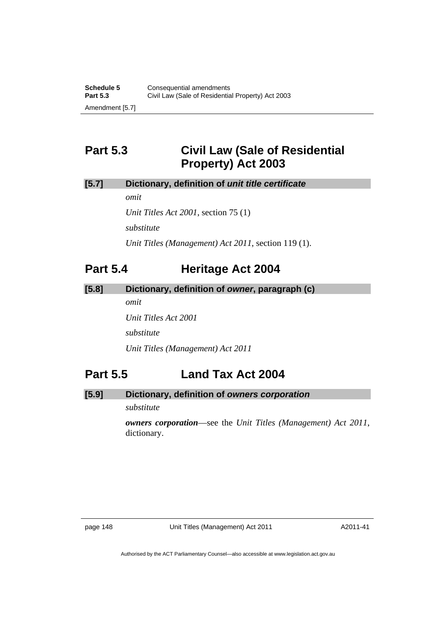# **Part 5.3 Civil Law (Sale of Residential Property) Act 2003**

### **[5.7] Dictionary, definition of** *unit title certificate*

*omit* 

*Unit Titles Act 2001*, section 75 (1) *substitute Unit Titles (Management) Act 2011*, section 119 (1).

### **Part 5.4 Heritage Act 2004**

### **[5.8] Dictionary, definition of** *owner***, paragraph (c)**

*omit* 

*Unit Titles Act 2001 substitute* 

*Unit Titles (Management) Act 2011* 

## **Part 5.5 Land Tax Act 2004**

### **[5.9] Dictionary, definition of** *owners corporation*

*substitute* 

*owners corporation*—see the *Unit Titles (Management) Act 2011*, dictionary.

page 148 Unit Titles (Management) Act 2011

A2011-41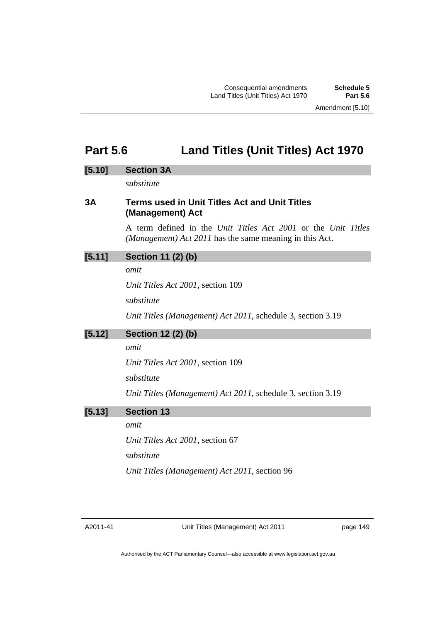Consequential amendments **Schedule 5** Land Titles (Unit Titles) Act 1970

### **Part 5.6 Land Titles (Unit Titles) Act 1970**

### **[5.10] Section 3A**

*substitute* 

### **3A Terms used in Unit Titles Act and Unit Titles (Management) Act**

A term defined in the *Unit Titles Act 2001* or the *Unit Titles (Management) Act 2011* has the same meaning in this Act.

### **[5.11] Section 11 (2) (b)**

*omit* 

*Unit Titles Act 2001*, section 109

*substitute* 

*Unit Titles (Management) Act 2011*, schedule 3, section 3.19

### **[5.12] Section 12 (2) (b)**

*omit* 

*Unit Titles Act 2001*, section 109

*substitute* 

*Unit Titles (Management) Act 2011*, schedule 3, section 3.19

### **[5.13] Section 13**

*omit* 

*Unit Titles Act 2001*, section 67

*substitute* 

*Unit Titles (Management) Act 2011*, section 96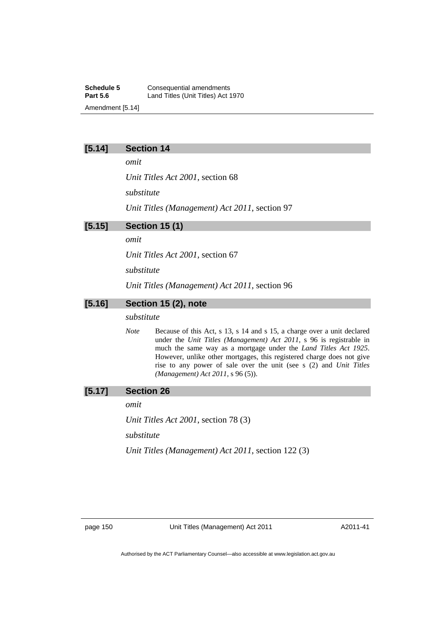**Schedule 5 Consequential amendments**<br>**Part 5.6 Consequential amendments** Land Titles (Unit Titles) Act 1970 Amendment [5.14]

### **[5.14] Section 14**

*omit* 

*Unit Titles Act 2001*, section 68

*substitute* 

*Unit Titles (Management) Act 2011*, section 97

### **[5.15] Section 15 (1)**

*omit* 

*Unit Titles Act 2001*, section 67

*substitute* 

*Unit Titles (Management) Act 2011*, section 96

### **[5.16] Section 15 (2), note**

#### *substitute*

*Note* Because of this Act, s 13, s 14 and s 15, a charge over a unit declared under the *Unit Titles (Management) Act 2011*, s 96 is registrable in much the same way as a mortgage under the *Land Titles Act 1925*. However, unlike other mortgages, this registered charge does not give rise to any power of sale over the unit (see s (2) and *Unit Titles (Management) Act 2011*, s 96 (5)).

### **[5.17] Section 26**

*omit* 

*Unit Titles Act 2001*, section 78 (3)

*substitute* 

*Unit Titles (Management) Act 2011*, section 122 (3)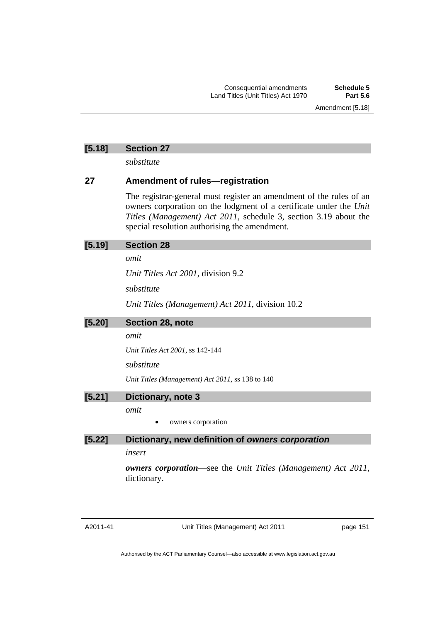### **[5.18] Section 27**

*substitute* 

### **27 Amendment of rules—registration**

The registrar-general must register an amendment of the rules of an owners corporation on the lodgment of a certificate under the *Unit Titles (Management) Act 2011,* schedule 3, section 3.19 about the special resolution authorising the amendment.

### **[5.19] Section 28**

### *omit*

*Unit Titles Act 2001*, division 9.2

*substitute* 

*Unit Titles (Management) Act 2011*, division 10.2

**[5.20] Section 28, note** 

### *omit*

*Unit Titles Act 2001*, ss 142-144

### *substitute*

*Unit Titles (Management) Act 2011*, ss 138 to 140

### **[5.21] Dictionary, note 3**

*omit* 

owners corporation

### **[5.22] Dictionary, new definition of** *owners corporation*

### *insert*

*owners corporation*—see the *Unit Titles (Management) Act 2011*, dictionary.

Unit Titles (Management) Act 2011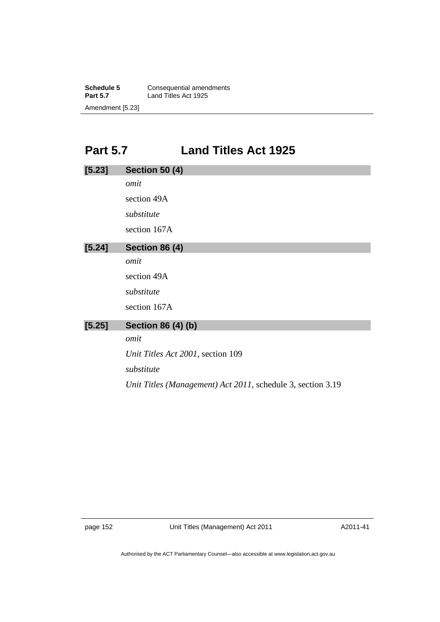**Schedule 5 Consequential amendments**<br>**Part 5.7 Land Titles Act 1925** Land Titles Act 1925 Amendment [5.23]

# **Part 5.7 Land Titles Act 1925**

| [5.23] | <b>Section 50 (4)</b>                                       |
|--------|-------------------------------------------------------------|
|        | omit                                                        |
|        | section 49A                                                 |
|        | substitute                                                  |
|        | section 167A                                                |
| [5.24] | <b>Section 86 (4)</b>                                       |
|        | omit                                                        |
|        | section 49A                                                 |
|        | substitute                                                  |
|        | section 167A                                                |
| [5.25] | <b>Section 86 (4) (b)</b>                                   |
|        | omit                                                        |
|        | Unit Titles Act 2001, section 109                           |
|        | substitute                                                  |
|        | Unit Titles (Management) Act 2011, schedule 3, section 3.19 |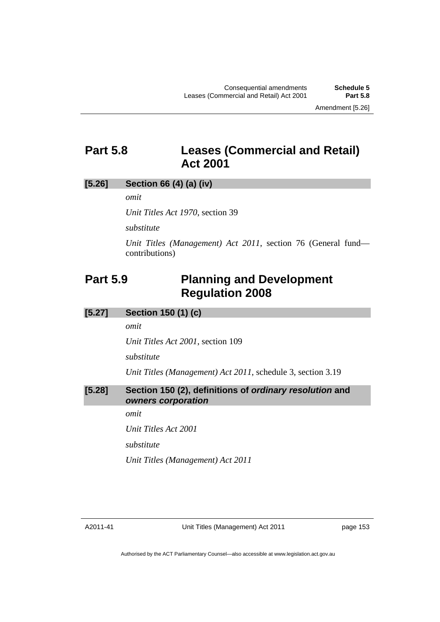### **Part 5.8 Leases (Commercial and Retail) Act 2001**

### **[5.26] Section 66 (4) (a) (iv)**

*omit* 

*Unit Titles Act 1970*, section 39

*substitute* 

*Unit Titles (Management) Act 2011*, section 76 (General fund contributions)

### **Part 5.9 Planning and Development Regulation 2008**

### **[5.27] Section 150 (1) (c)**

*omit* 

*Unit Titles Act 2001*, section 109

*substitute* 

*Unit Titles (Management) Act 2011*, schedule 3, section 3.19

### **[5.28] Section 150 (2), definitions of** *ordinary resolution* **and**  *owners corporation*

*omit* 

*Unit Titles Act 2001*

*substitute* 

*Unit Titles (Management) Act 2011* 

page 153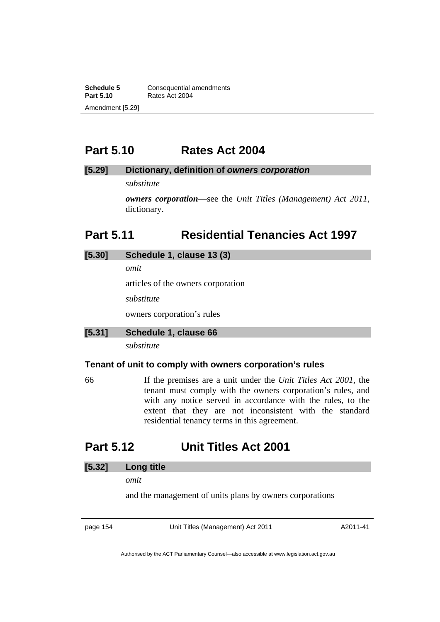**Schedule 5 Consequential amendments**<br>**Part 5.10 Rates Act 2004 Part 5.10** Rates Act 2004 Amendment [5.29]

### **Part 5.10 Rates Act 2004**

### **[5.29] Dictionary, definition of** *owners corporation*

*substitute* 

*owners corporation*—see the *Unit Titles (Management) Act 2011*, dictionary.

### **Part 5.11 Residential Tenancies Act 1997**

# **[5.30] Schedule 1, clause 13 (3)**

*omit* 

articles of the owners corporation

*substitute* 

owners corporation's rules

### **[5.31] Schedule 1, clause 66**

*substitute* 

### **Tenant of unit to comply with owners corporation's rules**

66 If the premises are a unit under the *Unit Titles Act 2001*, the tenant must comply with the owners corporation's rules, and with any notice served in accordance with the rules, to the extent that they are not inconsistent with the standard residential tenancy terms in this agreement.

### **Part 5.12 Unit Titles Act 2001**

### **[5.32] Long title**

*omit* 

and the management of units plans by owners corporations

page 154 Unit Titles (Management) Act 2011

A2011-41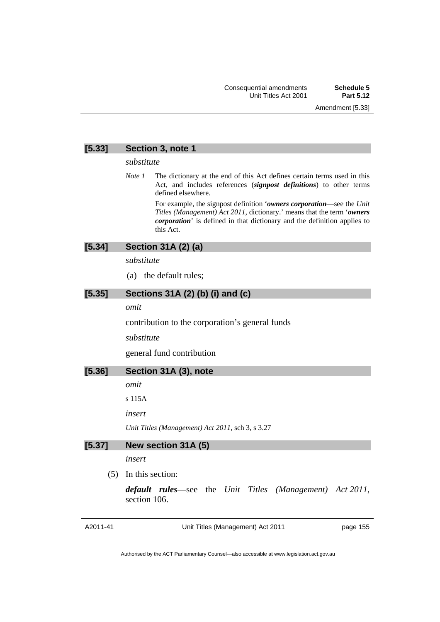### **[5.33] Section 3, note 1**

#### *substitute*

*Note 1* The dictionary at the end of this Act defines certain terms used in this Act, and includes references (*signpost definitions*) to other terms defined elsewhere.

> For example, the signpost definition '*owners corporation*—see the *Unit Titles (Management) Act 2011*, dictionary.' means that the term '*owners corporation*' is defined in that dictionary and the definition applies to this Act.

### **[5.34] Section 31A (2) (a)**

*substitute* 

(a) the default rules;

### **[5.35] Sections 31A (2) (b) (i) and (c)**

*omit* 

contribution to the corporation's general funds

*substitute* 

general fund contribution

### **[5.36] Section 31A (3), note**

*omit* 

s 115A

*insert* 

*Unit Titles (Management) Act 2011*, sch 3, s 3.27

### **[5.37] New section 31A (5)**

*insert* 

(5) In this section:

*default rules*—see the *Unit Titles (Management) Act 2011*, section 106.

Unit Titles (Management) Act 2011

page 155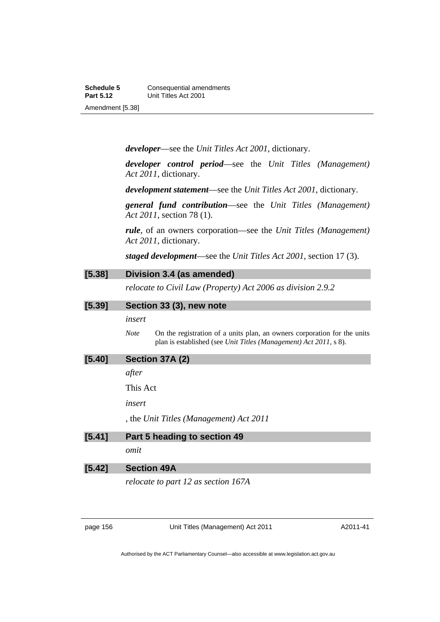*developer*—see the *Unit Titles Act 2001*, dictionary.

*developer control period*—see the *Unit Titles (Management) Act 2011*, dictionary.

*development statement*—see the *Unit Titles Act 2001*, dictionary.

*general fund contribution*—see the *Unit Titles (Management) Act 2011*, section 78 (1).

*rule*, of an owners corporation—see the *Unit Titles (Management) Act 2011*, dictionary.

*staged development*—see the *Unit Titles Act 2001*, section 17 (3).

| [5.38] | Division 3.4 (as amended)                                                                                                                                    |
|--------|--------------------------------------------------------------------------------------------------------------------------------------------------------------|
|        | relocate to Civil Law (Property) Act 2006 as division 2.9.2                                                                                                  |
| [5.39] | Section 33 (3), new note                                                                                                                                     |
|        | insert                                                                                                                                                       |
|        | On the registration of a units plan, an owners corporation for the units<br><b>Note</b><br>plan is established (see Unit Titles (Management) Act 2011, s 8). |
| [5.40] | Section 37A (2)                                                                                                                                              |
|        | after                                                                                                                                                        |
|        | This Act                                                                                                                                                     |
|        | insert                                                                                                                                                       |
|        | , the Unit Titles (Management) Act 2011                                                                                                                      |
| [5.41] | Part 5 heading to section 49                                                                                                                                 |
|        | omit                                                                                                                                                         |

### **[5.42] Section 49A**

*relocate to part 12 as section 167A* 

page 156 Unit Titles (Management) Act 2011

A2011-41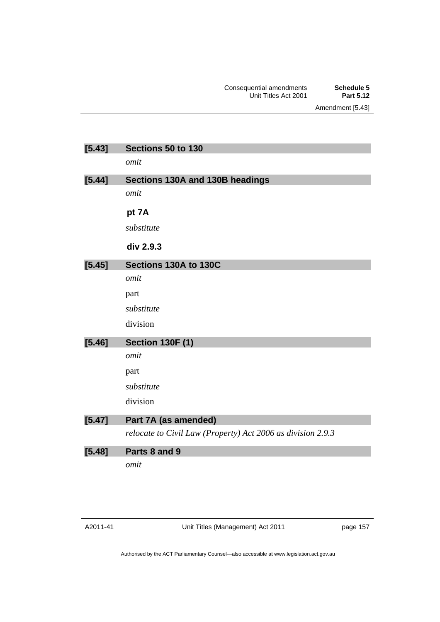Amendment [5.43]

| [5.43] | Sections 50 to 130                                          |
|--------|-------------------------------------------------------------|
|        | omit                                                        |
| [5.44] | Sections 130A and 130B headings                             |
|        | omit                                                        |
|        | pt 7A                                                       |
|        | substitute                                                  |
|        | div 2.9.3                                                   |
| [5.45] | Sections 130A to 130C                                       |
|        | omit                                                        |
|        | part                                                        |
|        | substitute                                                  |
|        | division                                                    |
| [5.46] | <b>Section 130F (1)</b>                                     |
|        | omit                                                        |
|        | part                                                        |
|        | substitute                                                  |
|        | division                                                    |
| [5.47] | Part 7A (as amended)                                        |
|        | relocate to Civil Law (Property) Act 2006 as division 2.9.3 |
| [5.48] | Parts 8 and 9                                               |
|        | omit                                                        |

Unit Titles (Management) Act 2011

page 157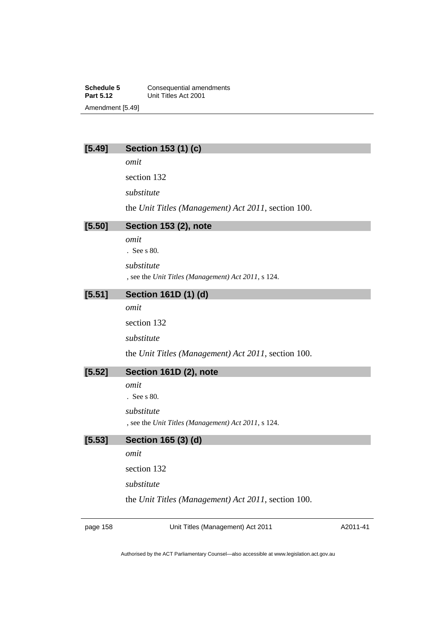**Schedule 5 Consequential amendments**<br>**Part 5.12 Unit Titles Act 2001 Part 5.12** Unit Titles Act 2001 Amendment [5.49]

### **[5.49] Section 153 (1) (c)**

*omit* 

section 132

*substitute* 

the *Unit Titles (Management) Act 2011*, section 100.

### **[5.50] Section 153 (2), note**

*omit* 

. See s 80.

*substitute* 

, see the *Unit Titles (Management) Act 2011*, s 124.

### **[5.51] Section 161D (1) (d)**

*omit* 

section 132

*substitute* 

the *Unit Titles (Management) Act 2011*, section 100.

### **[5.52] Section 161D (2), note**

*omit* 

. See s 80.

#### *substitute*

, see the *Unit Titles (Management) Act 2011*, s 124.

### **[5.53] Section 165 (3) (d)**

*omit* 

section 132

*substitute* 

the *Unit Titles (Management) Act 2011*, section 100.

page 158 Unit Titles (Management) Act 2011

A2011-41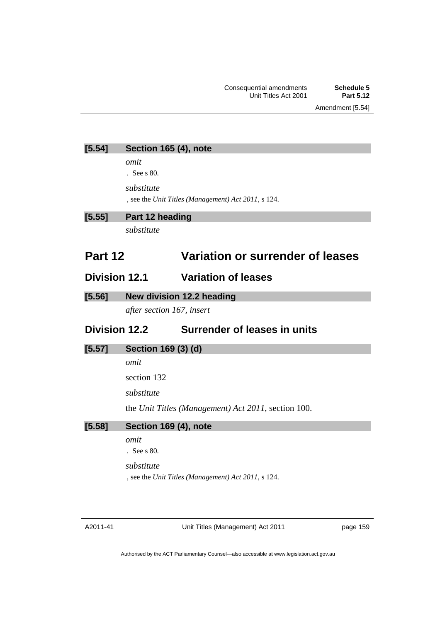Amendment [5.54]

**[5.54] Section 165 (4), note** 

*omit* 

. See s 80.

*substitute* 

, see the *Unit Titles (Management) Act 2011*, s 124.

### **[5.55] Part 12 heading**

*substitute* 

## **Part 12 Variation or surrender of leases**

### **Division 12.1 Variation of leases**

**[5.56] New division 12.2 heading** 

*after section 167, insert* 

### **Division 12.2 Surrender of leases in units**

**[5.57] Section 169 (3) (d)** 

*omit* 

section 132

*substitute* 

the *Unit Titles (Management) Act 2011*, section 100.

**[5.58] Section 169 (4), note** 

*omit* 

. See s 80.

*substitute* 

, see the *Unit Titles (Management) Act 2011*, s 124.

Unit Titles (Management) Act 2011

page 159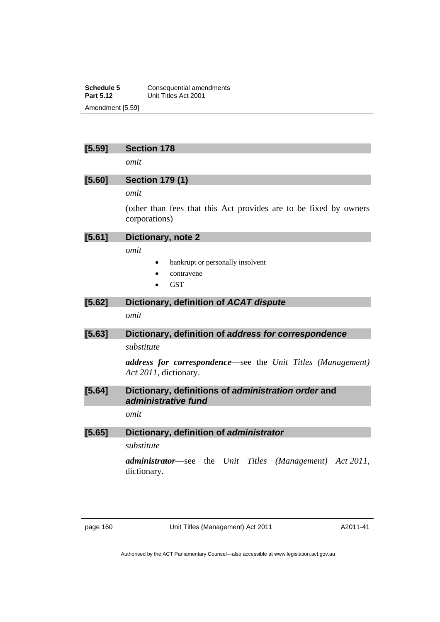**Schedule 5 Consequential amendments**<br>**Part 5.12 Unit Titles Act 2001 Part 5.12** Unit Titles Act 2001 Amendment [5.59]

### **[5.59] Section 178**

*omit* 

### **[5.60] Section 179 (1)**

*omit* 

(other than fees that this Act provides are to be fixed by owners corporations)

### **[5.61] Dictionary, note 2**

*omit* 

- bankrupt or personally insolvent
- contravene
- **GST**

### **[5.62] Dictionary, definition of** *ACAT dispute*

*omit* 

### **[5.63] Dictionary, definition of** *address for correspondence*

*substitute* 

*address for correspondence*—see the *Unit Titles (Management) Act 2011*, dictionary.

### **[5.64] Dictionary, definitions of** *administration order* **and**  *administrative fund*

*omit* 

### **[5.65] Dictionary, definition of** *administrator*

*substitute* 

*administrator*—see the *Unit Titles (Management) Act 2011*, dictionary.

page 160 Unit Titles (Management) Act 2011

A2011-41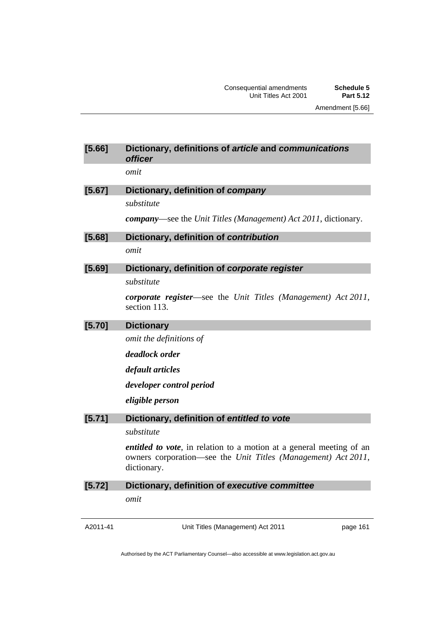### **[5.66] Dictionary, definitions of** *article* **and** *communications officer*

*omit* 

### **[5.67] Dictionary, definition of** *company substitute*

*company*—see the *Unit Titles (Management) Act 2011*, dictionary.

**[5.68] Dictionary, definition of** *contribution*

*omit* 

### **[5.69] Dictionary, definition of** *corporate register*

*substitute* 

*corporate register*—see the *Unit Titles (Management) Act 2011*, section 113.

### **[5.70] Dictionary**

*omit the definitions of* 

*deadlock order* 

*default articles* 

*developer control period* 

*eligible person* 

### **[5.71] Dictionary, definition of** *entitled to vote*

### *substitute*

*entitled to vote*, in relation to a motion at a general meeting of an owners corporation—see the *Unit Titles (Management) Act 2011*, dictionary.

### **[5.72] Dictionary, definition of** *executive committee*

*omit* 

Unit Titles (Management) Act 2011

page 161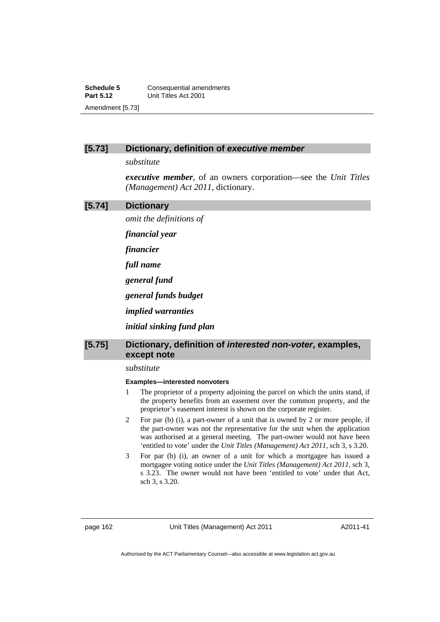**Schedule 5 Consequential amendments**<br>**Part 5.12 Unit Titles Act 2001 Part 5.12** Unit Titles Act 2001 Amendment [5.73]

### **[5.73] Dictionary, definition of** *executive member*

*substitute* 

*executive member*, of an owners corporation—see the *Unit Titles (Management) Act 2011*, dictionary.

#### **[5.74] Dictionary**

*omit the definitions of* 

*financial year* 

*financier* 

*full name* 

*general fund* 

*general funds budget* 

*implied warranties* 

*initial sinking fund plan* 

### **[5.75] Dictionary, definition of** *interested non-voter***, examples, except note**

#### *substitute*

#### **Examples—interested nonvoters**

- 1 The proprietor of a property adjoining the parcel on which the units stand, if the property benefits from an easement over the common property, and the proprietor's easement interest is shown on the corporate register.
- 2 For par (b) (i)*,* a part-owner of a unit that is owned by 2 or more people, if the part-owner was not the representative for the unit when the application was authorised at a general meeting. The part-owner would not have been 'entitled to vote' under the *Unit Titles (Management) Act 2011*, sch 3, s 3.20.
- 3 For par (b) (i), an owner of a unit for which a mortgagee has issued a mortgagee voting notice under the *Unit Titles (Management) Act 2011*, sch 3, s 3.23. The owner would not have been 'entitled to vote' under that Act, sch 3, s 3.20.

A2011-41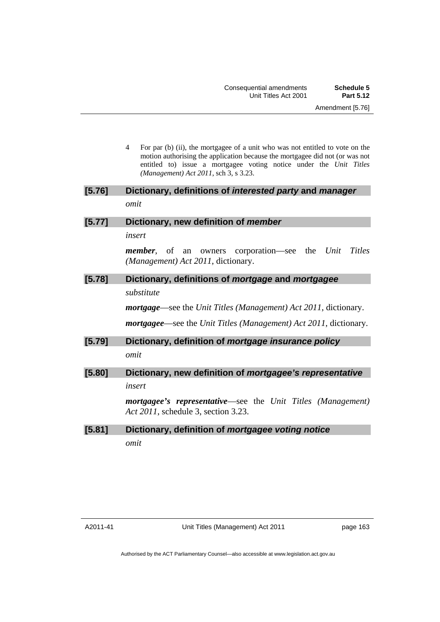4 For par (b) (ii), the mortgagee of a unit who was not entitled to vote on the motion authorising the application because the mortgagee did not (or was not entitled to) issue a mortgagee voting notice under the *Unit Titles (Management) Act 2011*, sch 3, s 3.23.

### **[5.76] Dictionary, definitions of** *interested party* **and** *manager omit*

### **[5.77] Dictionary, new definition of** *member*

*insert* 

*member*, of an owners corporation—see the *Unit Titles (Management) Act 2011*, dictionary.

### **[5.78] Dictionary, definitions of** *mortgage* **and** *mortgagee*

*substitute* 

*mortgage*—see the *Unit Titles (Management) Act 2011*, dictionary.

*mortgagee*—see the *Unit Titles (Management) Act 2011*, dictionary.

**[5.79] Dictionary, definition of** *mortgage insurance policy omit* 

### **[5.80] Dictionary, new definition of** *mortgagee's representative insert*

*mortgagee's representative*—see the *Unit Titles (Management) Act 2011*, schedule 3, section 3.23.

### **[5.81] Dictionary, definition of** *mortgagee voting notice omit*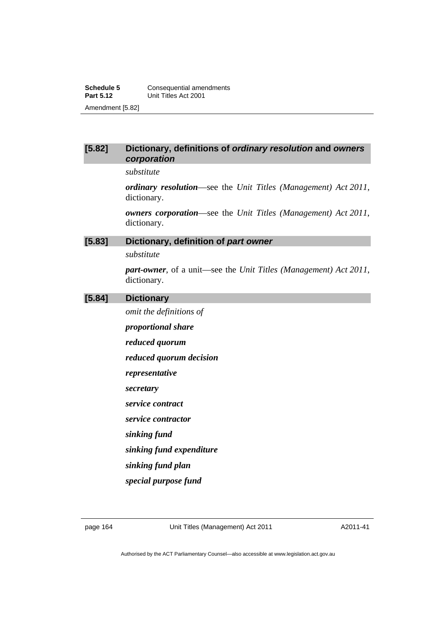### **[5.82] Dictionary, definitions of** *ordinary resolution* **and** *owners corporation*

*substitute* 

*ordinary resolution*—see the *Unit Titles (Management) Act 2011*, dictionary.

*owners corporation*—see the *Unit Titles (Management) Act 2011*, dictionary.

### **[5.83] Dictionary, definition of** *part owner*

*substitute* 

*part-owner*, of a unit—see the *Unit Titles (Management) Act 2011*, dictionary.

### **[5.84] Dictionary**

*omit the definitions of* 

*proportional share* 

*reduced quorum* 

*reduced quorum decision* 

*representative* 

*secretary* 

*service contract* 

*service contractor* 

*sinking fund* 

*sinking fund expenditure* 

*sinking fund plan* 

*special purpose fund* 

A2011-41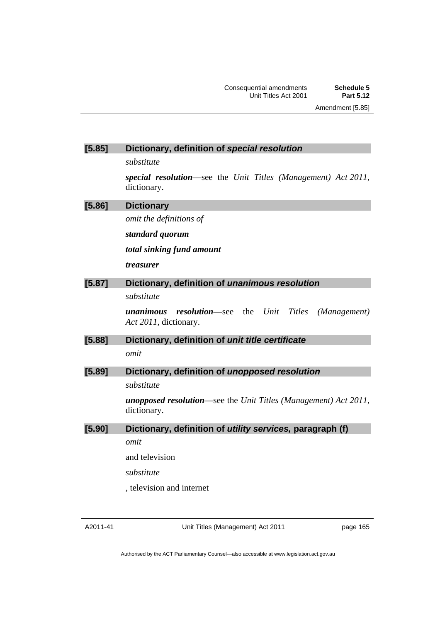### **[5.85] Dictionary, definition of** *special resolution*

*substitute* 

*special resolution*—see the *Unit Titles (Management) Act 2011*, dictionary.

| [5.86] | <b>Dictionary</b>                                                                         |
|--------|-------------------------------------------------------------------------------------------|
|        | omit the definitions of                                                                   |
|        | standard quorum                                                                           |
|        | total sinking fund amount                                                                 |
|        | <i>treasurer</i>                                                                          |
| [5.87] | Dictionary, definition of unanimous resolution                                            |
|        | substitute                                                                                |
|        | <b>resolution</b> —see the Unit Titles (Management)<br>unanimous<br>Act 2011, dictionary. |
| [5.88] | Dictionary, definition of unit title certificate                                          |
|        | omit                                                                                      |
| [5.89] | Dictionary, definition of unopposed resolution                                            |
|        | substitute                                                                                |
|        | <b>unopposed resolution—see the Unit Titles (Management)</b> Act $2011$ ,<br>dictionary.  |

**[5.90] Dictionary, definition of** *utility services,* **paragraph (f)** 

*omit* 

and television

*substitute* 

, television and internet

Unit Titles (Management) Act 2011

page 165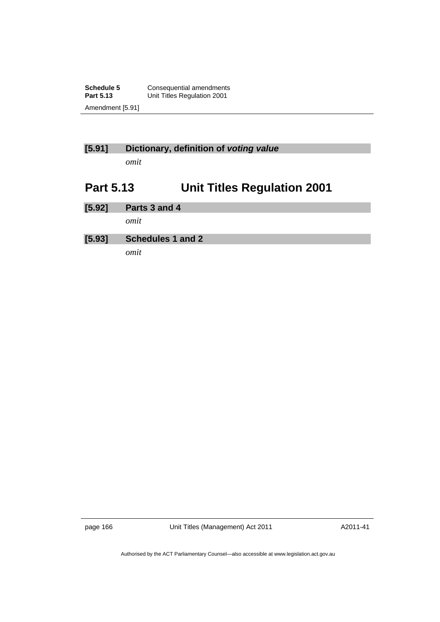**Schedule 5 Consequential amendments**<br>**Part 5.13 Unit Titles Regulation 2001 Unit Titles Regulation 2001** Amendment [5.91]

### **[5.91] Dictionary, definition of** *voting value*

*omit* 

# **Part 5.13 Unit Titles Regulation 2001**

**[5.92] Parts 3 and 4**  *omit*  **[5.93] Schedules 1 and 2**  *omit* 

page 166 Unit Titles (Management) Act 2011

A2011-41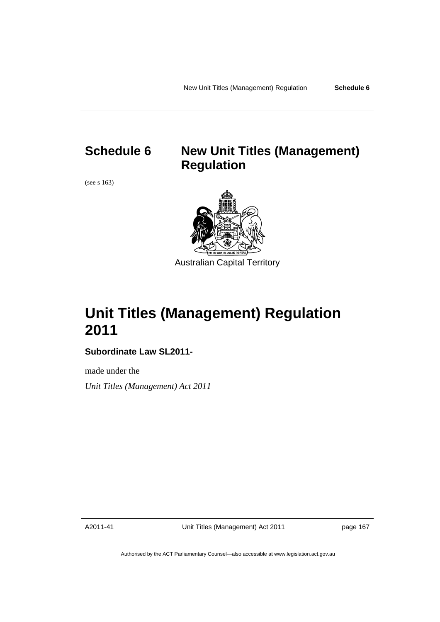# **Schedule 6 New Unit Titles (Management) Regulation**

(see s 163)



# **Unit Titles (Management) Regulation 2011**

### **Subordinate Law SL2011-**

made under the *Unit Titles (Management) Act 2011* 

A2011-41

Unit Titles (Management) Act 2011

page 167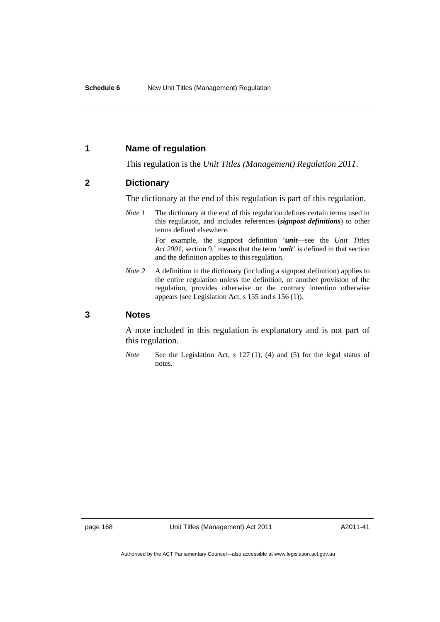### **1 Name of regulation**

This regulation is the *Unit Titles (Management) Regulation 2011*.

### **2 Dictionary**

The dictionary at the end of this regulation is part of this regulation.

*Note 1* The dictionary at the end of this regulation defines certain terms used in this regulation, and includes references (*signpost definitions*) to other terms defined elsewhere.

> For example, the signpost definition '*unit*—see the *Unit Titles Act 2001*, section 9.' means that the term '*unit*' is defined in that section and the definition applies to this regulation.

*Note 2* A definition in the dictionary (including a signpost definition) applies to the entire regulation unless the definition, or another provision of the regulation, provides otherwise or the contrary intention otherwise appears (see Legislation Act, s 155 and s 156 (1)).

### **3 Notes**

A note included in this regulation is explanatory and is not part of this regulation.

*Note* See the Legislation Act, s 127 (1), (4) and (5) for the legal status of notes.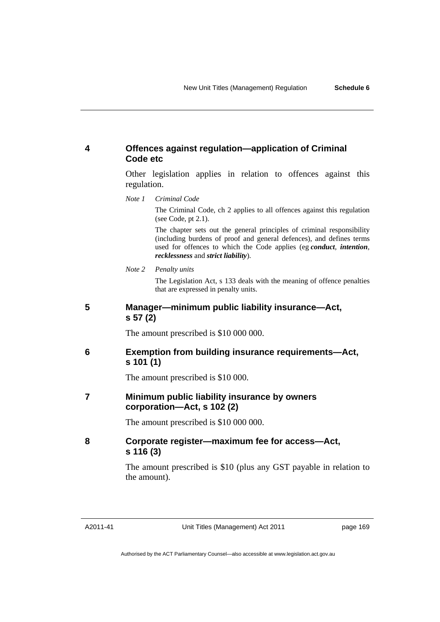## **4 Offences against regulation—application of Criminal Code etc**

Other legislation applies in relation to offences against this regulation.

*Note 1 Criminal Code*

The Criminal Code, ch 2 applies to all offences against this regulation (see Code, pt 2.1).

The chapter sets out the general principles of criminal responsibility (including burdens of proof and general defences), and defines terms used for offences to which the Code applies (eg *conduct*, *intention*, *recklessness* and *strict liability*).

*Note 2 Penalty units* 

The Legislation Act, s 133 deals with the meaning of offence penalties that are expressed in penalty units.

## **5 Manager—minimum public liability insurance—Act, s 57 (2)**

The amount prescribed is \$10 000 000.

## **6 Exemption from building insurance requirements—Act, s 101 (1)**

The amount prescribed is \$10 000.

## **7 Minimum public liability insurance by owners corporation—Act, s 102 (2)**

The amount prescribed is \$10 000 000.

## **8 Corporate register—maximum fee for access—Act, s 116 (3)**

The amount prescribed is \$10 (plus any GST payable in relation to the amount).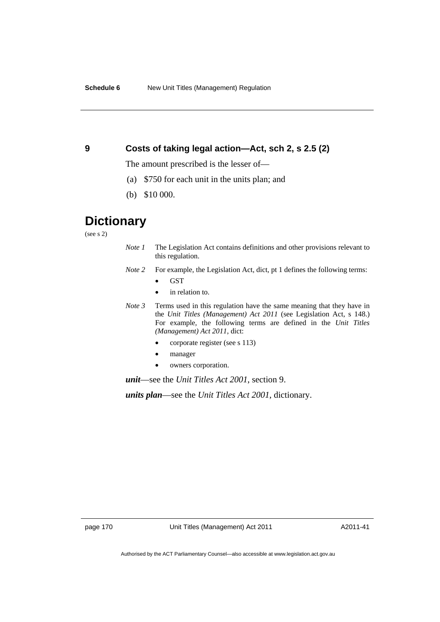## **9 Costs of taking legal action—Act, sch 2, s 2.5 (2)**

The amount prescribed is the lesser of—

- (a) \$750 for each unit in the units plan; and
- (b) \$10 000.

# **Dictionary**

(see s 2)

- *Note 1* The Legislation Act contains definitions and other provisions relevant to this regulation.
- *Note 2* For example, the Legislation Act, dict, pt 1 defines the following terms:
	- GST
	- in relation to.
- *Note 3* Terms used in this regulation have the same meaning that they have in the *Unit Titles (Management) Act 2011* (see Legislation Act, s 148.) For example, the following terms are defined in the *Unit Titles (Management) Act 2011*, dict:
	- corporate register (see s 113)
	- manager
	- owners corporation.

*unit*—see the *Unit Titles Act 2001*, section 9.

*units plan*—see the *Unit Titles Act 2001*, dictionary.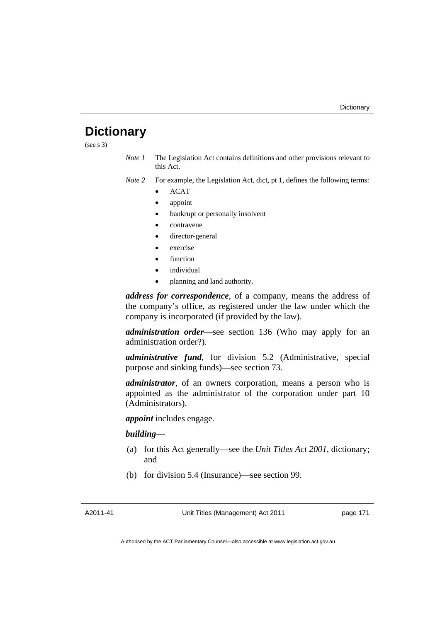# **Dictionary**

(see s 3)

- *Note 1* The Legislation Act contains definitions and other provisions relevant to this Act.
- *Note 2* For example, the Legislation Act, dict, pt 1, defines the following terms:
	- ACAT
	- appoint
	- bankrupt or personally insolvent
	- contravene
	- director-general
	- exercise
	- function
	- individual
	- planning and land authority.

*address for correspondence*, of a company, means the address of the company's office, as registered under the law under which the company is incorporated (if provided by the law).

*administration order*—see section 136 (Who may apply for an administration order?).

*administrative fund*, for division 5.2 (Administrative, special purpose and sinking funds)—see section 73.

*administrator*, of an owners corporation, means a person who is appointed as the administrator of the corporation under part 10 (Administrators).

*appoint* includes engage.

### *building*—

- (a) for this Act generally—see the *Unit Titles Act 2001*, dictionary; and
- (b) for division 5.4 (Insurance)—see section 99.

A2011-41

Unit Titles (Management) Act 2011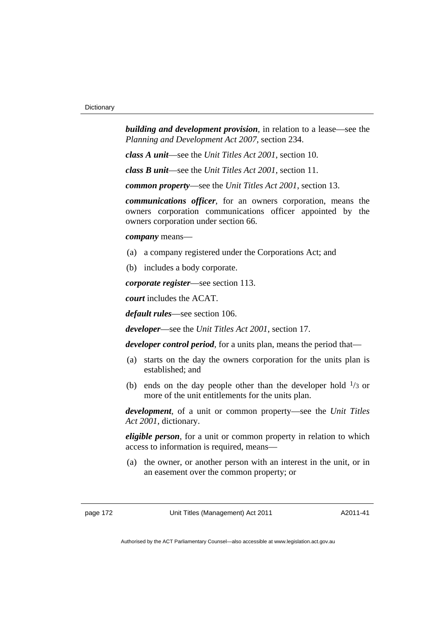*building and development provision*, in relation to a lease—see the *Planning and Development Act 2007*, section 234.

*class A unit*—see the *Unit Titles Act 2001*, section 10.

*class B unit*—see the *Unit Titles Act 2001*, section 11.

*common property*—see the *Unit Titles Act 2001*, section 13.

*communications officer*, for an owners corporation, means the owners corporation communications officer appointed by the owners corporation under section 66.

*company* means—

- (a) a company registered under the Corporations Act; and
- (b) includes a body corporate.

*corporate register*—see section 113.

*court* includes the ACAT.

*default rules*—see section 106.

*developer*—see the *Unit Titles Act 2001*, section 17.

*developer control period*, for a units plan, means the period that—

- (a) starts on the day the owners corporation for the units plan is established; and
- (b) ends on the day people other than the developer hold  $\frac{1}{3}$  or more of the unit entitlements for the units plan.

*development*, of a unit or common property—see the *Unit Titles Act 2001*, dictionary.

*eligible person*, for a unit or common property in relation to which access to information is required, means—

 (a) the owner, or another person with an interest in the unit, or in an easement over the common property; or

page 172 Unit Titles (Management) Act 2011

A2011-41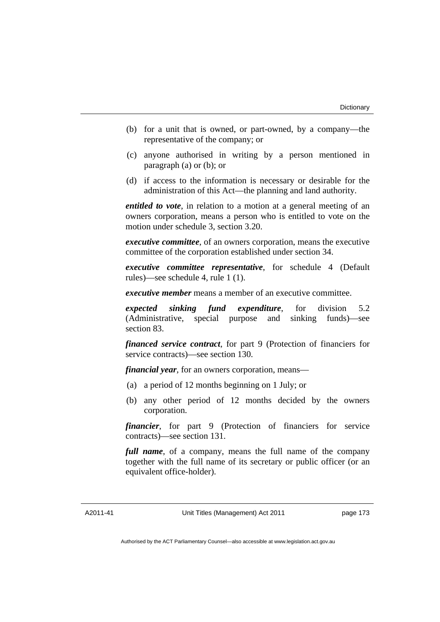- (b) for a unit that is owned, or part-owned, by a company—the representative of the company; or
- (c) anyone authorised in writing by a person mentioned in paragraph (a) or (b); or
- (d) if access to the information is necessary or desirable for the administration of this Act—the planning and land authority.

*entitled to vote*, in relation to a motion at a general meeting of an owners corporation, means a person who is entitled to vote on the motion under schedule 3, section 3.20.

*executive committee*, of an owners corporation, means the executive committee of the corporation established under section 34.

*executive committee representative*, for schedule 4 (Default rules)—see schedule 4, rule 1 (1).

*executive member* means a member of an executive committee.

*expected sinking fund expenditure*, for division 5.2 (Administrative, special purpose and sinking funds)—see section 83.

*financed service contract*, for part 9 (Protection of financiers for service contracts)—see section 130.

*financial year*, for an owners corporation, means—

- (a) a period of 12 months beginning on 1 July; or
- (b) any other period of 12 months decided by the owners corporation.

*financier*, for part 9 (Protection of financiers for service contracts)—see section 131.

*full name*, of a company, means the full name of the company together with the full name of its secretary or public officer (or an equivalent office-holder).

A2011-41

Unit Titles (Management) Act 2011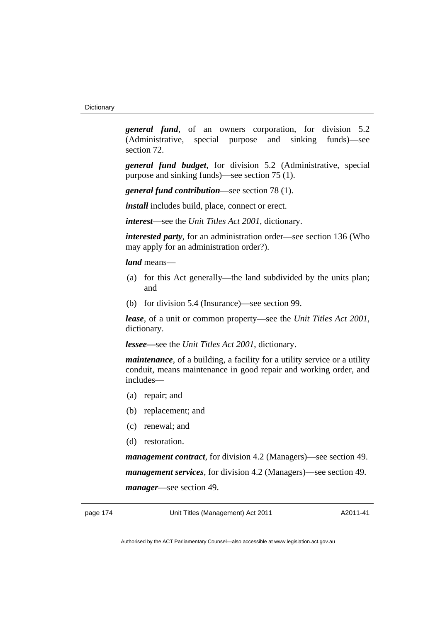*general fund*, of an owners corporation, for division 5.2 (Administrative, special purpose and sinking funds)—see section 72.

*general fund budget*, for division 5.2 (Administrative, special purpose and sinking funds)—see section 75 (1).

*general fund contribution*—see section 78 (1).

*install* includes build, place, connect or erect.

*interest*—see the *Unit Titles Act 2001*, dictionary.

*interested party*, for an administration order—see section 136 (Who may apply for an administration order?).

*land* means—

- (a) for this Act generally—the land subdivided by the units plan; and
- (b) for division 5.4 (Insurance)—see section 99.

*lease*, of a unit or common property—see the *Unit Titles Act 2001*, dictionary.

*lessee—*see the *Unit Titles Act 2001*, dictionary.

*maintenance*, of a building, a facility for a utility service or a utility conduit, means maintenance in good repair and working order, and includes—

- (a) repair; and
- (b) replacement; and
- (c) renewal; and
- (d) restoration.

*management contract*, for division 4.2 (Managers)—see section 49. *management services*, for division 4.2 (Managers)—see section 49. *manager*—see section 49.

page 174 Unit Titles (Management) Act 2011

A2011-41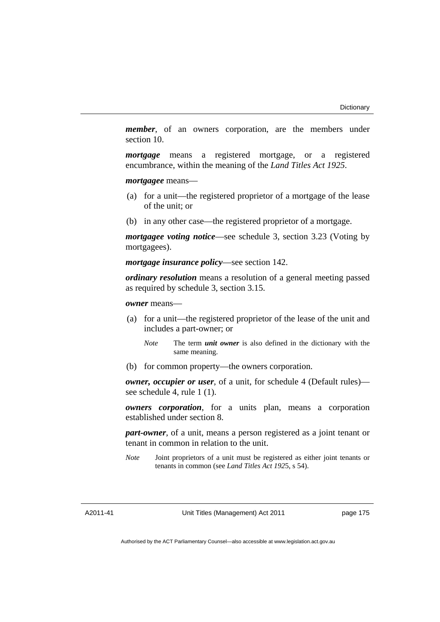*member*, of an owners corporation, are the members under section 10.

*mortgage* means a registered mortgage, or a registered encumbrance, within the meaning of the *Land Titles Act 1925*.

*mortgagee* means—

- (a) for a unit—the registered proprietor of a mortgage of the lease of the unit; or
- (b) in any other case—the registered proprietor of a mortgage.

*mortgagee voting notice*—see schedule 3, section 3.23 (Voting by mortgagees).

*mortgage insurance policy*—see section 142.

*ordinary resolution* means a resolution of a general meeting passed as required by schedule 3, section 3.15.

*owner* means—

- (a) for a unit—the registered proprietor of the lease of the unit and includes a part-owner; or
	- *Note* The term *unit owner* is also defined in the dictionary with the same meaning.
- (b) for common property—the owners corporation.

*owner, occupier or user*, of a unit, for schedule 4 (Default rules) see schedule 4, rule 1 (1).

*owners corporation*, for a units plan, means a corporation established under section 8.

*part-owner*, of a unit, means a person registered as a joint tenant or tenant in common in relation to the unit.

*Note* Joint proprietors of a unit must be registered as either joint tenants or tenants in common (see *Land Titles Act 192*5, s 54).

A2011-41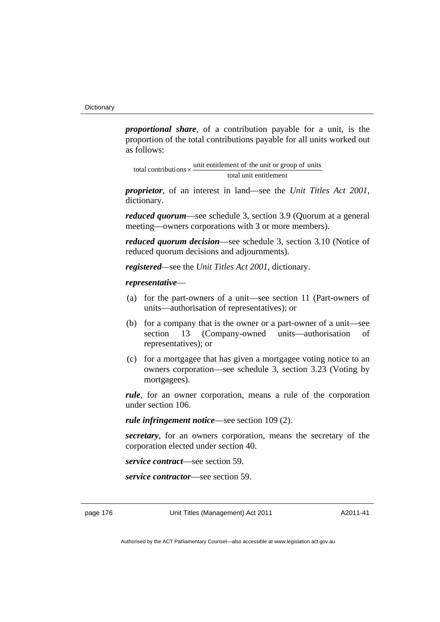*proportional share*, of a contribution payable for a unit, is the proportion of the total contributions payable for all units worked out as follows:

total unit entitlement total contributions  $\times$  unit entitlement of the unit or group of units

*proprietor*, of an interest in land—see the *Unit Titles Act 2001*, dictionary.

*reduced quorum*—see schedule 3, section 3.9 (Quorum at a general meeting—owners corporations with 3 or more members).

*reduced quorum decision*—see schedule 3, section 3.10 (Notice of reduced quorum decisions and adjournments).

*registered—*see the *Unit Titles Act 2001*, dictionary.

#### *representative*—

- (a) for the part-owners of a unit—see section 11 (Part-owners of units—authorisation of representatives); or
- (b) for a company that is the owner or a part-owner of a unit—see section 13 (Company-owned units—authorisation of representatives); or
- (c) for a mortgagee that has given a mortgagee voting notice to an owners corporation—see schedule 3, section 3.23 (Voting by mortgagees).

*rule*, for an owner corporation, means a rule of the corporation under section 106.

*rule infringement notice*—see section 109 (2).

*secretary*, for an owners corporation, means the secretary of the corporation elected under section 40.

*service contract*—see section 59.

*service contractor*—see section 59.

page 176 Unit Titles (Management) Act 2011

A2011-41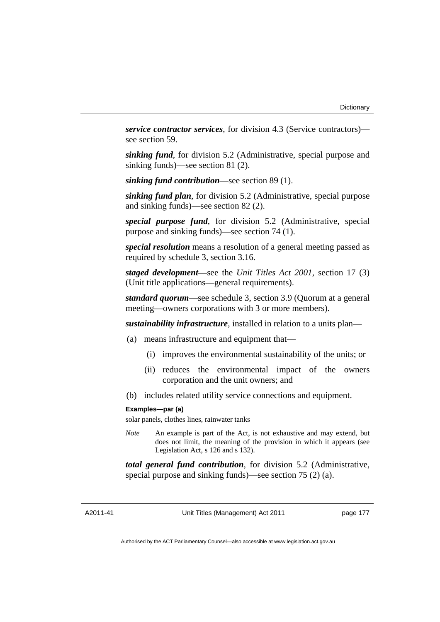*service contractor services*, for division 4.3 (Service contractors) see section 59.

*sinking fund*, for division 5.2 (Administrative, special purpose and sinking funds)—see section 81 (2).

*sinking fund contribution*—see section 89 (1).

*sinking fund plan*, for division 5.2 (Administrative, special purpose and sinking funds)—see section 82 (2).

*special purpose fund*, for division 5.2 (Administrative, special purpose and sinking funds)—see section 74 (1).

*special resolution* means a resolution of a general meeting passed as required by schedule 3, section 3.16.

*staged development*—see the *Unit Titles Act 2001*, section 17 (3) (Unit title applications—general requirements).

*standard quorum*—see schedule 3, section 3.9 (Quorum at a general meeting—owners corporations with 3 or more members).

*sustainability infrastructure*, installed in relation to a units plan—

- (a) means infrastructure and equipment that—
	- (i) improves the environmental sustainability of the units; or
	- (ii) reduces the environmental impact of the owners corporation and the unit owners; and
- (b) includes related utility service connections and equipment.

#### **Examples—par (a)**

solar panels, clothes lines, rainwater tanks

*Note* An example is part of the Act, is not exhaustive and may extend, but does not limit, the meaning of the provision in which it appears (see Legislation Act, s 126 and s 132).

*total general fund contribution*, for division 5.2 (Administrative, special purpose and sinking funds)—see section 75 (2) (a).

A2011-41

Unit Titles (Management) Act 2011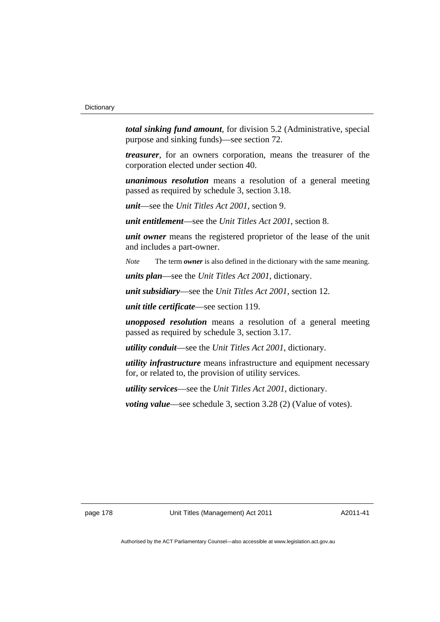*total sinking fund amount*, for division 5.2 (Administrative, special purpose and sinking funds)—see section 72.

*treasurer*, for an owners corporation, means the treasurer of the corporation elected under section 40.

*unanimous resolution* means a resolution of a general meeting passed as required by schedule 3, section 3.18.

*unit*—see the *Unit Titles Act 2001*, section 9.

*unit entitlement*—see the *Unit Titles Act 2001*, section 8.

*unit owner* means the registered proprietor of the lease of the unit and includes a part-owner.

*Note* The term *owner* is also defined in the dictionary with the same meaning.

*units plan*—see the *Unit Titles Act 2001*, dictionary.

*unit subsidiary*—see the *Unit Titles Act 2001*, section 12.

*unit title certificate*—see section 119.

*unopposed resolution* means a resolution of a general meeting passed as required by schedule 3, section 3.17.

*utility conduit*—see the *Unit Titles Act 2001*, dictionary.

*utility infrastructure* means infrastructure and equipment necessary for, or related to, the provision of utility services.

*utility services*—see the *Unit Titles Act 2001*, dictionary.

*voting value—see schedule 3, section 3.28 (2) (Value of votes).* 

page 178 Unit Titles (Management) Act 2011

A2011-41